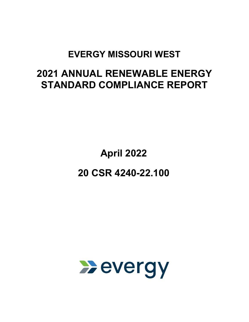# **EVERGY MISSOURI WEST**

# **2021 ANNUAL RENEWABLE ENERGY STANDARD COMPLIANCE REPORT**

**April 2022** 

**20 CSR 4240-22.100** 

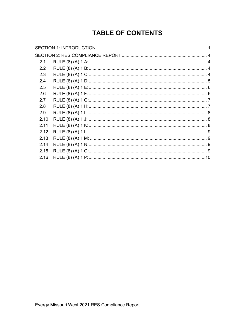## **TABLE OF CONTENTS**

| 2.1           |  |
|---------------|--|
| $2.2^{\circ}$ |  |
| 2.3           |  |
| 2.4           |  |
| 2.5           |  |
| 2.6           |  |
| 2.7           |  |
| 2.8           |  |
| 2.9           |  |
| 2.10          |  |
| 2.11          |  |
| 2.12          |  |
| 2.13          |  |
| 2.14          |  |
| 2.15          |  |
| 2.16          |  |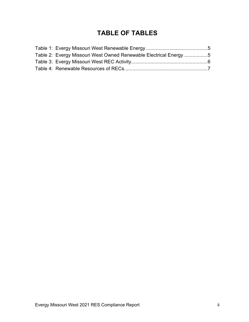## **TABLE OF TABLES**

| Table 2: Evergy Missouri West Owned Renewable Electrical Energy 5 |  |
|-------------------------------------------------------------------|--|
|                                                                   |  |
|                                                                   |  |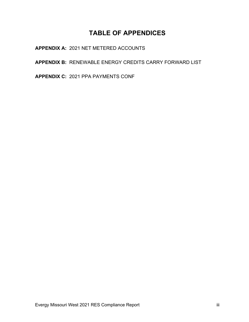## **TABLE OF APPENDICES**

**APPENDIX A:** 2021 NET METERED ACCOUNTS

**APPENDIX B:** RENEWABLE ENERGY CREDITS CARRY FORWARD LIST

**APPENDIX C:** 2021 PPA PAYMENTS CONF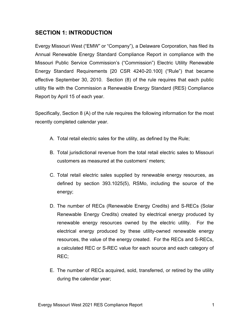### <span id="page-4-0"></span>**SECTION 1: INTRODUCTION**

Evergy Missouri West ("EMW" or "Company"), a Delaware Corporation, has filed its Annual Renewable Energy Standard Compliance Report in compliance with the Missouri Public Service Commission's ("Commission") Electric Utility Renewable Energy Standard Requirements [20 CSR 4240-20.100] ("Rule") that became effective September 30, 2010. Section (8) of the rule requires that each public utility file with the Commission a Renewable Energy Standard (RES) Compliance Report by April 15 of each year.

Specifically, Section 8 (A) of the rule requires the following information for the most recently completed calendar year.

- A. Total retail electric sales for the utility, as defined by the Rule;
- B. Total jurisdictional revenue from the total retail electric sales to Missouri customers as measured at the customers' meters;
- C. Total retail electric sales supplied by renewable energy resources, as defined by section 393.1025(5), RSMo, including the source of the energy;
- D. The number of RECs (Renewable Energy Credits) and S-RECs (Solar Renewable Energy Credits) created by electrical energy produced by renewable energy resources owned by the electric utility. For the electrical energy produced by these utility-owned renewable energy resources, the value of the energy created. For the RECs and S-RECs, a calculated REC or S-REC value for each source and each category of REC;
- E. The number of RECs acquired, sold, transferred, or retired by the utility during the calendar year;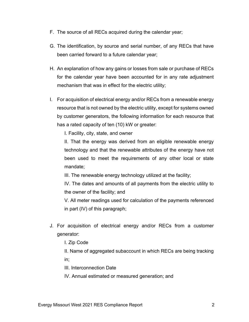- F. The source of all RECs acquired during the calendar year;
- G. The identification, by source and serial number, of any RECs that have been carried forward to a future calendar year;
- H. An explanation of how any gains or losses from sale or purchase of RECs for the calendar year have been accounted for in any rate adjustment mechanism that was in effect for the electric utility;
- I. For acquisition of electrical energy and/or RECs from a renewable energy resource that is not owned by the electric utility, except for systems owned by customer generators, the following information for each resource that has a rated capacity of ten (10) kW or greater:

I. Facility, city, state, and owner

II. That the energy was derived from an eligible renewable energy technology and that the renewable attributes of the energy have not been used to meet the requirements of any other local or state mandate;

III. The renewable energy technology utilized at the facility;

IV. The dates and amounts of all payments from the electric utility to the owner of the facility; and

V. All meter readings used for calculation of the payments referenced in part (IV) of this paragraph;

J. For acquisition of electrical energy and/or RECs from a customer generator:

I. Zip Code

II. Name of aggregated subaccount in which RECs are being tracking in;

III. Interconnection Date

IV. Annual estimated or measured generation; and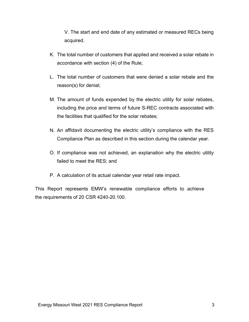V. The start and end date of any estimated or measured RECs being acquired.

- K. The total number of customers that applied and received a solar rebate in accordance with section (4) of the Rule;
- L. The total number of customers that were denied a solar rebate and the reason(s) for denial;
- M. The amount of funds expended by the electric utility for solar rebates, including the price and terms of future S-REC contracts associated with the facilities that qualified for the solar rebates;
- N. An affidavit documenting the electric utility's compliance with the RES Compliance Plan as described in this section during the calendar year.
- O. If compliance was not achieved, an explanation why the electric utility failed to meet the RES; and
- P. A calculation of its actual calendar year retail rate impact.

This Report represents EMW's renewable compliance efforts to achieve the requirements of 20 CSR 4240-20.100.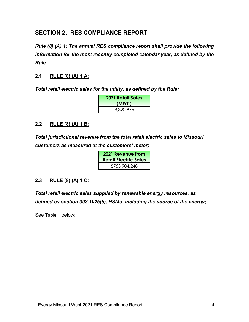#### <span id="page-7-0"></span>**SECTION 2: RES COMPLIANCE REPORT**

*Rule (8) (A) 1: The annual RES compliance report shall provide the following information for the most recently completed calendar year, as defined by the Rule.*

#### <span id="page-7-1"></span>**2.1 RULE (8) (A) 1 A:**

*Total retail electric sales for the utility, as defined by the Rule;* 

| <b>2021 Retail Sales</b><br>(MWh) |
|-----------------------------------|
| 8,320,976                         |

#### <span id="page-7-2"></span>**2.2 RULE (8) (A) 1 B:**

*Total jurisdictional revenue from the total retail electric sales to Missouri customers as measured at the customers' meter;* 

| <b>2021 Revenue from</b><br><b>Retail Electric Sales</b> |
|----------------------------------------------------------|
| \$753,904,248                                            |

#### <span id="page-7-3"></span>**2.3 RULE (8) (A) 1 C:**

*Total retail electric sales supplied by renewable energy resources, as defined by section 393.1025(5), RSMo, including the source of the energy***;** 

See [Table 1](#page-8-1) below: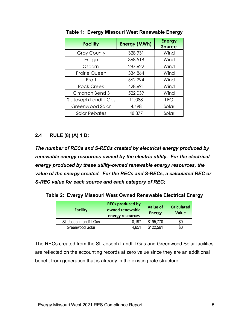| <b>Facility</b>         | <b>Energy (MWh)</b> | <b>Energy</b><br><b>Source</b> |
|-------------------------|---------------------|--------------------------------|
| <b>Gray County</b>      | 328,931             | Wind                           |
| Ensign                  | 368,518             | Wind                           |
| Osborn                  | 287,622             | Wind                           |
| <b>Prairie Queen</b>    | 334,864             | Wind                           |
| Pratt                   | 562,294             | Wind                           |
| <b>Rock Creek</b>       | 428,691             | Wind                           |
| Cimarron Bend 3         | 522,039             | Wind                           |
| St. Joseph Landfill Gas | 11,088              | <b>LFG</b>                     |
| Greenwood Solar         | 4,498               | Solar                          |
| Solar Rebates           | 48,377              | Solar                          |

<span id="page-8-1"></span>**Table 1: Evergy Missouri West Renewable Energy**

#### <span id="page-8-0"></span>**2.4 RULE (8) (A) 1 D:**

*The number of RECs and S-RECs created by electrical energy produced by renewable energy resources owned by the electric utility. For the electrical energy produced by these utility-owned renewable energy resources, the value of the energy created. For the RECs and S-RECs, a calculated REC or S-REC value for each source and each category of REC;*

<span id="page-8-2"></span>**Table 2: Evergy Missouri West Owned Renewable Electrical Energy**

| <b>Facility</b>         | <b>RECs produced by</b><br>owned renewable<br>energy resources | <b>Value of</b><br><b>Energy</b> | <b>Calculated</b><br><b>Value</b> |
|-------------------------|----------------------------------------------------------------|----------------------------------|-----------------------------------|
| St. Joseph Landfill Gas | 10,197                                                         | \$195,770                        | \$0                               |
| Greenwood Solar         | 4,651                                                          | \$122,561                        | \$0                               |

The RECs created from the St. Joseph Landfill Gas and Greenwood Solar facilities are reflected on the accounting records at zero value since they are an additional benefit from generation that is already in the existing rate structure.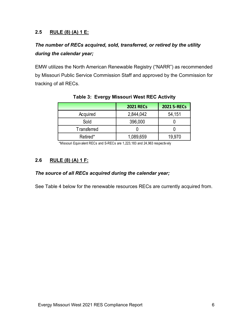#### <span id="page-9-0"></span>**2.5 RULE (8) (A) 1 E:**

## *The number of RECs acquired, sold, transferred, or retired by the utility during the calendar year;*

EMW utilizes the North American Renewable Registry ("NARR") as recommended by Missouri Public Service Commission Staff and approved by the Commission for tracking of all RECs.

<span id="page-9-2"></span>

|                    | <b>2021 RECs</b> | <b>2021 S-RECs</b> |
|--------------------|------------------|--------------------|
| Acquired           | 2,844,042        | 54,151             |
| Sold               | 396,000          |                    |
| <b>Transferred</b> |                  |                    |
| Retired*           | 1,089,659        | 19.970             |

**Table 3: Evergy Missouri West REC Activity** 

\*Missouri Equiv alent RECs and S-RECs are 1,223,183 and 24,963 respectiv ely

#### <span id="page-9-1"></span>**2.6 RULE (8) (A) 1 F:**

#### *The source of all RECs acquired during the calendar year;*

See [Table 4](#page-10-2) below for the renewable resources RECs are currently acquired from.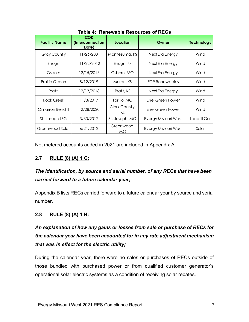<span id="page-10-2"></span>

| <b>Facility Name</b> | <b>COD</b><br>(Interconnection<br>Date) | Location                | Owner                | <b>Technology</b> |
|----------------------|-----------------------------------------|-------------------------|----------------------|-------------------|
| Gray County          | 11/26/2001                              | Montezuma, KS           | Next Era Energy      | Wind              |
| Ensign               | 11/22/2012                              | Ensign, KS              | Next Era Energy      | Wind              |
| Osborn               | 12/15/2016                              | Osborn, MO              | Next Era Energy      | Wind              |
| Prairie Queen        | 8/12/2019                               | Moran, KS               | EDP Renewables       | Wind              |
| Pratt                | 12/13/2018                              | Pratt, KS               | Next Era Energy      | Wind              |
| Rock Creek           | 11/8/2017                               | Tarkio, MO              | Enel Green Power     | Wind              |
| Cimarron Bend III    | 12/28/2020                              | Clark County,<br>KS.    | Enel Green Power     | Wind              |
| St. Joseph LFG       | 3/30/2012                               | St. Joseph, MO          | Evergy Missouri West | Landfill Gas      |
| Greenwood Solar      | 6/21/2012                               | Greenwood,<br><b>MO</b> | Evergy Missouri West | Solar             |

**Table 4: Renewable Resources of RECs**

Net metered accounts added in 2021 are included in Appendix A.

#### <span id="page-10-0"></span>**2.7 RULE (8) (A) 1 G:**

## *The identification, by source and serial number, of any RECs that have been carried forward to a future calendar year;*

Appendix B lists RECs carried forward to a future calendar year by source and serial number.

#### <span id="page-10-1"></span>**2.8 RULE (8) (A) 1 H:**

## *An explanation of how any gains or losses from sale or purchase of RECs for the calendar year have been accounted for in any rate adjustment mechanism that was in effect for the electric utility;*

During the calendar year, there were no sales or purchases of RECs outside of those bundled with purchased power or from qualified customer generator's operational solar electric systems as a condition of receiving solar rebates.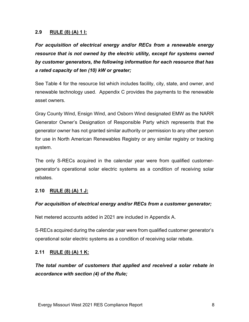#### <span id="page-11-0"></span>**2.9 RULE (8) (A) 1 I:**

*For acquisition of electrical energy and/or RECs from a renewable energy resource that is not owned by the electric utility, except for systems owned by customer generators, the following information for each resource that has a rated capacity of ten (10) kW or greater;* 

See [Table 4](#page-10-2) for the resource list which includes facility, city, state, and owner, and renewable technology used. Appendix C provides the payments to the renewable asset owners.

Gray County Wind, Ensign Wind, and Osborn Wind designated EMW as the NARR Generator Owner's Designation of Responsible Party which represents that the generator owner has not granted similar authority or permission to any other person for use in North American Renewables Registry or any similar registry or tracking system.

The only S-RECs acquired in the calendar year were from qualified customergenerator's operational solar electric systems as a condition of receiving solar rebates.

#### <span id="page-11-1"></span>**2.10 RULE (8) (A) 1 J:**

#### *For acquisition of electrical energy and/or RECs from a customer generator;*

Net metered accounts added in 2021 are included in Appendix A.

S-RECs acquired during the calendar year were from qualified customer generator's operational solar electric systems as a condition of receiving solar rebate.

#### <span id="page-11-2"></span>**2.11 RULE (8) (A) 1 K:**

*The total number of customers that applied and received a solar rebate in accordance with section (4) of the Rule;*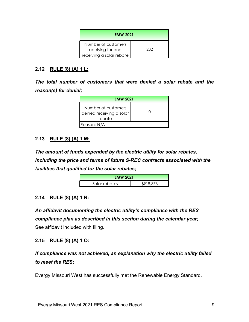| <b>EMW 2021</b>                                                     |     |
|---------------------------------------------------------------------|-----|
| Number of customers<br>applying for and<br>receiving a solar rebate | 232 |

#### <span id="page-12-0"></span>**2.12 RULE (8) (A) 1 L:**

*The total number of customers that were denied a solar rebate and the reason(s) for denial;* 

| <b>EMW 2021</b>                                           |  |  |
|-----------------------------------------------------------|--|--|
| Number of customers<br>denied receiving a solar<br>rebate |  |  |
| Reason: N/A                                               |  |  |

#### <span id="page-12-1"></span>**2.13 RULE (8) (A) 1 M:**

*The amount of funds expended by the electric utility for solar rebates, including the price and terms of future S-REC contracts associated with the facilities that qualified for the solar rebates;*

| <b>EMW 2021</b> |           |
|-----------------|-----------|
| Solar rebates   | \$918.873 |

#### <span id="page-12-2"></span>**2.14 RULE (8) (A) 1 N:**

*An affidavit documenting the electric utility's compliance with the RES compliance plan as described in this section during the calendar year;* See affidavit included with filing.

#### <span id="page-12-3"></span>**2.15 RULE (8) (A) 1 O:**

*If compliance was not achieved, an explanation why the electric utility failed to meet the RES;*

Evergy Missouri West has successfully met the Renewable Energy Standard.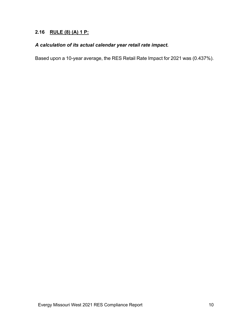#### <span id="page-13-0"></span>**2.16 RULE (8) (A) 1 P:**

#### *A calculation of its actual calendar year retail rate impact.*

Based upon a 10-year average, the RES Retail Rate Impact for 2021 was (0.437%).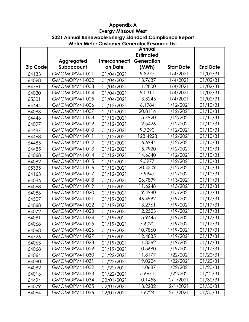**2021 Annual Renewable Energy Standard Compliance Report**

|  | Meter Meter Customer Generator Resource List |
|--|----------------------------------------------|
|--|----------------------------------------------|

|                 |                      |                      | <b>Annual</b>         |                   |                 |
|-----------------|----------------------|----------------------|-----------------------|-------------------|-----------------|
|                 |                      |                      | <b>Estimated</b>      |                   |                 |
|                 | Aggregated           | <b>Interconnecti</b> | Generation            |                   |                 |
| <b>Zip Code</b> | Subaccount           | on Date              | (MWh)                 | <b>Start Date</b> | <b>End Date</b> |
| 64133           | GMOMOPV41-001        | 01/04/2021           | 9.8277                | 1/4/2021          | 01/02/31        |
| 64098           | GMOMOPV41-002        | 01/04/2021           | 13.7687               | 1/4/2021          | 01/02/31        |
| 64761           | GMOMOPV41-003        | 01/04/2021           | 11.2800               | 1/4/2021          | 01/02/31        |
| 64030           | GMOMOPV41-004        | 01/04/2021           | 9.0311                | 1/4/2021          | 01/02/31        |
| 65301           | GMOMOPV41-005        | 01/04/2021           | 13.3245               | 1/4/2021          | 01/02/31        |
| 64444           | GMOMOPV41-006        | 01/12/2021           | 6.1984                | 1/12/2021         | 01/10/31        |
| 64083           | GMOMOPV41-007        | 01/12/2021           | 20.8116               | 1/12/2021         | 01/10/31        |
| 64446           | GMOMOPV41-008        | 01/12/2021           | 15.7920               | 1/12/2021         | 01/10/31        |
| 64097           | GMOMOPV41-009        | 01/12/2021           | 19.5426               | 1/12/2021         | 01/10/31        |
| 64487           | GMOMOPV41-010        | 01/12/2021           | $\frac{1}{9.7290}$    | 1/12/2021         | 01/10/31        |
| 64468           | GMOMOPV41-011        | 01/12/2021           | 128.4228              | 1/12/2021         | 01/10/31        |
| 64485           | <b>GMOMOPV41-012</b> | 01/12/2021           | 16.6944               | 1/12/2021         | 01/10/31        |
| 64485           | GMOMOPV41-013        | 01/12/2021           | 15.7920               | 1/12/2021         | 01/10/31        |
| 64068           | GMOMOPV41-014        | 01/12/2021           | 14.6640               | 1/12/2021         | 01/10/31        |
| 64082           | GMOMOPV41-015        | 01/12/2021           | 9.3977                | 1/12/2021         | 01/10/31        |
| 65335           | GMOMOPV41-016        | 01/12/2021           | 20.4309               | 1/12/2021         | 01/10/31        |
| 64163           | <b>GMOMOPV41-017</b> | 01/12/2021           | 7.9947                | 1/12/2021         | 01/10/31        |
| 64086           | GMOMOPV41-018        | 01/13/2021           | 26.7899               | 1/13/2021         | 01/11/31        |
| 64068           | GMOMOPV41-019        | 01/15/2021           | 11.6248               | 1/15/2021         | 01/13/31        |
| 64086           | GMOMOPV41-020        | 01/15/2021           | 19.4980               | 1/15/2021         | 01/13/31        |
| 64507           | GMOMOPV41-021        | 01/19/2021           | 46.4992               | 1/19/2021         | 01/17/31        |
| 64068           | <b>GMOMOPV41-022</b> | 01/19/2021           | 13.2761               | 1/19/2021         | 01/17/31        |
| 64072           | GMOMOPV41-023        | 01/19/2021           | 12.2523               | 1/19/2021         | 01/17/31        |
| 64081           | GMOMOPV41-024        | 01/19/2021           | 15.9445               | 1/19/2021         | 01/17/31        |
| 64068           | GMOMOPV41-025        | 01/19/2021           | 7.6090                | 1/19/2021         | 01/17/31        |
| 64068           | GMOMOPV41-026        | 01/19/2021           | 10.7860               | 1/19/2021         | 01/17/31        |
| 64726           | GMOMOPV41-027        | 01/19/2021           | 12.4835               | 1/19/2021         | 01/17/31        |
| 64063           | GMOMOPV41-028        | 01/19/2021           | 11.8362               | 1/19/2021         | 01/17/31        |
| 64068           | GMOMOPV41-029        | 01/19/2021           | 10.5680               | 1/19/2021         | 01/17/31        |
| 64064           | GMOMOPV41-030        | 01/22/2021           | 11.8177               | 1/22/2021         | 01/20/31        |
| 64080           | GMOMOPV41-031        | 01/22/2021           | $\overline{1}$ 9.0224 | 1/22/2021         | 01/20/31        |
| 64082           | GMOMOPV41-032        | 01/22/2021           | 14.0687               | 1/22/2021         | 01/20/31        |
| 64016           | GMOMOPV41-033        | 01/22/2021           | 5.6671                | 1/22/2021         | 01/20/31        |
| 64494           | GMOMOPV41-034        | 02/01/2021           | 10.1453               | 2/1/2021          | 01/30/31        |
| 64079           | <b>GMOMOPV41-035</b> | 02/01/2021           | 13.2232               | 2/1/2021          | 01/30/31        |
| 64064           | GMOMOPV41-036        | 02/01/2021           | 7.6724                | 2/1/2021          | 01/30/31        |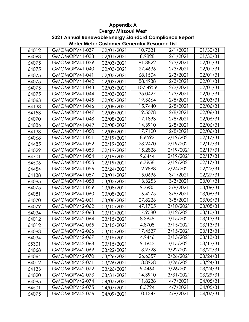**Meter Meter Customer Generator Resource List 2021 Annual Renewable Energy Standard Compliance Report**

| 64012 | <b>GMOMOPV41-037</b> | 02/01/2021 | 10.7331  | 2/1/2021  | 01/30/31 |
|-------|----------------------|------------|----------|-----------|----------|
| 64093 | GMOMOPV41-038        | 02/01/2021 | 8.9828   | 2/1/2021  | 01/30/31 |
| 64075 | GMOMOPV41-039        | 02/03/2021 | 81.8822  | 2/3/2021  | 02/01/31 |
| 64075 | GMOMOPV41-040        | 02/03/2021 | 27.4636  | 2/3/2021  | 02/01/31 |
| 64075 | GMOMOPV41-041        | 02/03/2021 | 68.1504  | 2/3/2021  | 02/01/31 |
| 64075 | GMOMOPV41-042        | 02/03/2021 | 88.4938  | 2/3/2021  | 02/01/31 |
| 64075 | GMOMOPV41-043        | 02/03/2021 | 107.4959 | 2/3/2021  | 02/01/31 |
| 64075 | GMOMOPV41-044        | 02/03/2021 | 35.0427  | 2/3/2021  | 02/01/31 |
| 64063 | GMOMOPV41-045        | 02/05/2021 | 19.3664  | 2/5/2021  | 02/03/31 |
| 64138 | GMOMOPV41-046        | 02/08/2021 | 15.7440  | 2/8/2021  | 02/06/31 |
| 64153 | GMOMOPV41-047        | 02/08/2021 | 19.5078  | 2/8/2021  | 02/06/31 |
| 64070 | GMOMOPV41-048        | 02/08/2021 | 17.1893  | 2/8/2021  | 02/06/31 |
| 64086 | GMOMOPV41-049        | 02/08/2021 | 14.3910  | 2/8/2021  | 02/06/31 |
| 64133 | GMOMOPV41-050        | 02/08/2021 | 17.7120  | 2/8/2021  | 02/06/31 |
| 64068 | GMOMOPV41-051        | 02/19/2021 | 8.6592   | 2/19/2021 | 02/17/31 |
| 64485 | <b>GMOMOPV41-052</b> | 02/19/2021 | 23.2470  | 2/19/2021 | 02/17/31 |
| 64029 | <b>GMOMOPV41-053</b> | 02/19/2021 | 15.2828  | 2/19/2021 | 02/17/31 |
| 64701 | GMOMOPV41-054        | 02/19/2021 | 9.6444   | 2/19/2021 | 02/17/31 |
| 64506 | GMOMOPV41-055        | 02/19/2021 | 6.7958   | 2/19/2021 | 02/17/31 |
| 64454 | GMOMOPV41-056        | 02/24/2021 | 12.9888  | 2/24/2021 | 02/22/31 |
| 64138 | GMOMOPV41-057        | 03/01/2021 | 15.0696  | 3/1/2021  | 02/27/31 |
| 64085 | <b>GMOMOPV41-058</b> | 03/03/2021 | 13.3253  | 3/3/2021  | 03/01/31 |
| 64075 | GMOMOPV41-059        | 03/08/2021 | 9.7980   | 3/8/2021  | 03/06/31 |
| 64081 | GMOMOPV41-060        | 03/08/2021 | 16.4275  | 3/8/2021  | 03/06/31 |
| 64070 | GMOMOPV42-061        | 03/08/2021 | 27.8226  | 3/8/2021  | 03/06/31 |
| 64079 | GMOMOPV42-062        | 03/10/2021 | 47.1705  | 3/10/2021 | 03/08/31 |
| 64034 | GMOMOPV42-063        | 03/12/2021 | 17.9580  | 3/12/2021 | 03/10/31 |
| 64012 | GMOMOPV42-064        | 03/15/2021 | 8.3948   | 3/15/2021 | 03/13/31 |
| 64012 | GMOMOPV42-065        | 03/15/2021 | 4.8708   | 3/15/2021 | 03/13/31 |
| 64083 | GMOMOPV42-066        | 03/15/2021 | 17.4537  | 3/15/2021 | 03/13/31 |
| 64034 | GMOMOPV42-067        | 03/15/2021 | 4.9446   | 3/15/2021 | 03/13/31 |
| 65301 | GMOMOPV42-068        | 03/15/2021 | 9.1943   | 3/15/2021 | 03/13/31 |
| 64068 | GMOMOPV42-069        | 03/22/2021 | 13.9728  | 3/22/2021 | 03/20/31 |
| 64064 | GMOMOPV42-070        | 03/26/2021 | 26.6357  | 3/26/2021 | 03/24/31 |
| 64012 | <b>GMOMOPV42-071</b> | 03/26/2021 | 18.8928  | 3/26/2021 | 03/24/31 |
| 64133 | GMOMOPV42-072        | 03/26/2021 | 9.4464   | 3/26/2021 | 03/24/31 |
| 64020 | GMOMOPV42-073        | 03/31/2021 | 14.3910  | 3/31/2021 | 03/29/31 |
| 64085 | GMOMOPV42-074        | 04/07/2021 | 11.8238  | 4/7/2021  | 04/05/31 |
| 64501 | GMOMOPV42-075        | 04/07/2021 | 8.3794   | 4/7/2021  | 04/05/31 |
| 64075 | GMOMOPV42-076        | 04/09/2021 | 10.1347  | 4/9/2021  | 04/07/31 |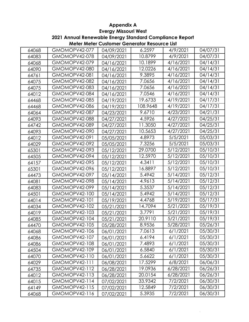**Meter Meter Customer Generator Resource List 2021 Annual Renewable Energy Standard Compliance Report**

| 64068 | GMOMOPV42-077        | 04/09/2021 | 6.2597   | 4/9/2021  | 04/07/31 |
|-------|----------------------|------------|----------|-----------|----------|
| 64083 | GMOMOPV42-078        | 04/09/2021 | 10.8799  | 4/9/2021  | 04/07/31 |
| 64068 | GMOMOPV42-079        | 04/16/2021 | 10.1899  | 4/16/2021 | 04/14/31 |
| 64090 | GMOMOPV42-080        | 04/16/2021 | 12.0226  | 4/16/2021 | 04/14/31 |
| 64761 | GMOMOPV42-081        | 04/16/2021 | 9.3895   | 4/16/2021 | 04/14/31 |
| 64075 | GMOMOPV42-082        | 04/16/2021 | 7.0656   | 4/16/2021 | 04/14/31 |
| 64075 | GMOMOPV42-083        | 04/16/2021 | 7.0656   | 4/16/2021 | 04/14/31 |
| 64012 | GMOMOPV42-084        | 04/16/2021 | 7.0546   | 4/16/2021 | 04/14/31 |
| 64468 | GMOMOPV42-085        | 04/19/2021 | 19.6733  | 4/19/2021 | 04/17/31 |
| 64468 | GMOMOPV42-086        | 04/19/2021 | 108.9648 | 4/19/2021 | 04/17/31 |
| 64064 | GMOMOPV42-087        | 04/23/2021 | 9.6710   | 4/23/2021 | 04/21/31 |
| 64093 | GMOMOPV42-088        | 04/27/2021 | 4.5926   | 4/27/2021 | 04/25/31 |
| 64742 | GMOMOPV42-089        | 04/27/2021 | 11.3050  | 4/27/2021 | 04/25/31 |
| 64093 | GMOMOPV42-090        | 04/27/2021 | 10.5653  | 4/27/2021 | 04/25/31 |
| 64012 | GMOMOPV42-091        | 05/05/2021 | 4.8973   | 5/5/2021  | 05/03/31 |
| 64029 | GMOMOPV42-092        | 05/05/2021 | 7.3256   | 5/5/2021  | 05/03/31 |
| 65301 | GMOMOPV42-093        | 05/12/2021 | 29.0700  | 5/12/2021 | 05/10/31 |
| 64505 | GMOMOPV42-094        | 05/12/2021 | 12.5970  | 5/12/2021 | 05/10/31 |
| 64157 | GMOMOPV42-095        | 05/12/2021 | 4.3411   | 5/12/2021 | 05/10/31 |
| 65301 | GMOMOPV42-096        | 05/12/2021 | 16.8897  | 5/12/2021 | 05/10/31 |
| 64473 | GMOMOPV42-097        | 05/14/2021 | 5.4942   | 5/14/2021 | 05/12/31 |
| 64081 | GMOMOPV42-098        | 05/14/2021 | 4.9613   | 5/14/2021 | 05/12/31 |
| 64083 | GMOMOPV42-099        | 05/14/2021 | 5.3537   | 5/14/2021 | 05/12/31 |
| 64501 | GMOMOPV42-100        | 05/14/2021 | 5.4942   | 5/14/2021 | 05/12/31 |
| 64014 | <b>GMOMOPV42-101</b> | 05/19/2021 | 4.4768   | 5/19/2021 | 05/17/31 |
| 64034 | GMOMOPV42-102        | 05/21/2021 | 14.7094  | 5/21/2021 | 05/19/31 |
| 64019 | GMOMOPV42-103        | 05/21/2021 | 3.7791   | 5/21/2021 | 05/19/31 |
| 64085 | GMOMOPV42-104        | 05/21/2021 | 20.9110  | 5/21/2021 | 05/19/31 |
| 64470 | GMOMOPV42-105        | 05/28/2021 | 8.9536   | 5/28/2021 | 05/26/31 |
| 64068 | GMOMOPV42-106        | 06/01/2021 | 7.0613   | 6/1/2021  | 05/30/31 |
| 64086 | GMOMOPV42-107        | 06/01/2021 | 6.4194   | 6/1/2021  | 05/30/31 |
| 64086 | GMOMOPV42-108        | 06/01/2021 | 7.4893   | 6/1/2021  | 05/30/31 |
| 64504 | GMOMOPV42-109        | 06/01/2021 | 6.5840   | 6/1/2021  | 05/30/31 |
| 64070 | GMOMOPV42-110        | 06/01/2021 | 5.6622   | 6/1/2021  | 05/30/31 |
| 64029 | GMOMOPV42-111        | 06/08/2021 | 17.5299  | 6/8/2021  | 06/06/31 |
| 64735 | GMOMOPV42-112        | 06/28/2021 | 19.0936  | 6/28/2021 | 06/26/31 |
| 64012 | <b>GMOMOPV42-113</b> | 06/28/2021 | 20.0154  | 6/28/2021 | 06/26/31 |
| 64015 | GMOMOPV42-114        | 07/02/2021 | 33.9342  | 7/2/2021  | 06/30/31 |
| 64149 | GMOMOPV42-115        | 07/02/2021 | 12.5849  | 7/2/2021  | 06/30/31 |
| 64068 | GMOMOPV42-116        | 07/02/2021 | 5.3935   | 7/2/2021  | 06/30/31 |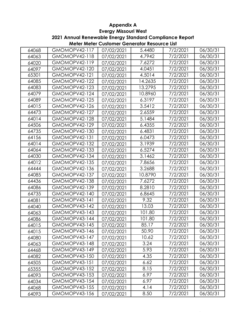**Meter Meter Customer Generator Resource List 2021 Annual Renewable Energy Standard Compliance Report**

| 06/30/31<br>GMOMOPV42-117<br>5.4480<br>7/2/2021<br>64068<br>07/02/2021<br>4.7942<br>GMOMOPV42-118<br>7/2/2021<br>06/30/31<br>64063<br>07/02/2021<br>GMOMOPV42-119<br>7.6272<br>06/30/31<br>7/2/2021<br>64020<br>07/02/2021<br>GMOMOPV42-120<br>4.0451<br>7/2/2021<br>06/30/31<br>64097<br>07/02/2021<br>65301<br>06/30/31<br>GMOMOPV42-121<br>4.5014<br>7/2/2021<br>07/02/2021<br>GMOMOPV42-122<br>14.2635<br>7/2/2021<br>06/30/31<br>64085<br>07/02/2021<br>64083<br>13.2795<br>06/30/31<br>GMOMOPV42-123<br>7/2/2021<br>07/02/2021<br>64079<br>GMOMOPV42-124<br>10.8960<br>06/30/31<br>7/2/2021<br>07/02/2021<br>64089<br>GMOMOPV42-125<br>6.3197<br>7/2/2021<br>06/30/31<br>07/02/2021<br>64015<br>06/30/31<br>GMOMOPV42-126<br>3.5412<br>7/2/2021<br>07/02/2021<br>64473<br>GMOMOPV42-127<br>2.6559<br>7/2/2021<br>06/30/31<br>07/02/2021<br>64014<br>5.1484<br>GMOMOPV42-128<br>7/2/2021<br>06/30/31<br>07/02/2021<br>64506<br>GMOMOPV42-129<br>6.4355<br>7/2/2021<br>06/30/31<br>07/02/2021<br>64735<br>6.4831<br>GMOMOPV42-130<br>7/2/2021<br>06/30/31<br>07/02/2021<br>64156<br>GMOMOPV42-131<br>6.0473<br>06/30/31<br>7/2/2021<br>07/02/2021<br>64014<br>GMOMOPV42-132<br>3.1939<br>06/30/31<br>7/2/2021<br>07/02/2021<br>64064<br>GMOMOPV42-133<br>6.5274<br>06/30/31<br>7/2/2021<br>07/02/2021<br>64030<br>GMOMOPV42-134<br>3.1462<br>7/2/2021<br>06/30/31<br>07/02/2021<br>64012<br>7.8656<br>GMOMOPV42-135<br>7/2/2021<br>06/30/31<br>07/02/2021<br>64444<br>GMOMOPV42-136<br>3.2688<br>7/2/2021<br>06/30/31<br>07/02/2021<br>64085<br>GMOMOPV42-137<br>10.8790<br>7/2/2021<br>06/30/31<br>07/02/2021<br>64436<br>GMOMOPV42-138<br>7.6272<br>7/2/2021<br>06/30/31<br>07/02/2021<br>64086<br>8.2810<br>7/2/2021<br>06/30/31<br>GMOMOPV42-139<br>07/02/2021<br>GMOMOPV42-140<br>06/30/31<br>64735<br>6.8645<br>7/2/2021<br>07/02/2021<br>GMOMOPV43-141<br>9.32<br>7/2/2021<br>06/30/31<br>64081<br>07/02/2021<br>13.03<br>GMOMOPV43-142<br>06/30/31<br>7/2/2021<br>64040<br>07/02/2021<br>GMOMOPV43-143<br>101.80<br>7/2/2021<br>06/30/31<br>64063<br>07/02/2021<br>GMOMOPV43-144<br>101.80<br>06/30/31<br>7/2/2021<br>64086<br>07/02/2021<br><b>GMOMOPV43-145</b><br>7/2/2021<br>06/30/31<br>85.17<br>64015<br>07/02/2021<br>GMOMOPV43-146<br>50.90<br>7/2/2021<br>06/30/31<br>64015<br>07/02/2021<br>10.62<br>06/30/31<br>GMOMOPV43-147<br>7/2/2021<br>64080<br>07/02/2021<br>3.24<br>06/30/31<br>GMOMOPV43-148<br>7/2/2021<br>64063<br>07/02/2021<br>5.93<br>06/30/31<br>GMOMOPV43-149<br>7/2/2021<br>64468<br>07/02/2021<br>4.35<br><b>GMOMOPV43-150</b><br>7/2/2021<br>06/30/31<br>64082<br>07/02/2021<br><b>GMOMOPV43-151</b><br>6.62<br>7/2/2021<br>06/30/31<br>64505<br>07/02/2021<br>8.15<br><b>GMOMOPV43-152</b><br>7/2/2021<br>06/30/31<br>65355<br>07/02/2021<br>6.97<br><b>GMOMOPV43-153</b><br>7/2/2021<br>06/30/31<br>64093<br>07/02/2021<br>6.97<br>GMOMOPV43-154<br>7/2/2021<br>06/30/31<br>64034<br>07/02/2021<br>4.14<br>06/30/31<br>GMOMOPV43-155<br>7/2/2021<br>64068<br>07/02/2021<br>06/30/31<br>GMOMOPV43-156<br>8.50<br>7/2/2021<br>64093<br>07/02/2021 |  |  |  |
|---------------------------------------------------------------------------------------------------------------------------------------------------------------------------------------------------------------------------------------------------------------------------------------------------------------------------------------------------------------------------------------------------------------------------------------------------------------------------------------------------------------------------------------------------------------------------------------------------------------------------------------------------------------------------------------------------------------------------------------------------------------------------------------------------------------------------------------------------------------------------------------------------------------------------------------------------------------------------------------------------------------------------------------------------------------------------------------------------------------------------------------------------------------------------------------------------------------------------------------------------------------------------------------------------------------------------------------------------------------------------------------------------------------------------------------------------------------------------------------------------------------------------------------------------------------------------------------------------------------------------------------------------------------------------------------------------------------------------------------------------------------------------------------------------------------------------------------------------------------------------------------------------------------------------------------------------------------------------------------------------------------------------------------------------------------------------------------------------------------------------------------------------------------------------------------------------------------------------------------------------------------------------------------------------------------------------------------------------------------------------------------------------------------------------------------------------------------------------------------------------------------------------------------------------------------------------------------------------------------------------------------------------------------------------------------------------------------------------------------------------------------------------------------------------------------------------------------------------------------------------------------------------------------------------------------------------------------------------------------------------------------------------------------------------------------------------------------------|--|--|--|
|                                                                                                                                                                                                                                                                                                                                                                                                                                                                                                                                                                                                                                                                                                                                                                                                                                                                                                                                                                                                                                                                                                                                                                                                                                                                                                                                                                                                                                                                                                                                                                                                                                                                                                                                                                                                                                                                                                                                                                                                                                                                                                                                                                                                                                                                                                                                                                                                                                                                                                                                                                                                                                                                                                                                                                                                                                                                                                                                                                                                                                                                                             |  |  |  |
|                                                                                                                                                                                                                                                                                                                                                                                                                                                                                                                                                                                                                                                                                                                                                                                                                                                                                                                                                                                                                                                                                                                                                                                                                                                                                                                                                                                                                                                                                                                                                                                                                                                                                                                                                                                                                                                                                                                                                                                                                                                                                                                                                                                                                                                                                                                                                                                                                                                                                                                                                                                                                                                                                                                                                                                                                                                                                                                                                                                                                                                                                             |  |  |  |
|                                                                                                                                                                                                                                                                                                                                                                                                                                                                                                                                                                                                                                                                                                                                                                                                                                                                                                                                                                                                                                                                                                                                                                                                                                                                                                                                                                                                                                                                                                                                                                                                                                                                                                                                                                                                                                                                                                                                                                                                                                                                                                                                                                                                                                                                                                                                                                                                                                                                                                                                                                                                                                                                                                                                                                                                                                                                                                                                                                                                                                                                                             |  |  |  |
|                                                                                                                                                                                                                                                                                                                                                                                                                                                                                                                                                                                                                                                                                                                                                                                                                                                                                                                                                                                                                                                                                                                                                                                                                                                                                                                                                                                                                                                                                                                                                                                                                                                                                                                                                                                                                                                                                                                                                                                                                                                                                                                                                                                                                                                                                                                                                                                                                                                                                                                                                                                                                                                                                                                                                                                                                                                                                                                                                                                                                                                                                             |  |  |  |
|                                                                                                                                                                                                                                                                                                                                                                                                                                                                                                                                                                                                                                                                                                                                                                                                                                                                                                                                                                                                                                                                                                                                                                                                                                                                                                                                                                                                                                                                                                                                                                                                                                                                                                                                                                                                                                                                                                                                                                                                                                                                                                                                                                                                                                                                                                                                                                                                                                                                                                                                                                                                                                                                                                                                                                                                                                                                                                                                                                                                                                                                                             |  |  |  |
|                                                                                                                                                                                                                                                                                                                                                                                                                                                                                                                                                                                                                                                                                                                                                                                                                                                                                                                                                                                                                                                                                                                                                                                                                                                                                                                                                                                                                                                                                                                                                                                                                                                                                                                                                                                                                                                                                                                                                                                                                                                                                                                                                                                                                                                                                                                                                                                                                                                                                                                                                                                                                                                                                                                                                                                                                                                                                                                                                                                                                                                                                             |  |  |  |
|                                                                                                                                                                                                                                                                                                                                                                                                                                                                                                                                                                                                                                                                                                                                                                                                                                                                                                                                                                                                                                                                                                                                                                                                                                                                                                                                                                                                                                                                                                                                                                                                                                                                                                                                                                                                                                                                                                                                                                                                                                                                                                                                                                                                                                                                                                                                                                                                                                                                                                                                                                                                                                                                                                                                                                                                                                                                                                                                                                                                                                                                                             |  |  |  |
|                                                                                                                                                                                                                                                                                                                                                                                                                                                                                                                                                                                                                                                                                                                                                                                                                                                                                                                                                                                                                                                                                                                                                                                                                                                                                                                                                                                                                                                                                                                                                                                                                                                                                                                                                                                                                                                                                                                                                                                                                                                                                                                                                                                                                                                                                                                                                                                                                                                                                                                                                                                                                                                                                                                                                                                                                                                                                                                                                                                                                                                                                             |  |  |  |
|                                                                                                                                                                                                                                                                                                                                                                                                                                                                                                                                                                                                                                                                                                                                                                                                                                                                                                                                                                                                                                                                                                                                                                                                                                                                                                                                                                                                                                                                                                                                                                                                                                                                                                                                                                                                                                                                                                                                                                                                                                                                                                                                                                                                                                                                                                                                                                                                                                                                                                                                                                                                                                                                                                                                                                                                                                                                                                                                                                                                                                                                                             |  |  |  |
|                                                                                                                                                                                                                                                                                                                                                                                                                                                                                                                                                                                                                                                                                                                                                                                                                                                                                                                                                                                                                                                                                                                                                                                                                                                                                                                                                                                                                                                                                                                                                                                                                                                                                                                                                                                                                                                                                                                                                                                                                                                                                                                                                                                                                                                                                                                                                                                                                                                                                                                                                                                                                                                                                                                                                                                                                                                                                                                                                                                                                                                                                             |  |  |  |
|                                                                                                                                                                                                                                                                                                                                                                                                                                                                                                                                                                                                                                                                                                                                                                                                                                                                                                                                                                                                                                                                                                                                                                                                                                                                                                                                                                                                                                                                                                                                                                                                                                                                                                                                                                                                                                                                                                                                                                                                                                                                                                                                                                                                                                                                                                                                                                                                                                                                                                                                                                                                                                                                                                                                                                                                                                                                                                                                                                                                                                                                                             |  |  |  |
|                                                                                                                                                                                                                                                                                                                                                                                                                                                                                                                                                                                                                                                                                                                                                                                                                                                                                                                                                                                                                                                                                                                                                                                                                                                                                                                                                                                                                                                                                                                                                                                                                                                                                                                                                                                                                                                                                                                                                                                                                                                                                                                                                                                                                                                                                                                                                                                                                                                                                                                                                                                                                                                                                                                                                                                                                                                                                                                                                                                                                                                                                             |  |  |  |
|                                                                                                                                                                                                                                                                                                                                                                                                                                                                                                                                                                                                                                                                                                                                                                                                                                                                                                                                                                                                                                                                                                                                                                                                                                                                                                                                                                                                                                                                                                                                                                                                                                                                                                                                                                                                                                                                                                                                                                                                                                                                                                                                                                                                                                                                                                                                                                                                                                                                                                                                                                                                                                                                                                                                                                                                                                                                                                                                                                                                                                                                                             |  |  |  |
|                                                                                                                                                                                                                                                                                                                                                                                                                                                                                                                                                                                                                                                                                                                                                                                                                                                                                                                                                                                                                                                                                                                                                                                                                                                                                                                                                                                                                                                                                                                                                                                                                                                                                                                                                                                                                                                                                                                                                                                                                                                                                                                                                                                                                                                                                                                                                                                                                                                                                                                                                                                                                                                                                                                                                                                                                                                                                                                                                                                                                                                                                             |  |  |  |
|                                                                                                                                                                                                                                                                                                                                                                                                                                                                                                                                                                                                                                                                                                                                                                                                                                                                                                                                                                                                                                                                                                                                                                                                                                                                                                                                                                                                                                                                                                                                                                                                                                                                                                                                                                                                                                                                                                                                                                                                                                                                                                                                                                                                                                                                                                                                                                                                                                                                                                                                                                                                                                                                                                                                                                                                                                                                                                                                                                                                                                                                                             |  |  |  |
|                                                                                                                                                                                                                                                                                                                                                                                                                                                                                                                                                                                                                                                                                                                                                                                                                                                                                                                                                                                                                                                                                                                                                                                                                                                                                                                                                                                                                                                                                                                                                                                                                                                                                                                                                                                                                                                                                                                                                                                                                                                                                                                                                                                                                                                                                                                                                                                                                                                                                                                                                                                                                                                                                                                                                                                                                                                                                                                                                                                                                                                                                             |  |  |  |
|                                                                                                                                                                                                                                                                                                                                                                                                                                                                                                                                                                                                                                                                                                                                                                                                                                                                                                                                                                                                                                                                                                                                                                                                                                                                                                                                                                                                                                                                                                                                                                                                                                                                                                                                                                                                                                                                                                                                                                                                                                                                                                                                                                                                                                                                                                                                                                                                                                                                                                                                                                                                                                                                                                                                                                                                                                                                                                                                                                                                                                                                                             |  |  |  |
|                                                                                                                                                                                                                                                                                                                                                                                                                                                                                                                                                                                                                                                                                                                                                                                                                                                                                                                                                                                                                                                                                                                                                                                                                                                                                                                                                                                                                                                                                                                                                                                                                                                                                                                                                                                                                                                                                                                                                                                                                                                                                                                                                                                                                                                                                                                                                                                                                                                                                                                                                                                                                                                                                                                                                                                                                                                                                                                                                                                                                                                                                             |  |  |  |
|                                                                                                                                                                                                                                                                                                                                                                                                                                                                                                                                                                                                                                                                                                                                                                                                                                                                                                                                                                                                                                                                                                                                                                                                                                                                                                                                                                                                                                                                                                                                                                                                                                                                                                                                                                                                                                                                                                                                                                                                                                                                                                                                                                                                                                                                                                                                                                                                                                                                                                                                                                                                                                                                                                                                                                                                                                                                                                                                                                                                                                                                                             |  |  |  |
|                                                                                                                                                                                                                                                                                                                                                                                                                                                                                                                                                                                                                                                                                                                                                                                                                                                                                                                                                                                                                                                                                                                                                                                                                                                                                                                                                                                                                                                                                                                                                                                                                                                                                                                                                                                                                                                                                                                                                                                                                                                                                                                                                                                                                                                                                                                                                                                                                                                                                                                                                                                                                                                                                                                                                                                                                                                                                                                                                                                                                                                                                             |  |  |  |
|                                                                                                                                                                                                                                                                                                                                                                                                                                                                                                                                                                                                                                                                                                                                                                                                                                                                                                                                                                                                                                                                                                                                                                                                                                                                                                                                                                                                                                                                                                                                                                                                                                                                                                                                                                                                                                                                                                                                                                                                                                                                                                                                                                                                                                                                                                                                                                                                                                                                                                                                                                                                                                                                                                                                                                                                                                                                                                                                                                                                                                                                                             |  |  |  |
|                                                                                                                                                                                                                                                                                                                                                                                                                                                                                                                                                                                                                                                                                                                                                                                                                                                                                                                                                                                                                                                                                                                                                                                                                                                                                                                                                                                                                                                                                                                                                                                                                                                                                                                                                                                                                                                                                                                                                                                                                                                                                                                                                                                                                                                                                                                                                                                                                                                                                                                                                                                                                                                                                                                                                                                                                                                                                                                                                                                                                                                                                             |  |  |  |
|                                                                                                                                                                                                                                                                                                                                                                                                                                                                                                                                                                                                                                                                                                                                                                                                                                                                                                                                                                                                                                                                                                                                                                                                                                                                                                                                                                                                                                                                                                                                                                                                                                                                                                                                                                                                                                                                                                                                                                                                                                                                                                                                                                                                                                                                                                                                                                                                                                                                                                                                                                                                                                                                                                                                                                                                                                                                                                                                                                                                                                                                                             |  |  |  |
|                                                                                                                                                                                                                                                                                                                                                                                                                                                                                                                                                                                                                                                                                                                                                                                                                                                                                                                                                                                                                                                                                                                                                                                                                                                                                                                                                                                                                                                                                                                                                                                                                                                                                                                                                                                                                                                                                                                                                                                                                                                                                                                                                                                                                                                                                                                                                                                                                                                                                                                                                                                                                                                                                                                                                                                                                                                                                                                                                                                                                                                                                             |  |  |  |
|                                                                                                                                                                                                                                                                                                                                                                                                                                                                                                                                                                                                                                                                                                                                                                                                                                                                                                                                                                                                                                                                                                                                                                                                                                                                                                                                                                                                                                                                                                                                                                                                                                                                                                                                                                                                                                                                                                                                                                                                                                                                                                                                                                                                                                                                                                                                                                                                                                                                                                                                                                                                                                                                                                                                                                                                                                                                                                                                                                                                                                                                                             |  |  |  |
|                                                                                                                                                                                                                                                                                                                                                                                                                                                                                                                                                                                                                                                                                                                                                                                                                                                                                                                                                                                                                                                                                                                                                                                                                                                                                                                                                                                                                                                                                                                                                                                                                                                                                                                                                                                                                                                                                                                                                                                                                                                                                                                                                                                                                                                                                                                                                                                                                                                                                                                                                                                                                                                                                                                                                                                                                                                                                                                                                                                                                                                                                             |  |  |  |
|                                                                                                                                                                                                                                                                                                                                                                                                                                                                                                                                                                                                                                                                                                                                                                                                                                                                                                                                                                                                                                                                                                                                                                                                                                                                                                                                                                                                                                                                                                                                                                                                                                                                                                                                                                                                                                                                                                                                                                                                                                                                                                                                                                                                                                                                                                                                                                                                                                                                                                                                                                                                                                                                                                                                                                                                                                                                                                                                                                                                                                                                                             |  |  |  |
|                                                                                                                                                                                                                                                                                                                                                                                                                                                                                                                                                                                                                                                                                                                                                                                                                                                                                                                                                                                                                                                                                                                                                                                                                                                                                                                                                                                                                                                                                                                                                                                                                                                                                                                                                                                                                                                                                                                                                                                                                                                                                                                                                                                                                                                                                                                                                                                                                                                                                                                                                                                                                                                                                                                                                                                                                                                                                                                                                                                                                                                                                             |  |  |  |
|                                                                                                                                                                                                                                                                                                                                                                                                                                                                                                                                                                                                                                                                                                                                                                                                                                                                                                                                                                                                                                                                                                                                                                                                                                                                                                                                                                                                                                                                                                                                                                                                                                                                                                                                                                                                                                                                                                                                                                                                                                                                                                                                                                                                                                                                                                                                                                                                                                                                                                                                                                                                                                                                                                                                                                                                                                                                                                                                                                                                                                                                                             |  |  |  |
|                                                                                                                                                                                                                                                                                                                                                                                                                                                                                                                                                                                                                                                                                                                                                                                                                                                                                                                                                                                                                                                                                                                                                                                                                                                                                                                                                                                                                                                                                                                                                                                                                                                                                                                                                                                                                                                                                                                                                                                                                                                                                                                                                                                                                                                                                                                                                                                                                                                                                                                                                                                                                                                                                                                                                                                                                                                                                                                                                                                                                                                                                             |  |  |  |
|                                                                                                                                                                                                                                                                                                                                                                                                                                                                                                                                                                                                                                                                                                                                                                                                                                                                                                                                                                                                                                                                                                                                                                                                                                                                                                                                                                                                                                                                                                                                                                                                                                                                                                                                                                                                                                                                                                                                                                                                                                                                                                                                                                                                                                                                                                                                                                                                                                                                                                                                                                                                                                                                                                                                                                                                                                                                                                                                                                                                                                                                                             |  |  |  |
|                                                                                                                                                                                                                                                                                                                                                                                                                                                                                                                                                                                                                                                                                                                                                                                                                                                                                                                                                                                                                                                                                                                                                                                                                                                                                                                                                                                                                                                                                                                                                                                                                                                                                                                                                                                                                                                                                                                                                                                                                                                                                                                                                                                                                                                                                                                                                                                                                                                                                                                                                                                                                                                                                                                                                                                                                                                                                                                                                                                                                                                                                             |  |  |  |
|                                                                                                                                                                                                                                                                                                                                                                                                                                                                                                                                                                                                                                                                                                                                                                                                                                                                                                                                                                                                                                                                                                                                                                                                                                                                                                                                                                                                                                                                                                                                                                                                                                                                                                                                                                                                                                                                                                                                                                                                                                                                                                                                                                                                                                                                                                                                                                                                                                                                                                                                                                                                                                                                                                                                                                                                                                                                                                                                                                                                                                                                                             |  |  |  |
|                                                                                                                                                                                                                                                                                                                                                                                                                                                                                                                                                                                                                                                                                                                                                                                                                                                                                                                                                                                                                                                                                                                                                                                                                                                                                                                                                                                                                                                                                                                                                                                                                                                                                                                                                                                                                                                                                                                                                                                                                                                                                                                                                                                                                                                                                                                                                                                                                                                                                                                                                                                                                                                                                                                                                                                                                                                                                                                                                                                                                                                                                             |  |  |  |
|                                                                                                                                                                                                                                                                                                                                                                                                                                                                                                                                                                                                                                                                                                                                                                                                                                                                                                                                                                                                                                                                                                                                                                                                                                                                                                                                                                                                                                                                                                                                                                                                                                                                                                                                                                                                                                                                                                                                                                                                                                                                                                                                                                                                                                                                                                                                                                                                                                                                                                                                                                                                                                                                                                                                                                                                                                                                                                                                                                                                                                                                                             |  |  |  |
|                                                                                                                                                                                                                                                                                                                                                                                                                                                                                                                                                                                                                                                                                                                                                                                                                                                                                                                                                                                                                                                                                                                                                                                                                                                                                                                                                                                                                                                                                                                                                                                                                                                                                                                                                                                                                                                                                                                                                                                                                                                                                                                                                                                                                                                                                                                                                                                                                                                                                                                                                                                                                                                                                                                                                                                                                                                                                                                                                                                                                                                                                             |  |  |  |
|                                                                                                                                                                                                                                                                                                                                                                                                                                                                                                                                                                                                                                                                                                                                                                                                                                                                                                                                                                                                                                                                                                                                                                                                                                                                                                                                                                                                                                                                                                                                                                                                                                                                                                                                                                                                                                                                                                                                                                                                                                                                                                                                                                                                                                                                                                                                                                                                                                                                                                                                                                                                                                                                                                                                                                                                                                                                                                                                                                                                                                                                                             |  |  |  |
|                                                                                                                                                                                                                                                                                                                                                                                                                                                                                                                                                                                                                                                                                                                                                                                                                                                                                                                                                                                                                                                                                                                                                                                                                                                                                                                                                                                                                                                                                                                                                                                                                                                                                                                                                                                                                                                                                                                                                                                                                                                                                                                                                                                                                                                                                                                                                                                                                                                                                                                                                                                                                                                                                                                                                                                                                                                                                                                                                                                                                                                                                             |  |  |  |
|                                                                                                                                                                                                                                                                                                                                                                                                                                                                                                                                                                                                                                                                                                                                                                                                                                                                                                                                                                                                                                                                                                                                                                                                                                                                                                                                                                                                                                                                                                                                                                                                                                                                                                                                                                                                                                                                                                                                                                                                                                                                                                                                                                                                                                                                                                                                                                                                                                                                                                                                                                                                                                                                                                                                                                                                                                                                                                                                                                                                                                                                                             |  |  |  |
|                                                                                                                                                                                                                                                                                                                                                                                                                                                                                                                                                                                                                                                                                                                                                                                                                                                                                                                                                                                                                                                                                                                                                                                                                                                                                                                                                                                                                                                                                                                                                                                                                                                                                                                                                                                                                                                                                                                                                                                                                                                                                                                                                                                                                                                                                                                                                                                                                                                                                                                                                                                                                                                                                                                                                                                                                                                                                                                                                                                                                                                                                             |  |  |  |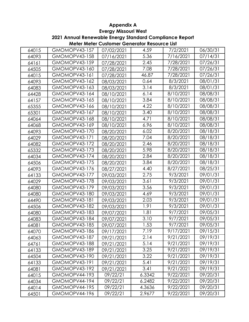**Meter Meter Customer Generator Resource List 2021 Annual Renewable Energy Standard Compliance Report**

| 64015 | GMOMOPV43-157        | 07/02/2021 | 4.59   | 7/2/2021  | 06/30/31 |
|-------|----------------------|------------|--------|-----------|----------|
| 64093 | GMOMOPV43-158        | 07/16/2021 | 5.36   | 7/16/2021 | 07/14/31 |
| 64161 | <b>GMOMOPV43-159</b> | 07/28/2021 | 2.45   | 7/28/2021 | 07/26/31 |
| 64505 | GMOMOPV43-160        | 07/28/2021 | 7.08   | 7/28/2021 | 07/26/31 |
| 64015 | GMOMOPV43-161        | 07/28/2021 | 46.87  | 7/28/2021 | 07/26/31 |
| 64093 | <b>GMOMOPV43-162</b> | 08/03/2021 | 0.64   | 8/3/2021  | 08/01/31 |
| 64083 | GMOMOPV43-163        | 08/03/2021 | 3.14   | 8/3/2021  | 08/01/31 |
| 64428 | GMOMOPV43-164        | 08/10/2021 | 6.14   | 8/10/2021 | 08/08/31 |
| 64157 | GMOMOPV43-165        | 08/10/2021 | 3.84   | 8/10/2021 | 08/08/31 |
| 65355 | GMOMOPV43-166        | 08/10/2021 | 4.22   | 8/10/2021 | 08/08/31 |
| 65301 | GMOMOPV43-167        | 08/10/2021 | 3.40   | 8/10/2021 | 08/08/31 |
| 64064 | GMOMOPV43-168        | 08/10/2021 | 4.71   | 8/10/2021 | 08/08/31 |
| 64068 | GMOMOPV43-169        | 08/10/2021 | 6.96   | 8/10/2021 | 08/08/31 |
| 64093 | <b>GMOMOPV43-170</b> | 08/20/2021 | 6.02   | 8/20/2021 | 08/18/31 |
| 64029 | <b>GMOMOPV43-171</b> | 08/20/2021 | 7.04   | 8/20/2021 | 08/18/31 |
| 64082 | <b>GMOMOPV43-172</b> | 08/20/2021 | 2.46   | 8/20/2021 | 08/18/31 |
| 65332 | <b>GMOMOPV43-173</b> | 08/20/2021 | 5.98   | 8/20/2021 | 08/18/31 |
| 64034 | GMOMOPV43-174        | 08/20/2021 | 2.84   | 8/20/2021 | 08/18/31 |
| 64506 | GMOMOPV43-175        | 08/20/2021 | 3.84   | 8/20/2021 | 08/18/31 |
| 64093 | GMOMOPV43-176        | 08/27/2021 | 4.40   | 8/27/2021 | 08/25/31 |
| 64133 | GMOMOPV43-177        | 09/03/2021 | 2.75   | 9/3/2021  | 09/01/31 |
| 64029 | <b>GMOMOPV43-178</b> | 09/03/2021 | 3.61   | 9/3/2021  | 09/01/31 |
| 64080 | <b>GMOMOPV43-179</b> | 09/03/2021 | 3.56   | 9/3/2021  | 09/01/31 |
| 64080 | <b>GMOMOPV43-180</b> | 09/03/2021 | 4.69   | 9/3/2021  | 09/01/31 |
| 64490 | <b>GMOMOPV43-181</b> | 09/03/2021 | 2.03   | 9/3/2021  | 09/01/31 |
| 64506 | <b>GMOMOPV43-182</b> | 09/03/2021 | 1.91   | 9/3/2021  | 09/01/31 |
| 64080 | GMOMOPV43-183        | 09/07/2021 | 1.81   | 9/7/2021  | 09/05/31 |
| 64083 | GMOMOPV43-184        | 09/07/2021 | 3.10   | 9/7/2021  | 09/05/31 |
| 64081 | <b>GMOMOPV43-185</b> | 09/07/2021 | 1.53   | 9/7/2021  | 09/05/31 |
| 64070 | GMOMOPV43-186        | 09/17/2021 | 7.19   | 9/17/2021 | 09/15/31 |
| 64063 | GMOMOPV43-187        | 09/21/2021 | 2.14   | 9/21/2021 | 09/19/31 |
| 64761 | GMOMOPV43-188        | 09/21/2021 | 5.14   | 9/21/2021 | 09/19/31 |
| 64133 | GMOMOPV43-189        | 09/21/2021 | 3.25   | 9/21/2021 | 09/19/31 |
| 64504 | GMOMOPV43-190        | 09/21/2021 | 3.22   | 9/21/2021 | 09/19/31 |
| 64133 | <b>GMOMOPV43-191</b> | 09/21/2021 | 5.41   | 9/21/2021 | 09/19/31 |
| 64081 | GMOMOPV43-192        | 09/21/2021 | 3.41   | 9/21/2021 | 09/19/31 |
| 64015 | GMOMOPV44-193        | 09/22/21   | 6.3342 | 9/22/2021 | 09/20/31 |
| 64034 | GMOMOPV44-194        | 09/22/21   | 6.2482 | 9/22/2021 | 09/20/31 |
| 64014 | GMOMOPV44-195        | 09/22/21   | 4.3636 | 9/22/2021 | 09/20/31 |
| 64501 | GMOMOPV44-196        | 09/22/21   | 2.9677 | 9/22/2021 | 09/20/31 |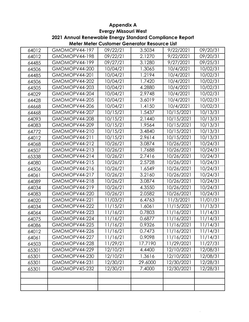**Meter Meter Customer Generator Resource List 2021 Annual Renewable Energy Standard Compliance Report**

| 64012 | GMOMOPV44-197        | 09/22/21 | 3.5034  | 9/22/2021  | 09/20/31 |
|-------|----------------------|----------|---------|------------|----------|
| 64012 | GMOMOPV44-198        | 09/22/21 | 2.1270  | 9/22/2021  | 09/20/31 |
| 64485 | GMOMOPV44-199        | 09/27/21 | 3.1280  | 9/27/2021  | 09/25/31 |
| 64506 | GMOMOPV44-200        | 10/04/21 | 1.3065  | 10/4/2021  | 10/02/31 |
| 64485 | GMOMOPV44-201        | 10/04/21 | 1.2194  | 10/4/2021  | 10/02/31 |
| 64506 | GMOMOPV44-202        | 10/04/21 | 1.7420  | 10/4/2021  | 10/02/31 |
| 64505 | GMOMOPV44-203        | 10/04/21 | 4.2880  | 10/4/2021  | 10/02/31 |
| 64029 | GMOMOPV44-204        | 10/04/21 | 2.9748  | 10/4/2021  | 10/02/31 |
| 64428 | GMOMOPV44-205        | 10/04/21 | 3.6019  | 10/4/2021  | 10/02/31 |
| 64668 | GMOMOPV44-206        | 10/04/21 | 1.4150  | 10/4/2021  | 10/02/31 |
| 64468 | GMOMOPV44-207        | 10/15/21 | 1.5437  | 10/15/2021 | 10/13/31 |
| 64093 | GMOMOPV44-208        | 10/15/21 | 2.1440  | 10/15/2021 | 10/13/31 |
| 64083 | GMOMOPV44-209        | 10/15/21 | 1.9564  | 10/15/2021 | 10/13/31 |
| 64772 | GMOMOPV44-210        | 10/15/21 | 3.4840  | 10/15/2021 | 10/13/31 |
| 64012 | <b>GMOMOPV44-211</b> | 10/15/21 | 2.9614  | 10/15/2021 | 10/13/31 |
| 64068 | GMOMOPV44-212        | 10/26/21 | 3.0874  | 10/26/2021 | 10/24/31 |
| 64507 | GMOMOPV44-213        | 10/26/21 | 1.7688  | 10/26/2021 | 10/24/31 |
| 65338 | GMOMOPV44-214        | 10/26/21 | 2.7416  | 10/26/2021 | 10/24/31 |
| 64080 | GMOMOPV44-215        | 10/26/21 | 2.5728  | 10/26/2021 | 10/24/31 |
| 64506 | GMOMOPV44-216        | 10/26/21 | 1.6549  | 10/26/2021 | 10/24/31 |
| 64061 | GMOMOPV44-217        | 10/26/21 | 3.2160  | 10/26/2021 | 10/24/31 |
| 64089 | GMOMOPV44-218        | 10/26/21 | 3.0874  | 10/26/2021 | 10/24/31 |
| 64034 | GMOMOPV44-219        | 10/26/21 | 4.3550  | 10/26/2021 | 10/24/31 |
| 64083 | GMOMOPV44-220        | 10/26/21 | 2.0582  | 10/26/2021 | 10/24/31 |
| 64020 | GMOMOPV44-221        | 11/03/21 | 6.4763  | 11/3/2021  | 11/01/31 |
| 64034 | GMOMOPV44-222        | 11/15/21 | 1.6061  | 11/15/2021 | 11/13/31 |
| 64064 | GMOMOPV44-223        | 11/16/21 | 0.7803  | 11/16/2021 | 11/14/31 |
| 64075 | GMOMOPV44-224        | 11/16/21 | 0.6877  | 11/16/2021 | 11/14/31 |
| 64086 | GMOMOPV44-225        | 11/16/21 | 0.9326  | 11/16/2021 | 11/14/31 |
| 64012 | GMOMOPV44-226        | 11/16/21 | 0.7473  | 11/16/2021 | 11/14/31 |
| 64061 | GMOMOPV44-227        | 11/16/21 | 0.9098  | 11/16/2021 | 11/14/31 |
| 64503 | GMOMOPV44-228        | 11/29/21 | 17.7190 | 11/29/2021 | 11/27/31 |
| 65301 | GMOMOPV44-229        | 12/10/21 | 4.4400  | 12/10/2021 | 12/08/31 |
| 65301 | GMOMOPV44-230        | 12/10/21 | 1.3616  | 12/10/2021 | 12/08/31 |
| 65301 | GMOMOPV44-231        | 12/30/21 | 29.6000 | 12/30/2021 | 12/28/31 |
| 65301 | GMOMOPV45-232        | 12/30/21 | 7.4000  | 12/30/2021 | 12/28/31 |
|       |                      |          |         |            |          |
|       |                      |          |         |            |          |
|       |                      |          |         |            |          |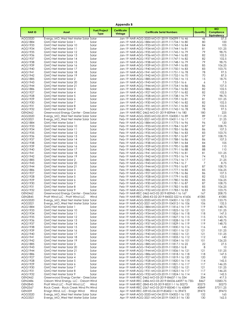|                                  |                                                                          |                                    | Appendix B                    |                                                                                                    |                |                                               |
|----------------------------------|--------------------------------------------------------------------------|------------------------------------|-------------------------------|----------------------------------------------------------------------------------------------------|----------------|-----------------------------------------------|
| <b>NARID</b>                     | Asset                                                                    | <b>Fuel/Project</b><br><b>Type</b> | <b>Certificate</b><br>Vintage | <b>Certificate Serial Numbers</b>                                                                  | Quantity       | <b>MO</b><br>Compliance<br><b>Equivalency</b> |
| AGG3320                          | Evergy_MO_West Net Meter Solar Solar                                     |                                    |                               | Jan-19 NAR-AGG-3320-MO-01-2019-104299-1 to 46                                                      | 46             | 57.5                                          |
| AGG1884<br>AGG1933               | GMO Net Meter Solar 1<br>GMO Net Meter Solar 10                          | Solar<br>Solar                     |                               | Jan-19 NAR-AGG-1884-MO-01-2019-111734-1 to 80<br>Jan-19 NAR-AGG-1933-MO-01-2019-111743-1 to 84     | 80<br>84       | 100<br>105                                    |
| AGG1934                          | GMO Net Meter Solar 11                                                   | Solar                              |                               | Jan-19 NAR-AGG-1934-MO-01-2019-111744-1 to 81                                                      | 81             | 101.25                                        |
| AGG1935                          | GMO Net Meter Solar 12                                                   | Solar                              |                               | Jan-19 NAR-AGG-1935-MO-01-2019-111745-1 to 79                                                      | 79             | 98.75                                         |
| AGG1936                          | GMO Net Meter Solar 13                                                   | Solar                              |                               | Jan-19 NAR-AGG-1936-MO-01-2019-111746-1 to 82                                                      | 82             | 102.5                                         |
| AGG1937                          | GMO Net Meter Solar 14                                                   | Solar                              |                               | Jan-19 NAR-AGG-1937-MO-01-2019-111747-1 to 82                                                      | 82             | 102.5                                         |
| AGG1938<br>AGG1939               | GMO Net Meter Solar 15<br>GMO Net Meter Solar 16                         | Solar<br>Solar                     |                               | Jan-19 NAR-AGG-1938-MO-01-2019-111748-1 to 79<br>Jan-19 NAR-AGG-1939-MO-01-2019-111749-1 to 85     | 79<br>85       | 98.75<br>106.25                               |
| AGG1940                          | GMO Net Meter Solar 17                                                   | Solar                              |                               | Jan-19 NAR-AGG-1940-MO-01-2019-111750-1 to 83                                                      | 83             | 103.75                                        |
| AGG1941                          | GMO Net Meter Solar 18                                                   | Solar                              |                               | Jan-19 NAR-AGG-1941-MO-01-2019-111751-1 to 78                                                      | 78             | 97.5                                          |
| AGG1942                          | GMO Net Meter Solar 19                                                   | Solar                              |                               | Jan-19 NAR-AGG-1942-MO-01-2019-111752-1 to 70                                                      | 70             | 87.5                                          |
| AGG1885                          | GMO Net Meter Solar 2                                                    | Solar                              |                               | Jan-19 NAR-AGG-1885-MO-01-2019-111735-1 to 15                                                      | 15             | 18.75                                         |
| AGG1943<br>AGG1944               | GMO Net Meter Solar 20<br>GMO Net Meter Solar 21                         | Solar<br>Solar                     |                               | Jan-19 NAR-AGG-1943-MO-01-2019-111753-1 to 6<br>Jan-19 NAR-AGG-1944-MO-01-2019-111754-1 to 86      | 6<br>86        | 7.5<br>107.5                                  |
| AGG1886                          | GMO Net Meter Solar 3                                                    | Solar                              |                               | Jan-19 NAR-AGG-1886-MO-01-2019-111736-1 to 82                                                      | 82             | 102.5                                         |
| AGG1927                          | GMO Net Meter Solar 4                                                    | Solar                              |                               | Jan-19 NAR-AGG-1927-MO-01-2019-111737-1 to 82                                                      | 82             | 102.5                                         |
| AGG1928                          | GMO Net Meter Solar 5                                                    | Solar                              |                               | Jan-19 NAR-AGG-1928-MO-01-2019-111738-1 to 79                                                      | 79             | 98.75                                         |
| AGG1929                          | GMO Net Meter Solar 6                                                    | Solar                              |                               | Jan-19 NAR-AGG-1929-MO-01-2019-111739-1 to 81                                                      | 81             | 101.25                                        |
| AGG1930<br>AGG1931               | GMO Net Meter Solar 7<br>GMO Net Meter Solar 8                           | Solar<br>Solar                     |                               | Jan-19 NAR-AGG-1930-MO-01-2019-111740-1 to 82<br>Jan-19 NAR-AGG-1931-MO-01-2019-111741-1 to 82     | 82<br>82       | 102.5<br>102.5                                |
| AGG1932                          | GMO Net Meter Solar 9                                                    | Solar                              |                               | Jan-19 NAR-AGG-1932-MO-01-2019-111742-1 to 78                                                      | 78             | 97.5                                          |
| GEN2462                          | Greenwood Energy Center - Gree Solar                                     |                                    |                               | Jan-19 NAR-REC-2462-MO-01-2019-83944-1 to 180                                                      | 180            | 225                                           |
| AGG3320                          | Evergy MO West Net Meter Solar Solar                                     |                                    |                               | Feb-19 NAR-AGG-3320-MO-02-2019-104300-1 to 89                                                      | 89             | 111.25                                        |
| AGG3321                          | Evergy_MO_West Net Meter Solar Solar                                     |                                    |                               | Feb-19 NAR-AGG-3321-MO-02-2019-104311-1 to 17                                                      | 17             | 21.25                                         |
| AGG1884<br>AGG1933               | GMO Net Meter Solar 1<br>GMO Net Meter Solar 10                          | Solar<br>Solar                     |                               | Feb-19 NAR-AGG-1884-MO-02-2019-111775-1 to 96<br>Feb-19 NAR-AGG-1933-MO-02-2019-111784-1 to 87     | 96<br>87       | 120<br>108.75                                 |
| AGG1934                          | GMO Net Meter Solar 11                                                   | Solar                              |                               | Feb-19 NAR-AGG-1934-MO-02-2019-111785-1 to 86                                                      | 86             | 107.5                                         |
| AGG1935                          | GMO Net Meter Solar 12                                                   | Solar                              |                               | Feb-19 NAR-AGG-1935-MO-02-2019-111786-1 to 83                                                      | 83             | 103.75                                        |
| AGG1936                          | GMO Net Meter Solar 13                                                   | Solar                              |                               | Feb-19 NAR-AGG-1936-MO-02-2019-111787-1 to 87                                                      | 87             | 108.75                                        |
| AGG1937                          | GMO Net Meter Solar 14                                                   | Solar                              |                               | Feb-19 NAR-AGG-1937-MO-02-2019-111788-1 to 86                                                      | 86             | 107.5                                         |
| AGG1938                          | GMO Net Meter Solar 15                                                   | Solar                              |                               | Feb-19 NAR-AGG-1938-MO-02-2019-111789-1 to 84                                                      | 84<br>88       | 105<br>110                                    |
| AGG1939<br>AGG1940               | GMO Net Meter Solar 16<br>GMO Net Meter Solar 17                         | Solar<br>Solar                     |                               | Feb-19 NAR-AGG-1939-MO-02-2019-111790-1 to 88<br>Feb-19 NAR-AGG-1940-MO-02-2019-111791-1 to 88     | 88             | 110                                           |
| AGG1941                          | GMO Net Meter Solar 18                                                   | Solar                              |                               | Feb-19 NAR-AGG-1941-MO-02-2019-111792-1 to 81                                                      | 81             | 101.25                                        |
| AGG1942                          | GMO Net Meter Solar 19                                                   | Solar                              |                               | Feb-19 NAR-AGG-1942-MO-02-2019-111793-1 to 74                                                      | 74             | 92.5                                          |
| AGG1885                          | GMO Net Meter Solar 2                                                    | Solar                              |                               | Feb-19 NAR-AGG-1885-MO-02-2019-111776-1 to 17                                                      | 17             | 21.25                                         |
| AGG1943                          | GMO Net Meter Solar 20                                                   | Solar                              |                               | Feb-19 NAR-AGG-1943-MO-02-2019-111794-1 to 7                                                       | 7              | 8.75                                          |
| AGG1944<br>AGG1886               | GMO Net Meter Solar 21<br>GMO Net Meter Solar 3                          | Solar<br>Solar                     |                               | Feb-19 NAR-AGG-1944-MO-02-2019-111795-1 to 87<br>Feb-19 NAR-AGG-1886-MO-02-2019-111777-1 to 85     | 87<br>85       | 108.75<br>106.25                              |
| AGG1927                          | GMO Net Meter Solar 4                                                    | Solar                              |                               | Feb-19 NAR-AGG-1927-MO-02-2019-111778-1 to 86                                                      | 86             | 107.5                                         |
| AGG1928                          | GMO Net Meter Solar 5                                                    | Solar                              |                               | Feb-19 NAR-AGG-1928-MO-02-2019-111779-1 to 82                                                      | 82             | 102.5                                         |
| AGG1929                          | GMO Net Meter Solar 6                                                    | Solar                              |                               | Feb-19 NAR-AGG-1929-MO-02-2019-111780-1 to 85                                                      | 85             | 106.25                                        |
| AGG1930<br>AGG1931               | GMO Net Meter Solar 7                                                    | Solar                              |                               | Feb-19 NAR-AGG-1930-MO-02-2019-111781-1 to 87<br>Feb-19 NAR-AGG-1931-MO-02-2019-111782-1 to 85     | 87<br>85       | 108.75<br>106.25                              |
| AGG1932                          | GMO Net Meter Solar 8<br>GMO Net Meter Solar 9                           | Solar<br>Solar                     |                               | Feb-19 NAR-AGG-1932-MO-02-2019-111783-1 to 83                                                      | 83             | 103.75                                        |
| GEN2462                          | Greenwood Energy Center - Gree Solar                                     |                                    |                               | Feb-19 NAR-REC-2462-MO-02-2019-83945-1 to 167                                                      | 167            | 208.75                                        |
| <b>GEN2845</b>                   | Pratt Wind LLC - Pratt Wind LLC                                          | Wind                               |                               | Feb-19 NAR-REC-2845-KS-02-2019-84502-522 to 41606                                                  | 41085          | 41085                                         |
| AGG3320                          | Evergy MO West Net Meter Solar Solar                                     |                                    |                               | Mar-19 NAR-AGG-3320-MO-03-2019-104301-1 to 123                                                     | 123            | 153.75                                        |
| AGG3321<br>AGG1884               | Evergy_MO_West Net Meter Solar Solar<br>GMO Net Meter Solar 1            | Solar                              |                               | Mar-19 NAR-AGG-3321-MO-03-2019-104312-1 to 106<br>Mar-19 NAR-AGG-1884-MO-03-2019-111816-1 to 119   | 106<br>119     | 132.5<br>148.75                               |
| AGG1933                          | GMO Net Meter Solar 10                                                   | Solar                              |                               | Mar-19 NAR-AGG-1933-MO-03-2019-111825-1 to 121                                                     | 121            | 151.25                                        |
| AGG1934                          | GMO Net Meter Solar 11                                                   | Solar                              |                               | Mar-19 NAR-AGG-1934-MO-03-2019-111826-1 to 118                                                     | 118            | 147.5                                         |
| AGG1935                          | GMO Net Meter Solar 12                                                   | Solar                              |                               | Mar-19 NAR-AGG-1935-MO-03-2019-111827-1 to 115                                                     | 115            | 143.75                                        |
| AGG1936                          | GMO Net Meter Solar 13                                                   | Solar                              |                               | Mar-19 NAR-AGG-1936-MO-03-2019-111828-1 to 119                                                     | 119            | 148.75                                        |
| AGG1937<br>AGG1938               | GMO Net Meter Solar 14<br>GMO Net Meter Solar 15                         | Solar<br>Solar                     |                               | Mar-19 NAR-AGG-1937-MO-03-2019-111829-1 to 119<br>Mar-19 NAR-AGG-1938-MO-03-2019-111830-1 to 116   | 119<br>116     | 148.75<br>145                                 |
| AGG1939                          | GMO Net Meter Solar 16                                                   | Solar                              |                               | Mar-19 NAR-AGG-1939-MO-03-2019-111831-1 to 121                                                     | 121            | 151.25                                        |
| AGG1940                          | GMO Net Meter Solar 17                                                   | Solar                              |                               | Mar-19 NAR-AGG-1940-MO-03-2019-111832-1 to 121                                                     | 121            | 151.25                                        |
| AGG1941                          | GMO Net Meter Solar 18                                                   | Solar                              |                               | Mar-19 NAR-AGG-1941-MO-03-2019-111833-1 to 112                                                     | 112            | 140                                           |
| AGG1942                          | GMO Net Meter Solar 19                                                   | Solar                              |                               | Mar-19 NAR-AGG-1942-MO-03-2019-111834-1 to 101                                                     | 101            | 126.25                                        |
| AGG1885<br>AGG1943               | GMO Net Meter Solar 2<br>GMO Net Meter Solar 20                          | Solar<br>Solar                     |                               | Mar-19 NAR-AGG-1885-MO-03-2019-111817-1 to 22<br>Mar-19 NAR-AGG-1943-MO-03-2019-111835-1 to 8      | 22<br>8        | 27.5<br>10                                    |
| AGG1944                          | GMO Net Meter Solar 21                                                   | Solar                              |                               | Mar-19 NAR-AGG-1944-MO-03-2019-111836-1 to 121                                                     | 121            | 151.25                                        |
| AGG1886                          | GMO Net Meter Solar 3                                                    | Solar                              |                               | Mar-19 NAR-AGG-1886-MO-03-2019-111818-1 to 118                                                     | 118            | 147.5                                         |
| AGG1927                          | GMO Net Meter Solar 4                                                    | Solar                              |                               | Mar-19 NAR-AGG-1927-MO-03-2019-111819-1 to 120                                                     | 120            | 150                                           |
| AGG1928<br>AGG1929               | GMO Net Meter Solar 5<br>GMO Net Meter Solar 6                           | Solar<br>Solar                     |                               | Mar-19 NAR-AGG-1928-MO-03-2019-111820-1 to 114<br>Mar-19 NAR-AGG-1929-MO-03-2019-111821-1 to 117   | 114<br>117     | 142.5<br>146.25                               |
| AGG1930                          | GMO Net Meter Solar 7                                                    | Solar                              |                               | Mar-19 NAR-AGG-1930-MO-03-2019-111822-1 to 121                                                     | 121            | 151.25                                        |
| AGG1931                          | GMO Net Meter Solar 8                                                    | Solar                              |                               | Mar-19 NAR-AGG-1931-MO-03-2019-111823-1 to 117                                                     | 117            | 146.25                                        |
| AGG1932                          | GMO Net Meter Solar 9                                                    | Solar                              |                               | Mar-19 NAR-AGG-1932-MO-03-2019-111824-1 to 114                                                     | 114            | 142.5                                         |
| GEN2462                          | Greenwood Energy Center - Gree Solar                                     |                                    |                               | Mar-19 NAR-REC-2462-MO-03-2019-84637-1 to 334                                                      | 334            | 417.5                                         |
| GEN2486                          | Osborn Wind Energy, LLC - Osborn Wind                                    | Wind                               |                               | Mar-19 NAR-REC-2486-MO-03-2019-84536-64597 to 730                                                  | 8467           | 10583.75                                      |
| <b>GEN2845</b><br><b>GEN2567</b> | Pratt Wind LLC - Pratt Wind LLC<br>Rock Creek - Rock Creek Wind Pro Wind |                                    |                               | Mar-19 NAR-REC-2845-KS-03-2019-85311-1 to 50273<br>Mar-19 NAR-REC-2567-MO-03-2019-85040-1 to 45849 | 50273<br>45849 | 50273<br>57311.25                             |
| <b>GEN339</b>                    | Ensign Wind, LLC - Ensign Wind                                           | Wind                               |                               | Apr-19 NAR-REC-339-KS-04-2019-85402-1 to 39473                                                     | 39473          | 39473                                         |
| AGG3320                          | Evergy_MO_West Net Meter Solar Solar                                     |                                    |                               | Apr-19 NAR-AGG-3320-MO-04-2019-104302-1 to 132                                                     | 132            | 165                                           |
| AGG3321                          | Evergy_MO_West Net Meter Solar Solar                                     |                                    |                               | Apr-19 NAR-AGG-3321-MO-04-2019-104313-1 to 130                                                     | 130            | 162.5                                         |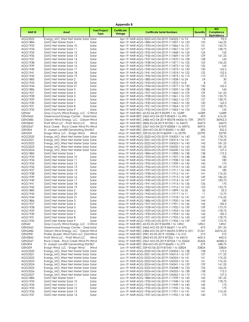|                           |                                                                              |                                    | <b>Appendix B</b>             |                                                                                                       |                 |                                               |
|---------------------------|------------------------------------------------------------------------------|------------------------------------|-------------------------------|-------------------------------------------------------------------------------------------------------|-----------------|-----------------------------------------------|
| <b>NARID</b>              | Asset                                                                        | <b>Fuel/Project</b><br><b>Type</b> | <b>Certificate</b><br>Vintage | <b>Certificate Serial Numbers</b>                                                                     | Quantity        | <b>MO</b><br>Compliance<br><b>Equivalency</b> |
| AGG3322                   | Evergy_MO_West Net Meter Solar Solar                                         |                                    |                               | Apr-19 NAR-AGG-3322-MO-04-2019-104322-1 to 74                                                         | 74              | 92.5                                          |
| AGG1884                   | GMO Net Meter Solar 1                                                        | Solar                              |                               | Apr-19 NAR-AGG-1884-MO-04-2019-111857-1 to 133                                                        | 133             | 166.25                                        |
| AGG1933                   | GMO Net Meter Solar 10                                                       | Solar                              |                               | Apr-19 NAR-AGG-1933-MO-04-2019-111866-1 to 131                                                        | 131             | 163.75                                        |
| AGG1934                   | GMO Net Meter Solar 11                                                       | Solar                              |                               | Apr-19 NAR-AGG-1934-MO-04-2019-111867-1 to 127                                                        | 127             | 158.75                                        |
| AGG1935<br>AGG1936        | GMO Net Meter Solar 12<br>GMO Net Meter Solar 13                             | Solar<br>Solar                     |                               | Apr-19 NAR-AGG-1935-MO-04-2019-111868-1 to 124<br>Apr-19 NAR-AGG-1936-MO-04-2019-111869-1 to 129      | 124<br>129      | 155<br>161.25                                 |
| AGG1937                   | GMO Net Meter Solar 14                                                       | Solar                              |                               | Apr-19 NAR-AGG-1937-MO-04-2019-111870-1 to 128                                                        | 128             | 160                                           |
| AGG1938                   | GMO Net Meter Solar 15                                                       | Solar                              |                               | Apr-19 NAR-AGG-1938-MO-04-2019-111871-1 to 125                                                        | 125             | 156.25                                        |
| AGG1939                   | GMO Net Meter Solar 16                                                       | Solar                              |                               | Apr-19 NAR-AGG-1939-MO-04-2019-111872-1 to 132                                                        | 132             | 165                                           |
| AGG1940                   | GMO Net Meter Solar 17                                                       | Solar                              |                               | Apr-19 NAR-AGG-1940-MO-04-2019-111873-1 to 130                                                        | 130             | 162.5                                         |
| AGG1941                   | GMO Net Meter Solar 18                                                       | Solar                              |                               | Apr-19 NAR-AGG-1941-MO-04-2019-111874-1 to 122                                                        | 122             | 152.5                                         |
| AGG1942                   | GMO Net Meter Solar 19                                                       | Solar                              |                               | Apr-19 NAR-AGG-1942-MO-04-2019-111875-1 to 110                                                        | 110             | 137.5                                         |
| AGG1885                   | GMO Net Meter Solar 2                                                        | Solar                              |                               | Apr-19 NAR-AGG-1885-MO-04-2019-111858-1 to 24                                                         | 24              | 30                                            |
| AGG1943                   | GMO Net Meter Solar 20                                                       | Solar                              |                               | Apr-19 NAR-AGG-1943-MO-04-2019-111876-1 to 8                                                          | 8               | 10                                            |
| AGG1944<br>AGG1886        | GMO Net Meter Solar 21<br>GMO Net Meter Solar 3                              | Solar<br>Solar                     |                               | Apr-19 NAR-AGG-1944-MO-04-2019-111877-1 to 130<br>Apr-19 NAR-AGG-1886-MO-04-2019-111859-1 to 128      | 130<br>128      | 162.5<br>160                                  |
| AGG1927                   | GMO Net Meter Solar 4                                                        | Solar                              |                               | Apr-19 NAR-AGG-1927-MO-04-2019-111860-1 to 129                                                        | 129             | 161.25                                        |
| AGG1928                   | GMO Net Meter Solar 5                                                        | Solar                              |                               | Apr-19 NAR-AGG-1928-MO-04-2019-111861-1 to 123                                                        | 123             | 153.75                                        |
| AGG1929                   | GMO Net Meter Solar 6                                                        | Solar                              |                               | Apr-19 NAR-AGG-1929-MO-04-2019-111862-1 to 127                                                        | 127             | 158.75                                        |
| AGG1930                   | GMO Net Meter Solar 7                                                        | Solar                              |                               | Apr-19 NAR-AGG-1930-MO-04-2019-111863-1 to 130                                                        | 130             | 162.5                                         |
| AGG1931                   | GMO Net Meter Solar 8                                                        | Solar                              |                               | Apr-19 NAR-AGG-1931-MO-04-2019-111864-1 to 127                                                        | 127             | 158.75                                        |
| AGG1932                   | GMO Net Meter Solar 9                                                        | Solar                              |                               | Apr-19 NAR-AGG-1932-MO-04-2019-111865-1 to 124                                                        | 124             | 155                                           |
| GEN42                     | Gray County Wind Energy, LLC - C Wind                                        |                                    |                               | Apr-19 NAR-REC-42-KS-04-2019-85399-1 to 16289                                                         | 16289           | 16289                                         |
| <b>GEN2462</b>            | Greenwood Energy Center - Gree Solar                                         |                                    |                               | Apr-19 NAR-REC-2462-MO-04-2019-85403-1 to 493                                                         | 493             | 616.25                                        |
| GEN2486<br><b>GEN2845</b> | Osborn Wind Energy, LLC - Osborn Wind<br>Pratt Wind LLC - Pratt Wind LLC     | Wind                               |                               | Apr-19 NAR-REC-2486-MO-04-2019-85078-44356 to 739.<br>Apr-19 NAR-REC-2845-KS-04-2019-87530-1 to 54473 | 29570<br>54473  | 36962.5<br>54473                              |
| <b>GEN2567</b>            | Rock Creek - Rock Creek Wind Pro Wind                                        |                                    |                               | Apr-19 NAR-REC-2567-MO-04-2019-85858-1 to 45976                                                       | 45976           | 57470                                         |
| <b>GEN304</b>             | St. Joseph Landfill Generating Stat BLF                                      |                                    |                               | Apr-19 NAR-REC-304-MO-04-2019-85400-1 to 282                                                          | 282             | 352.5                                         |
| <b>GEN339</b>             | Ensign Wind, LLC - Ensign Wind                                               | Wind                               |                               | May-19 NAR-REC-339-KS-05-2019-86599-1 to 33790                                                        | 33790           | 33790                                         |
| AGG3320                   | Evergy MO West Net Meter Solar Solar                                         |                                    |                               | May-19 NAR-AGG-3320-MO-05-2019-104303-1 to 143                                                        | 143             | 178.75                                        |
| AGG3321                   | Evergy_MO_West Net Meter Solar Solar                                         |                                    |                               | May-19 NAR-AGG-3321-MO-05-2019-104314-1 to 141                                                        | 4               | 176.25                                        |
| AGG3322                   | Evergy_MO_West Net Meter Solar Solar                                         |                                    |                               | May-19 NAR-AGG-3322-MO-05-2019-104323-1 to 145                                                        | 145             | 181.25                                        |
| AGG3323                   | Evergy_MO_West Net Meter Solar Solar                                         |                                    |                               | May-19 NAR-AGG-3323-MO-05-2019-104332-1 to 145                                                        | 145             | 181.25                                        |
| AGG3324<br>AGG1884        | Evergy_MO_West Net Meter Solar Solar                                         |                                    |                               | May-19 NAR-AGG-3324-MO-05-2019-104340-1 to 102                                                        | 102<br>138      | 127.5<br>172.5                                |
| AGG1933                   | GMO Net Meter Solar 1<br>GMO Net Meter Solar 10                              | Solar<br>Solar                     |                               | May-19 NAR-AGG-1884-MO-05-2019-111898-1 to 138<br>May-19 NAR-AGG-1933-MO-05-2019-111907-1 to 148      | 148             | 185                                           |
| AGG1934                   | GMO Net Meter Solar 11                                                       | Solar                              |                               | May-19 NAR-AGG-1934-MO-05-2019-111908-1 to 144                                                        | 144             | 180                                           |
| AGG1935                   | GMO Net Meter Solar 12                                                       | Solar                              |                               | May-19 NAR-AGG-1935-MO-05-2019-111909-1 to 140                                                        | 140             | 175                                           |
| AGG1936                   | GMO Net Meter Solar 13                                                       | Solar                              |                               | May-19 NAR-AGG-1936-MO-05-2019-111910-1 to 145                                                        | 145             | 181.25                                        |
| AGG1937                   | GMO Net Meter Solar 14                                                       | Solar                              |                               | May-19 NAR-AGG-1937-MO-05-2019-111911-1 to 144                                                        | 144             | 180                                           |
| AGG1938                   | GMO Net Meter Solar 15                                                       | Solar                              |                               | May-19 NAR-AGG-1938-MO-05-2019-111912-1 to 141                                                        | 4               | 176.25                                        |
| AGG1939                   | GMO Net Meter Solar 16                                                       | Solar                              |                               | May-19 NAR-AGG-1939-MO-05-2019-111913-1 to 149                                                        | 149             | 186.25                                        |
| AGG1940                   | GMO Net Meter Solar 17                                                       | Solar                              |                               | May-19 NAR-AGG-1940-MO-05-2019-111914-1 to 147                                                        | 147             | 183.75                                        |
| AGG1941<br>AGG1942        | GMO Net Meter Solar 18<br>GMO Net Meter Solar 19                             | Solar<br>Solar                     |                               | May-19 NAR-AGG-1941-MO-05-2019-111915-1 to 136                                                        | 136<br>123      | 170<br>153.75                                 |
| AGG1885                   | GMO Net Meter Solar 2                                                        | Solar                              |                               | May-19 NAR-AGG-1942-MO-05-2019-111916-1 to 123<br>May-19 NAR-AGG-1885-MO-05-2019-111899-1 to 26       | 26              | 32.5                                          |
| AGG1943                   | GMO Net Meter Solar 20                                                       | Solar                              |                               | May-19 NAR-AGG-1943-MO-05-2019-111917-1 to 11                                                         | $\overline{11}$ | 13.75                                         |
| AGG1944                   | GMO Net Meter Solar 21                                                       | Solar                              |                               | May-19 NAR-AGG-1944-MO-05-2019-111918-1 to 141                                                        | 4               | 176.25                                        |
| AGG1886                   | GMO Net Meter Solar 3                                                        | Solar                              |                               | May-19 NAR-AGG-1886-MO-05-2019-111900-1 to 144                                                        | 144             | 180                                           |
| AGG1927                   | GMO Net Meter Solar 4                                                        | Solar                              |                               | May-19 NAR-AGG-1927-MO-05-2019-111901-1 to 146                                                        | 146             | 182.5                                         |
| AGG1928                   | GMO Net Meter Solar 5                                                        | Solar                              |                               | May-19 NAR-AGG-1928-MO-05-2019-111902-1 to 139                                                        | 139             | 173.75                                        |
| AGG1929                   | GMO Net Meter Solar 6                                                        | Solar                              |                               | May-19 NAR-AGG-1929-MO-05-2019-111903-1 to 143                                                        | 143             | 178.75                                        |
| AGG1930                   | GMO Net Meter Solar 7                                                        | Solar                              |                               | May-19 NAR-AGG-1930-MO-05-2019-111904-1 to 146                                                        | 146             | 182.5                                         |
| AGG1931                   | GMO Net Meter Solar 8                                                        | Solar                              |                               | May-19 NAR-AGG-1931-MO-05-2019-111905-1 to 143                                                        | 143             | 178.75                                        |
| AGG1932<br>GEN42          | GMO Net Meter Solar 9<br>Gray County Wind Energy, LLC - C Wind               | Solar                              |                               | May-19 NAR-AGG-1932-MO-05-2019-111906-1 to 139<br>May-19 NAR-REC-42-KS-05-2019-86598-1 to 14961       | 139<br>14961    | 173.75<br>14961                               |
| GEN2462                   | Greenwood Energy Center - Gree Solar                                         |                                    |                               | May-19 NAR-REC-2462-MO-05-2019-86601-1 to 473                                                         | 473             | 591.25                                        |
| GEN2486                   | Osborn Wind Energy, LLC - Osborn Wind                                        |                                    |                               | May-19 NAR-REC-2486-MO-05-2019-86596-31894 to 531:                                                    | 21261           | 26576.25                                      |
| <b>GEN2981</b>            | Prairie Queen Wind Farm LLC (GM Wind                                         |                                    |                               | May-19 NAR-REC-2981-KS-05-2019-103586-1 to 510                                                        | 510             | 510                                           |
| <b>GEN2845</b>            | Pratt Wind LLC - Pratt Wind LLC                                              | Wind                               |                               | May-19 NAR-REC-2845-KS-05-2019-87206-1 to 44315                                                       | 44315           | 44315                                         |
| <b>GEN2567</b>            | Rock Creek - Rock Creek Wind Pro Wind                                        |                                    |                               | May-19 NAR-REC-2567-MO-05-2019-87034-1 to 35426                                                       | 35426           | 44282.5                                       |
| <b>GEN304</b>             | St. Joseph Landfill Generating Stat BLF                                      |                                    |                               | May-19 NAR-REC-304-MO-05-2019-86600-1 to 279                                                          | 279             | 348.75                                        |
| <b>GEN339</b>             | Ensign Wind, LLC - Ensign Wind                                               | Wind                               |                               | Jun-19 NAR-REC-339-KS-06-2019-87545-1 to 33824<br>Jun-19 NAR-AGG-3320-MO-06-2019-104304-1 to 138      | 33824           | 33824                                         |
| AGG3320<br>AGG3321        | Evergy_MO_West Net Meter Solar Solar<br>Evergy_MO_West Net Meter Solar Solar |                                    |                               | Jun-19 NAR-AGG-3321-MO-06-2019-104315-1 to 137                                                        | 138<br>137      | 172.5<br>171.25                               |
| AGG3322                   | Evergy_MO_West Net Meter Solar Solar                                         |                                    |                               | Jun-19 NAR-AGG-3322-MO-06-2019-104324-1 to 141                                                        | 4               | 176.25                                        |
| AGG3323                   | Evergy_MO_West Net Meter Solar Solar                                         |                                    |                               | Jun-19 NAR-AGG-3323-MO-06-2019-104333-1 to 141                                                        | 4               | 176.25                                        |
| AGG3324                   | Evergy_MO_West Net Meter Solar Solar                                         |                                    |                               | Jun-19 NAR-AGG-3324-MO-06-2019-104341-1 to 129                                                        | 129             | 161.25                                        |
| AGG3325                   | Evergy_MO_West Net Meter Solar Solar                                         |                                    |                               | Jun-19 NAR-AGG-3325-MO-06-2019-104348-1 to 133                                                        | 133             | 166.25                                        |
| AGG3326                   | Evergy_MO_West Net Meter Solar Solar                                         |                                    |                               | Jun-19 NAR-AGG-3326-MO-06-2019-104355-1 to 138                                                        | 138             | 172.5                                         |
| AGG3327                   | Evergy_MO_West Net Meter Solar Solar                                         |                                    |                               | Jun-19 NAR-AGG-3327-MO-06-2019-104362-1 to 110                                                        | 110             | 137.5                                         |
| AGG1884                   | GMO Net Meter Solar 1                                                        | Solar                              |                               | Jun-19 NAR-AGG-1884-MO-06-2019-111939-1 to 145                                                        | 145             | 181.25                                        |
| AGG1933                   | GMO Net Meter Solar 10                                                       | Solar                              |                               | Jun-19 NAR-AGG-1933-MO-06-2019-111948-1 to 143                                                        | 143             | 178.75                                        |
| AGG1934                   | GMO Net Meter Solar 11                                                       | Solar                              |                               | Jun-19 NAR-AGG-1934-MO-06-2019-111949-1 to 140                                                        | 140             | 175                                           |
| AGG1935<br>AGG1936        | GMO Net Meter Solar 12<br>GMO Net Meter Solar 13                             | Solar<br>Solar                     |                               | Jun-19 NAR-AGG-1935-MO-06-2019-111950-1 to 136<br>Jun-19 NAR-AGG-1936-MO-06-2019-111951-1 to 141      | 136<br>141      | 170<br>176.25                                 |
| AGG1937                   | GMO Net Meter Solar 14                                                       | Solar                              |                               | Jun-19 NAR-AGG-1937-MO-06-2019-111952-1 to 140                                                        | 140             | 175                                           |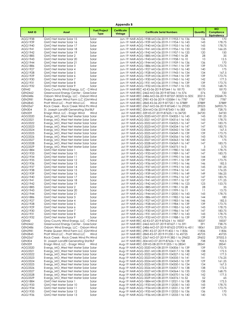|                                 |                                                                                  |                                    | Appendix B                    |                                                                                                     |                 |                                               |
|---------------------------------|----------------------------------------------------------------------------------|------------------------------------|-------------------------------|-----------------------------------------------------------------------------------------------------|-----------------|-----------------------------------------------|
| <b>NARID</b>                    | Asset                                                                            | <b>Fuel/Project</b><br><b>Type</b> | <b>Certificate</b><br>Vintage | <b>Certificate Serial Numbers</b>                                                                   | Quantity        | <b>MO</b><br>Compliance<br><b>Equivalency</b> |
| AGG1938                         | GMO Net Meter Solar 15                                                           | Solar                              |                               | Jun-19 NAR-AGG-1938-MO-06-2019-111953-1 to 136                                                      | 136             | 170                                           |
| AGG1939                         | GMO Net Meter Solar 16                                                           | Solar                              |                               | Jun-19 NAR-AGG-1939-MO-06-2019-111954-1 to 143                                                      | 143             | 178.75                                        |
| AGG1940                         | GMO Net Meter Solar 17                                                           | Solar                              |                               | Jun-19 NAR-AGG-1940-MO-06-2019-111955-1 to 143                                                      | 143             | 178.75                                        |
| AGG1941<br>AGG1942              | GMO Net Meter Solar 18<br>GMO Net Meter Solar 19                                 | Solar<br>Solar                     |                               | Jun-19 NAR-AGG-1941-MO-06-2019-111956-1 to 133<br>Jun-19 NAR-AGG-1942-MO-06-2019-111957-1 to 120    | 133<br>120      | 166.25<br>150                                 |
| AGG1885                         | GMO Net Meter Solar 2                                                            | Solar                              |                               | Jun-19 NAR-AGG-1885-MO-06-2019-111940-1 to 28                                                       | 28              | 35                                            |
| AGG1943                         | GMO Net Meter Solar 20                                                           | Solar                              |                               | Jun-19 NAR-AGG-1943-MO-06-2019-111958-1 to 10                                                       | 10              | 12.5                                          |
| AGG1944                         | GMO Net Meter Solar 21                                                           | Solar                              |                               | Jun-19 NAR-AGG-1944-MO-06-2019-111959-1 to 136                                                      | 136             | 170                                           |
| AGG1886                         | GMO Net Meter Solar 3                                                            | Solar                              |                               | Jun-19 NAR-AGG-1886-MO-06-2019-111941-1 to 139                                                      | 139             | 173.75                                        |
| AGG1927                         | GMO Net Meter Solar 4                                                            | Solar                              |                               | Jun-19 NAR-AGG-1927-MO-06-2019-111942-1 to 140                                                      | 140             | 175                                           |
| AGG1928                         | GMO Net Meter Solar 5                                                            | Solar                              |                               | Jun-19 NAR-AGG-1928-MO-06-2019-111943-1 to 134                                                      | 134             | 167.5                                         |
| AGG1929<br>AGG1930              | GMO Net Meter Solar 6<br>GMO Net Meter Solar 7                                   | Solar                              |                               | Jun-19 NAR-AGG-1929-MO-06-2019-111944-1 to 139                                                      | 139<br>142      | 173.75<br>177.5                               |
| AGG1931                         | GMO Net Meter Solar 8                                                            | Solar<br>Solar                     |                               | Jun-19 NAR-AGG-1930-MO-06-2019-111945-1 to 142<br>Jun-19 NAR-AGG-1931-MO-06-2019-111946-1 to 139    | 139             | 173.75                                        |
| AGG1932                         | GMO Net Meter Solar 9                                                            | Solar                              |                               | Jun-19 NAR-AGG-1932-MO-06-2019-111947-1 to 135                                                      | 135             | 168.75                                        |
| GEN42                           | Gray County Wind Energy, LLC - C Wind                                            |                                    |                               | Jun-19 NAR-REC-42-KS-06-2019-87544-1 to 18170                                                       | 18170           | 18170                                         |
| <b>GEN2462</b>                  | Greenwood Energy Center - Gree Solar                                             |                                    |                               | Jun-19 NAR-REC-2462-MO-06-2019-87546-1 to 576                                                       | 576             | 720                                           |
| <b>GEN2486</b>                  | Osborn Wind Energy, LLC - Osborn Wind                                            |                                    |                               | Jun-19 NAR-REC-2486-MO-06-2019-87537-30325 to 505.                                                  | 20215           | 25268.75                                      |
| <b>GEN2981</b>                  | Prairie Queen Wind Farm LLC (GM Wind                                             |                                    |                               | Jun-19 NAR-REC-2981-KS-06-2019-103584-1 to 7787                                                     | 7787            | 7787                                          |
| <b>GEN2845</b>                  | Pratt Wind LLC - Pratt Wind LLC                                                  | Wind                               |                               | Jun-19 NAR-REC-2845-KS-06-2019-87720-1 to 37889                                                     | 37889           | 37889                                         |
| <b>GEN2567</b><br><b>GEN304</b> | Rock Creek - Rock Creek Wind Pro Wind<br>St. Joseph Landfill Generating Stat BLF |                                    |                               | Jun-19 NAR-REC-2567-MO-06-2019-87640-1 to 29523<br>Jun-19 NAR-REC-304-MO-06-2019-87543-1 to 583     | 29523<br>583    | 36903.75<br>728.75                            |
| <b>GEN339</b>                   | Ensign Wind, LLC - Ensign Wind                                                   | Wind                               |                               | Jul-19 NAR-REC-339-KS-07-2019-87625-1 to 34720                                                      | 34720           | 34720                                         |
| AGG3320                         | Evergy_MO_West Net Meter Solar Solar                                             |                                    |                               | Jul-19 NAR-AGG-3320-MO-07-2019-104305-1 to 145                                                      | 145             | 181.25                                        |
| AGG3321                         | Evergy MO West Net Meter Solar Solar                                             |                                    |                               | Jul-19 NAR-AGG-3321-MO-07-2019-104316-1 to 143                                                      | 143             | 178.75                                        |
| AGG3322                         | Evergy_MO_West Net Meter Solar Solar                                             |                                    |                               | Jul-19 NAR-AGG-3322-MO-07-2019-104325-1 to 147                                                      | 147             | 183.75                                        |
| AGG3323                         | Evergy_MO_West Net Meter Solar Solar                                             |                                    |                               | Jul-19 NAR-AGG-3323-MO-07-2019-104334-1 to 147                                                      | 147             | 183.75                                        |
| AGG3324                         | Evergy MO West Net Meter Solar Solar                                             |                                    |                               | Jul-19 NAR-AGG-3324-MO-07-2019-104342-1 to 134                                                      | 134             | 167.5                                         |
| AGG3325                         | Everay MO West Net Meter Solar Solar                                             |                                    |                               | Jul-19 NAR-AGG-3325-MO-07-2019-104349-1 to 139                                                      | 139             | 173.75                                        |
| AGG3326<br>AGG3327              | Evergy_MO_West Net Meter Solar Solar                                             |                                    |                               | Jul-19 NAR-AGG-3326-MO-07-2019-104356-1 to 143<br>Jul-19 NAR-AGG-3327-MO-07-2019-104363-1 to 140    | 143<br>140      | 178.75<br>175                                 |
| AGG3328                         | Evergy_MO_West Net Meter Solar Solar<br>Evergy_MO_West Net Meter Solar Solar     |                                    |                               | Jul-19 NAR-AGG-3328-MO-07-2019-104369-1 to 147                                                      | 147             | 183.75                                        |
| AGG3329                         | Evergy_MO_West Net Meter Solar Solar                                             |                                    |                               | Jul-19 NAR-AGG-3329-MO-07-2019-104375-1 to 3                                                        | 3               | 3.75                                          |
| AGG1884                         | GMO Net Meter Solar 1                                                            | Solar                              |                               | Jul-19 NAR-AGG-1884-MO-07-2019-111980-1 to 143                                                      | 143             | 178.75                                        |
| AGG1933                         | GMO Net Meter Solar 10                                                           | Solar                              |                               | Jul-19 NAR-AGG-1933-MO-07-2019-111989-1 to 147                                                      | 147             | 183.75                                        |
| AGG1934                         | GMO Net Meter Solar 11                                                           | Solar                              |                               | Jul-19 NAR-AGG-1934-MO-07-2019-111990-1 to 144                                                      | 144             | 180                                           |
| AGG1935                         | GMO Net Meter Solar 12                                                           | Solar                              |                               | Jul-19 NAR-AGG-1935-MO-07-2019-111991-1 to 139                                                      | 139             | 173.75                                        |
| AGG1936                         | GMO Net Meter Solar 13                                                           | Solar                              |                               | Jul-19 NAR-AGG-1936-MO-07-2019-111992-1 to 146                                                      | 146             | 182.5                                         |
| AGG1937<br>AGG1938              | GMO Net Meter Solar 14<br>GMO Net Meter Solar 15                                 | Solar<br>Solar                     |                               | Jul-19 NAR-AGG-1937-MO-07-2019-111993-1 to 145<br>Jul-19 NAR-AGG-1938-MO-07-2019-111994-1 to 141    | 145<br> 4       | 181.25<br>176.25                              |
| AGG1939                         | GMO Net Meter Solar 16                                                           | Solar                              |                               | Jul-19 NAR-AGG-1939-MO-07-2019-111995-1 to 149                                                      | 149             | 186.25                                        |
| AGG1940                         | GMO Net Meter Solar 17                                                           | Solar                              |                               | Jul-19 NAR-AGG-1940-MO-07-2019-111996-1 to 147                                                      | 147             | 183.75                                        |
| AGG1941                         | GMO Net Meter Solar 18                                                           | Solar                              |                               | Jul-19 NAR-AGG-1941-MO-07-2019-111997-1 to 137                                                      | 137             | 171.25                                        |
| AGG1942                         | GMO Net Meter Solar 19                                                           | Solar                              |                               | Jul-19 NAR-AGG-1942-MO-07-2019-111998-1 to 123                                                      | 123             | 153.75                                        |
| AGG1885                         | GMO Net Meter Solar 2                                                            | Solar                              |                               | Jul-19 NAR-AGG-1885-MO-07-2019-111981-1 to 28                                                       | 28              | 35                                            |
| AGG1943                         | GMO Net Meter Solar 20                                                           | Solar                              |                               | Jul-19 NAR-AGG-1943-MO-07-2019-111999-1 to 11                                                       | $\overline{11}$ | 13.75                                         |
| AGG1944                         | GMO Net Meter Solar 21                                                           | Solar                              |                               | Jul-19 NAR-AGG-1944-MO-07-2019-112000-1 to 143                                                      | 143             | 178.75                                        |
| AGG1886<br>AGG1927              | GMO Net Meter Solar 3<br>GMO Net Meter Solar 4                                   | Solar<br>Solar                     |                               | Jul-19 NAR-AGG-1886-MO-07-2019-111982-1 to 144<br>Jul-19 NAR-AGG-1927-MO-07-2019-111983-1 to 146    | 144<br>146      | 180<br>182.5                                  |
| AGG1928                         | GMO Net Meter Solar 5                                                            | Solar                              |                               | Jul-19 NAR-AGG-1928-MO-07-2019-111984-1 to 139                                                      | 139             | 173.75                                        |
| AGG1929                         | GMO Net Meter Solar 6                                                            | Solar                              |                               | Jul-19 NAR-AGG-1929-MO-07-2019-111985-1 to 143                                                      | 143             | 178.75                                        |
| AGG1930                         | GMO Net Meter Solar 7                                                            | Solar                              |                               | Jul-19 NAR-AGG-1930-MO-07-2019-111986-1 to 147                                                      | 147             | 183.75                                        |
| AGG1931                         | GMO Net Meter Solar 8                                                            | Solar                              |                               | Jul-19 NAR-AGG-1931-MO-07-2019-111987-1 to 143                                                      | 143             | 178.75                                        |
| AGG1932                         | GMO Net Meter Solar 9                                                            | Solar                              |                               | Jul-19 NAR-AGG-1932-MO-07-2019-111988-1 to 139                                                      | 139             | 173.75                                        |
| GEN42                           | Gray County Wind Energy, LLC - C Wind                                            |                                    |                               | Jul-19 NAR-REC-42-KS-07-2019-87624-1 to 18337                                                       | 18337           | 18337                                         |
| <b>GEN2462</b>                  | Greenwood Energy Center - Gree Solar<br>Osborn Wind Energy, LLC - Osborn Wind    |                                    |                               | Jul-19 NAR-REC-2462-MO-07-2019-87627-1 to 591<br>Jul-19 NAR-REC-2486-MO-07-2019-87622-27093 to 451. | 591<br>18061    | 738.75<br>22576.25                            |
| GEN2486<br><b>GEN2981</b>       | Prairie Queen Wind Farm LLC (GM Wind                                             |                                    |                               | Jul-19 NAR-REC-2981-KS-07-2019-91402-1 to 11836                                                     | 11836           | 11836                                         |
| <b>GEN2845</b>                  | Pratt Wind LLC - Pratt Wind LLC                                                  | Wind                               |                               | Jul-19 NAR-REC-2845-KS-07-2019-91230-1 to 45725                                                     | 45725           | 45725                                         |
| <b>GEN2567</b>                  | Rock Creek - Rock Creek Wind Pro Wind                                            |                                    |                               | Jul-19 NAR-REC-2567-MO-07-2019-91382-1 to 29602                                                     | 29602           | 37002.5                                       |
| <b>GEN304</b>                   | St. Joseph Landfill Generating Stat BLF                                          |                                    |                               | Jul-19 NAR-REC-304-MO-07-2019-87626-1 to 738                                                        | 738             | 922.5                                         |
| <b>GEN339</b>                   | Ensign Wind, LLC - Ensign Wind                                                   | Wind                               |                               | Aug-19 NAR-REC-339-KS-08-2019-91205-1 to 28541                                                      | 28541           | 28541                                         |
| AGG3320                         | Evergy MO West Net Meter Solar Solar                                             |                                    |                               | Aug-19 NAR-AGG-3320-MO-08-2019-104306-1 to 139                                                      | 139             | 173.75                                        |
| AGG3321                         | Evergy_MO_West Net Meter Solar Solar                                             |                                    |                               | Aug-19 NAR-AGG-3321-MO-08-2019-104317-1 to 138                                                      | 138             | 172.5                                         |
| AGG3322<br>AGG3323              | Evergy_MO_West Net Meter Solar Solar<br>Evergy_MO_West Net Meter Solar Solar     |                                    |                               | Aug-19 NAR-AGG-3322-MO-08-2019-104327-1 to 142<br>Aug-19 NAR-AGG-3323-MO-08-2019-104335-1 to 141    | 142<br> 4       | 177.5<br>176.25                               |
| AGG3324                         | Evergy_MO_West Net Meter Solar Solar                                             |                                    |                               | Aug-19 NAR-AGG-3324-MO-08-2019-104343-1 to 129                                                      | 129             | 161.25                                        |
| AGG3325                         | Evergy_MO_West Net Meter Solar Solar                                             |                                    |                               | Aug-19 NAR-AGG-3325-MO-08-2019-104350-1 to 134                                                      | 134             | 167.5                                         |
| AGG3326                         | Evergy_MO_West Net Meter Solar Solar                                             |                                    |                               | Aug-19 NAR-AGG-3326-MO-08-2019-104357-1 to 138                                                      | 138             | 172.5                                         |
| AGG3327                         | Evergy_MO_West Net Meter Solar Solar                                             |                                    |                               | Aug-19 NAR-AGG-3327-MO-08-2019-104364-1 to 135                                                      | 135             | 168.75                                        |
| AGG3328                         | Evergy_MO_West Net Meter Solar Solar                                             |                                    |                               | Aug-19 NAR-AGG-3328-MO-08-2019-104370-1 to 142                                                      | 142             | 177.5                                         |
| AGG3329                         | Evergy_MO_West Net Meter Solar Solar                                             |                                    |                               | Aug-19 NAR-AGG-3329-MO-08-2019-104376-1 to 52                                                       | 52              | 65                                            |
| AGG1884                         | GMO Net Meter Solar 1                                                            | Solar                              |                               | Aug-19 NAR-AGG-1884-MO-08-2019-112021-1 to 138                                                      | 138             | 172.5                                         |
| AGG1933<br>AGG1934              | GMO Net Meter Solar 10<br>GMO Net Meter Solar 11                                 | Solar<br>Solar                     |                               | Aug-19 NAR-AGG-1933-MO-08-2019-112030-1 to 143<br>Aug-19 NAR-AGG-1934-MO-08-2019-112031-1 to 139    | 143<br>139      | 178.75<br>173.75                              |
| AGG1935                         | GMO Net Meter Solar 12                                                           | Solar                              |                               | Aug-19 NAR-AGG-1935-MO-08-2019-112032-1 to 136                                                      | 136             | 170                                           |
| AGG1936                         | GMO Net Meter Solar 13                                                           | Solar                              |                               | Aug-19 NAR-AGG-1936-MO-08-2019-112033-1 to 140                                                      | 140             | 175                                           |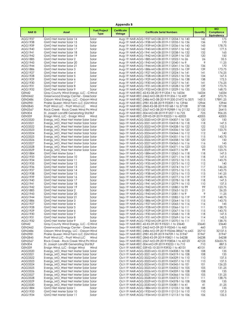|                                |                                                                              |                                    | <b>Appendix B</b>             |                                                                                                  |              |                                               |
|--------------------------------|------------------------------------------------------------------------------|------------------------------------|-------------------------------|--------------------------------------------------------------------------------------------------|--------------|-----------------------------------------------|
| <b>NARID</b>                   | Asset                                                                        | <b>Fuel/Project</b><br><b>Type</b> | <b>Certificate</b><br>Vintage | <b>Certificate Serial Numbers</b>                                                                | Quantity     | <b>MO</b><br>Compliance<br><b>Equivalency</b> |
| AGG1937                        | GMO Net Meter Solar 14                                                       | Solar                              |                               | Aug-19 NAR-AGG-1937-MO-08-2019-112034-1 to 140                                                   | 140          | 175                                           |
| AGG1938                        | GMO Net Meter Solar 15                                                       | Solar                              |                               | Aug-19 NAR-AGG-1938-MO-08-2019-112035-1 to 136                                                   | 136          | 170                                           |
| AGG1939                        | GMO Net Meter Solar 16                                                       | Solar                              |                               | Aug-19 NAR-AGG-1939-MO-08-2019-112036-1 to 143                                                   | 143          | 178.75                                        |
| AGG1940                        | GMO Net Meter Solar 17                                                       | Solar                              |                               | Aug-19 NAR-AGG-1940-MO-08-2019-112037-1 to 142                                                   | 142          | 177.5                                         |
| AGG1941<br>AGG1942             | GMO Net Meter Solar 18<br>GMO Net Meter Solar 19                             | Solar<br>Solar                     |                               | Aug-19 NAR-AGG-1941-MO-08-2019-112038-1 to 132<br>Aug-19 NAR-AGG-1942-MO-08-2019-112039-1 to 120 | 132<br>120   | 165<br>150                                    |
| AGG1885                        | GMO Net Meter Solar 2                                                        | Solar                              |                               | Aug-19 NAR-AGG-1885-MO-08-2019-112022-1 to 26                                                    | 26           | 32.5                                          |
| AGG1943                        | GMO Net Meter Solar 20                                                       | Solar                              |                               | Aug-19 NAR-AGG-1943-MO-08-2019-112040-1 to 9                                                     | 9            | 11.25                                         |
| AGG1944                        | GMO Net Meter Solar 21                                                       | Solar                              |                               | Aug-19 NAR-AGG-1944-MO-08-2019-112041-1 to 136                                                   | 136          | 170                                           |
| AGG1886                        | GMO Net Meter Solar 3                                                        | Solar                              |                               | Aug-19 NAR-AGG-1886-MO-08-2019-112023-1 to 139                                                   | 139          | 173.75                                        |
| AGG1927                        | GMO Net Meter Solar 4                                                        | Solar                              |                               | Aug-19 NAR-AGG-1927-MO-08-2019-112024-1 to 141                                                   | 4            | 176.25                                        |
| AGG1928                        | GMO Net Meter Solar 5                                                        | Solar                              |                               | Aug-19 NAR-AGG-1928-MO-08-2019-112025-1 to 134                                                   | 134          | 167.5                                         |
| AGG1929                        | GMO Net Meter Solar 6                                                        | Solar                              |                               | Aug-19 NAR-AGG-1929-MO-08-2019-112026-1 to 138                                                   | 138          | 172.5                                         |
| AGG1930                        | GMO Net Meter Solar 7                                                        | Solar                              |                               | Aug-19 NAR-AGG-1930-MO-08-2019-112027-1 to 141                                                   | 4            | 176.25                                        |
| AGG1931<br>AGG1932             | GMO Net Meter Solar 8                                                        | Solar<br>Solar                     |                               | Aug-19 NAR-AGG-1931-MO-08-2019-112028-1 to 139                                                   | 139<br>135   | 173.75<br>168.75                              |
| GEN42                          | GMO Net Meter Solar 9<br>Gray County Wind Energy, LLC - G Wind               |                                    |                               | Aug-19 NAR-AGG-1932-MO-08-2019-112029-1 to 135<br>Aug-19 NAR-REC-42-KS-08-2019-91204-1 to 16034  | 16034        | 16034                                         |
| GEN2462                        | Greenwood Energy Center - Gree Solar                                         |                                    |                               | Aug-19 NAR-REC-2462-MO-08-2019-91206-1 to 459                                                    | 459          | 573.75                                        |
| GEN2486                        | Osborn Wind Energy, LLC - Osborn Wind                                        |                                    |                               | Aug-19 NAR-REC-2486-MO-08-2019-91200-21472 to 3578                                               | 14313        | 17891.25                                      |
| <b>GEN2981</b>                 | Prairie Queen Wind Farm LLC (GM Wind                                         |                                    |                               | Aug-19 NAR-REC-2981-KS-08-2019-93309-1 to 12944                                                  | 12944        | 12944                                         |
| <b>GEN2845</b>                 | Pratt Wind LLC - Pratt Wind LLC                                              | Wind                               |                               | Aug-19 NAR-REC-2845-KS-08-2019-93168-1 to 37108                                                  | 37108        | 37108                                         |
| <b>GEN2567</b>                 | Rock Creek - Rock Creek Wind Pro Wind                                        |                                    |                               | Aug-19 NAR-REC-2567-MO-08-2019-92989-1 to 21132                                                  | 21132        | 26415                                         |
| <b>GEN304</b>                  | St. Joseph Landfill Generating Stat BLF                                      |                                    |                               | Aug-19 NAR-REC-304-MO-08-2019-91207-1 to 725                                                     | 725          | 906.25                                        |
| <b>GEN339</b>                  | Ensign Wind, LLC - Ensign Wind                                               | Wind                               |                               | Sep-19 NAR-REC-339-KS-09-2019-93223-1 to 42005                                                   | 42005        | 42005                                         |
| AGG3320                        | Evergy_MO_West Net Meter Solar Solar                                         |                                    |                               | Sep-19 NAR-AGG-3320-MO-09-2019-104307-1 to 120                                                   | 120          | 150                                           |
| AGG3321                        | Evergy MO West Net Meter Solar Solar                                         |                                    |                               | Sep-19 NAR-AGG-3321-MO-09-2019-104318-1 to 118                                                   | 118          | 147.5                                         |
| AGG3322                        | Evergy_MO_West Net Meter Solar Solar                                         |                                    |                               | Sep-19 NAR-AGG-3322-MO-09-2019-104328-1 to 122                                                   | 122          | 152.5                                         |
| AGG3323<br>AGG3324             | Evergy_MO_West Net Meter Solar Solar                                         |                                    |                               | Sep-19 NAR-AGG-3323-MO-09-2019-104336-1 to 123<br>Sep-19 NAR-AGG-3324-MO-09-2019-104344-1 to 112 | 123          | 153.75                                        |
| AGG3325                        | Evergy MO West Net Meter Solar Solar<br>Evergy_MO_West Net Meter Solar Solar |                                    |                               | Sep-19 NAR-AGG-3325-MO-09-2019-104351-1 to 115                                                   | 112<br>115   | 140<br>143.75                                 |
| AGG3326                        | Evergy MO West Net Meter Solar Solar                                         |                                    |                               | Sep-19 NAR-AGG-3326-MO-09-2019-104358-1 to 120                                                   | 120          | 150                                           |
| AGG3327                        | Evergy_MO_West Net Meter Solar Solar                                         |                                    |                               | Sep-19 NAR-AGG-3327-MO-09-2019-104365-1 to 116                                                   | 116          | 145                                           |
| AGG3328                        | Evergy_MO_West Net Meter Solar Solar                                         |                                    |                               | Sep-19 NAR-AGG-3328-MO-09-2019-104371-1 to 123                                                   | 123          | 153.75                                        |
| AGG3329                        | Evergy_MO_West Net Meter Solar Solar                                         |                                    |                               | Sep-19 NAR-AGG-3329-MO-09-2019-104377-1 to 99                                                    | 99           | 123.75                                        |
| AGG1884                        | GMO Net Meter Solar 1                                                        | Solar                              |                               | Sep-19 NAR-AGG-1884-MO-09-2019-112062-1 to 118                                                   | 118          | 147.5                                         |
| AGG1933                        | GMO Net Meter Solar 10                                                       | Solar                              |                               | Sep-19 NAR-AGG-1933-MO-09-2019-112071-1 to 118                                                   | 118          | 147.5                                         |
| AGG1934                        | GMO Net Meter Solar 11                                                       | Solar                              |                               | Sep-19 NAR-AGG-1934-MO-09-2019-112072-1 to 115                                                   | 115          | 143.75                                        |
| AGG1935                        | GMO Net Meter Solar 12                                                       | Solar                              |                               | Sep-19 NAR-AGG-1935-MO-09-2019-112073-1 to 112                                                   | 112          | 140                                           |
| AGG1936                        | GMO Net Meter Solar 13                                                       | Solar                              |                               | Sep-19 NAR-AGG-1936-MO-09-2019-112074-1 to 117                                                   | 117          | 146.25                                        |
| AGG1937                        | GMO Net Meter Solar 14                                                       | Solar                              |                               | Sep-19 NAR-AGG-1937-MO-09-2019-112075-1 to 115                                                   | 115          | 143.75                                        |
| AGG1938<br>AGG1939             | GMO Net Meter Solar 15<br>GMO Net Meter Solar 16                             | Solar                              |                               | Sep-19 NAR-AGG-1938-MO-09-2019-112076-1 to 113<br>Sep-19 NAR-AGG-1939-MO-09-2019-112077-1 to 119 | 113<br>119   | 141.25<br>148.75                              |
| AGG1940                        | GMO Net Meter Solar 17                                                       | Solar<br>Solar                     |                               | Sep-19 NAR-AGG-1940-MO-09-2019-112078-1 to 118                                                   | 118          | 147.5                                         |
| AGG1941                        | GMO Net Meter Solar 18                                                       | Solar                              |                               | Sep-19 NAR-AGG-1941-MO-09-2019-112079-1 to 110                                                   | 110          | 137.5                                         |
| AGG1942                        | GMO Net Meter Solar 19                                                       | Solar                              |                               | Sep-19 NAR-AGG-1942-MO-09-2019-112080-1 to 99                                                    | 99           | 123.75                                        |
| AGG1885                        | GMO Net Meter Solar 2                                                        | Solar                              |                               | Sep-19 NAR-AGG-1885-MO-09-2019-112063-1 to 21                                                    | 21           | 26.25                                         |
| AGG1943                        | GMO Net Meter Solar 20                                                       | Solar                              |                               | Sep-19 NAR-AGG-1943-MO-09-2019-112081-1 to 9                                                     | 9            | 11.25                                         |
| AGG1944                        | GMO Net Meter Solar 21                                                       | Solar                              |                               | Sep-19 NAR-AGG-1944-MO-09-2019-112082-1 to 119                                                   | 119          | 148.75                                        |
| AGG1886                        | GMO Net Meter Solar 3                                                        | Solar                              |                               | Sep-19 NAR-AGG-1886-MO-09-2019-112064-1 to 115                                                   | 115          | 143.75                                        |
| AGG1927                        | GMO Net Meter Solar 4                                                        | Solar                              |                               | Sep-19 NAR-AGG-1927-MO-09-2019-112065-1 to 116                                                   | 116          | 145                                           |
| AGG1928<br>AGG1929             | GMO Net Meter Solar 5                                                        | Solar                              |                               | Sep-19 NAR-AGG-1928-MO-09-2019-112066-1 to 111<br>Sep-19 NAR-AGG-1929-MO-09-2019-112067-1 to 115 | 111<br>115   | 138.75<br>143.75                              |
| AGG1930                        | GMO Net Meter Solar 6<br>GMO Net Meter Solar 7                               | Solar<br>Solar                     |                               | Sep-19 NAR-AGG-1930-MO-09-2019-112068-1 to 118                                                   | 118          | 147.5                                         |
| AGG1931                        | GMO Net Meter Solar 8                                                        | Solar                              |                               | Sep-19 NAR-AGG-1931-MO-09-2019-112069-1 to 114                                                   | 114          | 142.5                                         |
| AGG1932                        | GMO Net Meter Solar 9                                                        | Solar                              |                               | Sep-19 NAR-AGG-1932-MO-09-2019-112070-1 to 111                                                   | 111          | 138.75                                        |
| GEN42                          | Gray County Wind Energy, LLC - G Wind                                        |                                    |                               | Sep-19 NAR-REC-42-KS-09-2019-93221-1 to 23640                                                    | 23640        | 23640                                         |
| <b>GEN2462</b>                 | Greenwood Energy Center - Gree Solar                                         |                                    |                               | Sep-19 NAR-REC-2462-MO-09-2019-93245-1 to 460                                                    | 460          | 575                                           |
| GEN2486                        | Osborn Wind Energy, LLC - Osborn Wind                                        |                                    |                               | Sep-19 NAR-REC-2486-MO-09-2019-93246-38567 to 642.                                               | 25710        | 32137.5                                       |
| <b>GEN2981</b>                 | Prairie Queen Wind Farm LLC (GM Wind                                         |                                    |                               | Sep-19 NAR-REC-2981-KS-09-2019-94709-1 to 31947                                                  | 31947        | 31947                                         |
| <b>GEN2845</b>                 | Pratt Wind LLC - Pratt Wind LLC                                              | Wind                               |                               | Sep-19 NAR-REC-2845-KS-09-2019-93821-1 to 54238                                                  | 54238        | 54238                                         |
| <b>GEN2567</b>                 | Rock Creek - Rock Creek Wind Pro Wind                                        |                                    |                               | Sep-19 NAR-REC-2567-MO-09-2019-93834-1 to 42123                                                  | 42123        | 52653.75                                      |
| <b>GEN304</b><br><b>GEN339</b> | St. Joseph Landfill Generating Stat BLF<br>Ensign Wind, LLC - Ensign Wind    | Wind                               |                               | Sep-19 NAR-REC-304-MO-09-2019-93222-1 to 710<br>Oct-19 NAR-REC-339-KS-10-2019-93932-1 to 40131   | 710<br>40131 | 887.5<br>40131                                |
| AGG3320                        | Evergy_MO_West Net Meter Solar Solar                                         |                                    |                               | Oct-19 NAR-AGG-3320-MO-10-2019-104308-1 to 108                                                   | 108          | 135                                           |
| AGG3321                        | Evergy_MO_West Net Meter Solar Solar                                         |                                    |                               | Oct-19 NAR-AGG-3321-MO-10-2019-104319-1 to 108                                                   | 108          | 135                                           |
| AGG3322                        | Evergy_MO_West Net Meter Solar Solar                                         |                                    |                               | Oct-19 NAR-AGG-3322-MO-10-2019-104329-1 to 110                                                   | 110          | 137.5                                         |
| AGG3323                        | Evergy_MO_West Net Meter Solar Solar                                         |                                    |                               | Oct-19 NAR-AGG-3323-MO-10-2019-104337-1 to 110                                                   | 110          | 137.5                                         |
| AGG3324                        | Evergy_MO_West Net Meter Solar Solar                                         |                                    |                               | Oct-19 NAR-AGG-3324-MO-10-2019-104345-1 to 101                                                   | 101          | 126.25                                        |
| AGG3325                        | Evergy_MO_West Net Meter Solar Solar                                         |                                    |                               | Oct-19 NAR-AGG-3325-MO-10-2019-104352-1 to 105                                                   | 105          | 131.25                                        |
| AGG3326                        | Evergy_MO_West Net Meter Solar Solar                                         |                                    |                               | Oct-19 NAR-AGG-3326-MO-10-2019-104359-1 to 108                                                   | 108          | 135                                           |
| AGG3327                        | Evergy_MO_West Net Meter Solar Solar                                         |                                    |                               | Oct-19 NAR-AGG-3327-MO-10-2019-104366-1 to 105                                                   | 105          | 131.25                                        |
| AGG3328                        | Evergy_MO_West Net Meter Solar Solar                                         |                                    |                               | Oct-19 NAR-AGG-3328-MO-10-2019-104372-1 to 111                                                   | 111          | 138.75                                        |
| AGG3329                        | Evergy_MO_West Net Meter Solar Solar                                         |                                    |                               | Oct-19 NAR-AGG-3329-MO-10-2019-104378-1 to 108                                                   | 108          | 135                                           |
| AGG3330                        | Evergy_MO_West Net Meter Solar Solar                                         |                                    |                               | Oct-19 NAR-AGG-3330-MO-10-2019-104381-1 to 41                                                    | 41           | 51.25                                         |
| AGG1884<br>AGG1933             | GMO Net Meter Solar 1<br>GMO Net Meter Solar 10                              | Solar<br>Solar                     |                               | Oct-19 NAR-AGG-1884-MO-10-2019-112103-1 to 108<br>Oct-19 NAR-AGG-1933-MO-10-2019-112112-1 to 110 | 108<br>110   | 135<br>137.5                                  |
| AGG1934                        | GMO Net Meter Solar 11                                                       | Solar                              |                               | Oct-19 NAR-AGG-1934-MO-10-2019-112113-1 to 106                                                   | 106          | 132.5                                         |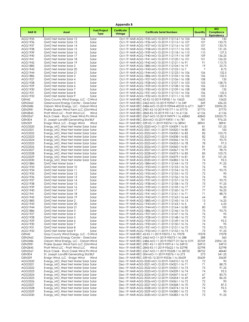|                                  |                                                                                  |                                    | Appendix B                    |                                                                                                    |                |                                                      |
|----------------------------------|----------------------------------------------------------------------------------|------------------------------------|-------------------------------|----------------------------------------------------------------------------------------------------|----------------|------------------------------------------------------|
| <b>NARID</b>                     | Asset                                                                            | <b>Fuel/Project</b><br><b>Type</b> | <b>Certificate</b><br>Vintage | <b>Certificate Serial Numbers</b>                                                                  | Quantity       | <b>MO</b><br><b>Compliance</b><br><b>Equivalency</b> |
| AGG1935                          | GMO Net Meter Solar 12                                                           | Solar                              |                               | Oct-19 NAR-AGG-1935-MO-10-2019-112114-1 to 104                                                     | 104            | 130                                                  |
| AGG1936                          | GMO Net Meter Solar 13                                                           | Solar                              |                               | Oct-19 NAR-AGG-1936-MO-10-2019-112115-1 to 107                                                     | 107            | 133.75                                               |
| AGG1937                          | GMO Net Meter Solar 14                                                           | Solar                              |                               | Oct-19 NAR-AGG-1937-MO-10-2019-112116-1 to 107                                                     | 107            | 133.75                                               |
| AGG1938                          | GMO Net Meter Solar 15                                                           | Solar                              |                               | Oct-19 NAR-AGG-1938-MO-10-2019-112117-1 to 105                                                     | 105<br>110     | 131.25<br>137.5                                      |
| AGG1939<br>AGG1940               | GMO Net Meter Solar 16<br>GMO Net Meter Solar 17                                 | Solar<br>Solar                     |                               | Oct-19 NAR-AGG-1939-MO-10-2019-112118-1 to 110<br>Oct-19 NAR-AGG-1940-MO-10-2019-112119-1 to 109   | 109            | 136.25                                               |
| AGG1941                          | GMO Net Meter Solar 18                                                           | Solar                              |                               | Oct-19 NAR-AGG-1941-MO-10-2019-112120-1 to 101                                                     | 101            | 126.25                                               |
| AGG1942                          | GMO Net Meter Solar 19                                                           | Solar                              |                               | Oct-19 NAR-AGG-1942-MO-10-2019-112121-1 to 91                                                      | 91             | 113.75                                               |
| AGG1885                          | GMO Net Meter Solar 2                                                            | Solar                              |                               | Oct-19 NAR-AGG-1885-MO-10-2019-112104-1 to 19                                                      | 19             | 23.75                                                |
| AGG1943                          | GMO Net Meter Solar 20                                                           | Solar                              |                               | Oct-19 NAR-AGG-1943-MO-10-2019-112122-1 to 7                                                       | 7              | 8.75                                                 |
| AGG1944                          | GMO Net Meter Solar 21                                                           | Solar                              |                               | Oct-19 NAR-AGG-1944-MO-10-2019-112123-1 to 106                                                     | 106            | 132.5                                                |
| AGG1886                          | GMO Net Meter Solar 3                                                            | Solar                              |                               | Oct-19 NAR-AGG-1886-MO-10-2019-112105-1 to 106                                                     | 106            | 132.5                                                |
| AGG1927<br>AGG1928               | GMO Net Meter Solar 4<br>GMO Net Meter Solar 5                                   | Solar<br>Solar                     |                               | Oct-19 NAR-AGG-1927-MO-10-2019-112106-1 to 108<br>Oct-19 NAR-AGG-1928-MO-10-2019-112107-1 to 103   | 108<br>103     | 135<br>128.75                                        |
| AGG1929                          | GMO Net Meter Solar 6                                                            | Solar                              |                               | Oct-19 NAR-AGG-1929-MO-10-2019-112108-1 to 106                                                     | 106            | 132.5                                                |
| AGG1930                          | GMO Net Meter Solar 7                                                            | Solar                              |                               | Oct-19 NAR-AGG-1930-MO-10-2019-112109-1 to 108                                                     | 108            | 135                                                  |
| AGG1931                          | GMO Net Meter Solar 8                                                            | Solar                              |                               | Oct-19 NAR-AGG-1931-MO-10-2019-112110-1 to 106                                                     | 106            | 132.5                                                |
| AGG1932                          | GMO Net Meter Solar 9                                                            | Solar                              |                               | Oct-19 NAR-AGG-1932-MO-10-2019-112111-1 to 103                                                     | 103            | 128.75                                               |
| GEN42                            | Gray County Wind Energy, LLC - C Wind                                            |                                    |                               | Oct-19 NAR-REC-42-KS-10-2019-93930-1 to 15625                                                      | 15625          | 15625                                                |
| GEN2462                          | Greenwood Energy Center - Gree Solar                                             |                                    |                               | Oct-19 NAR-REC-2462-MO-10-2019-93947-1 to 349                                                      | 349            | 436.25                                               |
| <b>GEN2486</b><br><b>GEN2981</b> | Osborn Wind Energy, LLC - Osborn Wind                                            |                                    |                               | Oct-19 NAR-REC-2486-MO-10-2019-93944-40318 to 6719                                                 | 26877          | 33596.25                                             |
| <b>GEN2845</b>                   | Prairie Queen Wind Farm LLC (GM Wind<br>Pratt Wind LLC - Pratt Wind LLC          | Wind                               |                               | Oct-19 NAR-REC-2981-KS-10-2019-95177-1 to 37770<br>Oct-19 NAR-REC-2845-KS-10-2019-95114-1 to 61126 | 37770<br>61126 | 37770<br>61126                                       |
| <b>GEN2567</b>                   | Rock Creek - Rock Creek Wind Pro Wind                                            |                                    |                               | Oct-19 NAR-REC-2567-MO-10-2019-94979-1 to 42843                                                    | 42843          | 53553.75                                             |
| <b>GEN304</b>                    | St. Joseph Landfill Generating Stat BLF                                          |                                    |                               | Oct-19 NAR-REC-304-MO-10-2019-93931-1 to 781                                                       | 781            | 976.25                                               |
| <b>GEN339</b>                    | Ensign Wind, LLC - Ensign Wind                                                   | Wind                               |                               | Nov-19 NAR-REC-339-KS-11-2019-95074-1 to 38941                                                     | 38941          | 38941                                                |
| AGG3320                          | Evergy_MO_West Net Meter Solar Solar                                             |                                    |                               | Nov-19 NAR-AGG-3320-MO-11-2019-104309-1 to 81                                                      | 81             | 101.25                                               |
| AGG3321                          | Evergy_MO_West Net Meter Solar Solar                                             |                                    |                               | Nov-19 NAR-AGG-3321-MO-11-2019-104320-1 to 80                                                      | 80             | 100                                                  |
| AGG3322                          | Evergy MO West Net Meter Solar Solar                                             |                                    |                               | Nov-19 NAR-AGG-3322-MO-11-2019-104330-1 to 83                                                      | 83             | 103.75                                               |
| AGG3323                          | Evergy MO West Net Meter Solar Solar                                             |                                    |                               | Nov-19 NAR-AGG-3323-MO-11-2019-104338-1 to 82                                                      | 82             | 102.5<br>93.75                                       |
| AGG3324<br>AGG3325               | Evergy_MO_West Net Meter Solar Solar<br>Evergy_MO_West Net Meter Solar Solar     |                                    |                               | Nov-19 NAR-AGG-3324-MO-11-2019-104346-1 to 75<br>Nov-19 NAR-AGG-3325-MO-11-2019-104353-1 to 78     | 75<br>78       | 97.5                                                 |
| AGG3326                          | Evergy_MO_West Net Meter Solar Solar                                             |                                    |                               | Nov-19 NAR-AGG-3326-MO-11-2019-104360-1 to 81                                                      | 81             | 101.25                                               |
| AGG3327                          | Evergy_MO_West Net Meter Solar Solar                                             |                                    |                               | Nov-19 NAR-AGG-3327-MO-11-2019-104367-1 to 79                                                      | 79             | 98.75                                                |
| AGG3328                          | Evergy_MO_West Net Meter Solar Solar                                             |                                    |                               | Nov-19 NAR-AGG-3328-MO-11-2019-104373-1 to 83                                                      | 83             | 103.75                                               |
| AGG3329                          | Evergy_MO_West Net Meter Solar Solar                                             |                                    |                               | Nov-19 NAR-AGG-3329-MO-11-2019-104379-1 to 81                                                      | 81             | 101.25                                               |
| AGG3330                          | Evergy_MO_West Net Meter Solar Solar                                             |                                    |                               | Nov-19 NAR-AGG-3330-MO-11-2019-104382-1 to 74                                                      | 74             | 92.5                                                 |
| AGG1884                          | GMO Net Meter Solar 1                                                            | Solar                              |                               | Nov-19 NAR-AGG-1884-MO-11-2019-112144-1 to 73                                                      | 73             | 91.25                                                |
| AGG1933<br>AGG1934               | GMO Net Meter Solar 10<br>GMO Net Meter Solar 11                                 | Solar<br>Solar                     |                               | Nov-19 NAR-AGG-1933-MO-11-2019-112153-1 to 76<br>Nov-19 NAR-AGG-1934-MO-11-2019-112154-1 to 75     | 76<br>75       | 95<br>93.75                                          |
| AGG1935                          | GMO Net Meter Solar 12                                                           | Solar                              |                               | Nov-19 NAR-AGG-1935-MO-11-2019-112155-1 to 72                                                      | 72             | 90                                                   |
| AGG1936                          | GMO Net Meter Solar 13                                                           | Solar                              |                               | Nov-19 NAR-AGG-1936-MO-11-2019-112156-1 to 76                                                      | 76             | 95                                                   |
| AGG1937                          | GMO Net Meter Solar 14                                                           | Solar                              |                               | Nov-19 NAR-AGG-1937-MO-11-2019-112157-1 to 75                                                      | 75             | 93.75                                                |
| AGG1938                          | GMO Net Meter Solar 15                                                           | Solar                              |                               | Nov-19 NAR-AGG-1938-MO-11-2019-112158-1 to 73                                                      | 73             | 91.25                                                |
| AGG1939                          | GMO Net Meter Solar 16                                                           | Solar                              |                               | Nov-19 NAR-AGG-1939-MO-11-2019-112159-1 to 77                                                      | 77             | 96.25                                                |
| AGG1940                          | GMO Net Meter Solar 17                                                           | Solar                              |                               | Nov-19 NAR-AGG-1940-MO-11-2019-112160-1 to 77                                                      | 77             | 96.25                                                |
| AGG1941<br>AGG1942               | GMO Net Meter Solar 18<br>GMO Net Meter Solar 19                                 | Solar<br>Solar                     |                               | Nov-19 NAR-AGG-1941-MO-11-2019-112161-1 to 71<br>Nov-19 NAR-AGG-1942-MO-11-2019-112162-1 to 64     | 71<br>64       | 88.75<br>80                                          |
| AGG1885                          | GMO Net Meter Solar 2                                                            | Solar                              |                               | Nov-19 NAR-AGG-1885-MO-11-2019-112145-1 to 13                                                      | 13             | 16.25                                                |
| AGG1943                          | GMO Net Meter Solar 20                                                           | Solar                              |                               | Nov-19 NAR-AGG-1943-MO-11-2019-112163-1 to 5                                                       | 5              | 6.25                                                 |
| AGG1944                          | GMO Net Meter Solar 21                                                           | Solar                              |                               | Nov-19 NAR-AGG-1944-MO-11-2019-112164-1 to 80                                                      | 80             | 100                                                  |
| AGG1886                          | GMO Net Meter Solar 3                                                            | Solar                              |                               | Nov-19 NAR-AGG-1886-MO-11-2019-112146-1 to 75                                                      | 75             | 93.75                                                |
| AGG1927                          | GMO Net Meter Solar 4                                                            | Solar                              |                               | Nov-19 NAR-AGG-1927-MO-11-2019-112147-1 to 76                                                      | 76             | 95                                                   |
| AGG1928                          | GMO Net Meter Solar 5                                                            | Solar                              |                               | Nov-19 NAR-AGG-1928-MO-11-2019-112148-1 to 72                                                      | 72             | 90                                                   |
| AGG1929<br>AGG1930               | GMO Net Meter Solar 6<br>GMO Net Meter Solar 7                                   | Solar<br>Solar                     |                               | Nov-19 NAR-AGG-1929-MO-11-2019-112149-1 to 74<br>Nov-19 NAR-AGG-1930-MO-11-2019-112150-1 to 76     | 74<br>76       | 92.5<br>95                                           |
| AGG1931                          | GMO Net Meter Solar 8                                                            | Solar                              |                               | Nov-19 NAR-AGG-1931-MO-11-2019-112151-1 to 75                                                      | 75             | 93.75                                                |
| AGG1932                          | GMO Net Meter Solar 9                                                            | Solar                              |                               | Nov-19 NAR-AGG-1932-MO-11-2019-112152-1 to 73                                                      | 73             | 91.25                                                |
| GEN42                            | Gray County Wind Energy, LLC - C Wind                                            |                                    |                               | Nov-19 NAR-REC-42-KS-11-2019-95075-1 to 19378                                                      | 19378          | 19378                                                |
| GEN2462                          | Greenwood Energy Center - Gree Solar                                             |                                    |                               | Nov-19 NAR-REC-2462-MO-11-2019-95073-1 to 288                                                      | 288            | 360                                                  |
| GEN2486                          | Osborn Wind Energy, LLC - Osborn Wind                                            |                                    |                               | Nov-19 NAR-REC-2486-MO-11-2019-95077-31156 to 519.                                                 | 20769          | 25961.25                                             |
| <b>GEN2981</b>                   | Prairie Queen Wind Farm LLC (GM Wind                                             |                                    |                               | Nov-19 NAR-REC-2981-KS-11-2019-95914-1 to 34910                                                    | 34910          | 34910                                                |
| <b>GEN2845</b>                   | Pratt Wind LLC - Pratt Wind LLC                                                  | Wind                               |                               | Nov-19 NAR-REC-2845-KS-11-2019-95622-1 to 52798<br>Nov-19 NAR-REC-2567-MO-11-2019-95528-1 to 38752 | 52798          | 52798<br>48440                                       |
| <b>GEN2567</b><br><b>GEN304</b>  | Rock Creek - Rock Creek Wind Pro Wind<br>St. Joseph Landfill Generating Stat BLF |                                    |                               | Nov-19 NAR-REC-304-MO-11-2019-95076-1 to 273                                                       | 38752<br>273   | 341.25                                               |
| <b>GEN339</b>                    | Ensign Wind, LLC - Ensign Wind                                                   | Wind                               |                               | Dec-19 NAR-REC-339-KS-12-2019-95536-1 to 35639                                                     | 35639          | 35639                                                |
| AGG3320                          | Evergy_MO_West Net Meter Solar Solar                                             |                                    |                               | Dec-19 NAR-AGG-3320-MO-12-2019-104310-1 to 72                                                      | 72             | 90                                                   |
| AGG3321                          | Evergy_MO_West Net Meter Solar Solar                                             |                                    |                               | Dec-19 NAR-AGG-3321-MO-12-2019-104321-1 to 71                                                      | 71             | 88.75                                                |
| AGG3322                          | Evergy_MO_West Net Meter Solar Solar                                             |                                    |                               | Dec-19 NAR-AGG-3322-MO-12-2019-104331-1 to 73                                                      | 73             | 91.25                                                |
| AGG3323                          | Evergy_MO_West Net Meter Solar Solar                                             |                                    |                               | Dec-19 NAR-AGG-3323-MO-12-2019-104339-1 to 74                                                      | 74             | 92.5                                                 |
| AGG3324                          | Evergy_MO_West Net Meter Solar Solar                                             |                                    |                               | Dec-19 NAR-AGG-3324-MO-12-2019-104347-1 to 67                                                      | 67             | 83.75                                                |
| AGG3325<br>AGG3326               | Evergy_MO_West Net Meter Solar Solar<br>Evergy_MO_West Net Meter Solar Solar     |                                    |                               | Dec-19 NAR-AGG-3325-MO-12-2019-104354-1 to 69<br>Dec-19 NAR-AGG-3326-MO-12-2019-104361-1 to 72     | 69<br>72       | 86.25<br>90                                          |
| AGG3327                          | Evergy_MO_West Net Meter Solar Solar                                             |                                    |                               | Dec-19 NAR-AGG-3327-MO-12-2019-104368-1 to 70                                                      | 70             | 87.5                                                 |
| AGG3328                          | Evergy_MO_West Net Meter Solar Solar                                             |                                    |                               | Dec-19 NAR-AGG-3328-MO-12-2019-104374-1 to 74                                                      | 74             | 92.5                                                 |
| AGG3329                          | Evergy_MO_West Net Meter Solar Solar                                             |                                    |                               | Dec-19 NAR-AGG-3329-MO-12-2019-104380-1 to 72                                                      | 72             | 90                                                   |
| AGG3330                          | Evergy_MO_West Net Meter Solar Solar                                             |                                    |                               | Dec-19 NAR-AGG-3330-MO-12-2019-104383-1 to 73                                                      | 73             | 91.25                                                |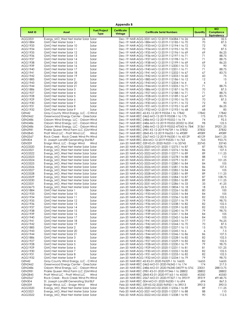|                                  |                                                                                  |                                    | Appendix B                    |                                                                                                    |                |                                               |
|----------------------------------|----------------------------------------------------------------------------------|------------------------------------|-------------------------------|----------------------------------------------------------------------------------------------------|----------------|-----------------------------------------------|
| <b>NARID</b>                     | Asset                                                                            | <b>Fuel/Project</b><br><b>Type</b> | <b>Certificate</b><br>Vintage | <b>Certificate Serial Numbers</b>                                                                  | Quantity       | <b>MO</b><br>Compliance<br><b>Eauivalency</b> |
| AGG3331                          | Evergy_MO_West Net Meter Solar Solar                                             |                                    |                               | Dec-19 NAR-AGG-3331-MO-12-2019-104384-1 to 26                                                      | 26             | 32.5                                          |
| AGG1884                          | GMO Net Meter Solar 1                                                            | Solar                              |                               | Dec-19 NAR-AGG-1884-MO-12-2019-112185-1 to 70                                                      | 70             | 87.5                                          |
| AGG1933                          | GMO Net Meter Solar 10<br>GMO Net Meter Solar 11                                 | Solar                              |                               | Dec-19 NAR-AGG-1933-MO-12-2019-112194-1 to 72<br>Dec-19 NAR-AGG-1934-MO-12-2019-112195-1 to 70     | 72<br>70       | 90                                            |
| AGG1934<br>AGG1935               | GMO Net Meter Solar 12                                                           | Solar<br>Solar                     |                               | Dec-19 NAR-AGG-1935-MO-12-2019-112196-1 to 69                                                      | 69             | 87.5<br>86.25                                 |
| AGG1936                          | GMO Net Meter Solar 13                                                           | Solar                              |                               | Dec-19 NAR-AGG-1936-MO-12-2019-112197-1 to 71                                                      | 71             | 88.75                                         |
| AGG1937                          | GMO Net Meter Solar 14                                                           | Solar                              |                               | Dec-19 NAR-AGG-1937-MO-12-2019-112198-1 to 71                                                      | 71             | 88.75                                         |
| AGG1938                          | GMO Net Meter Solar 15                                                           | Solar                              |                               | Dec-19 NAR-AGG-1938-MO-12-2019-112199-1 to 69                                                      | 69             | 86.25                                         |
| AGG1939<br>AGG1940               | GMO Net Meter Solar 16                                                           | Solar                              |                               | Dec-19 NAR-AGG-1939-MO-12-2019-112200-1 to 72<br>Dec-19 NAR-AGG-1940-MO-12-2019-112201-1 to 71     | 72<br>71       | 90<br>88.75                                   |
| AGG1941                          | GMO Net Meter Solar 17<br>GMO Net Meter Solar 18                                 | Solar<br>Solar                     |                               | Dec-19 NAR-AGG-1941-MO-12-2019-112202-1 to 67                                                      | 67             | 83.75                                         |
| AGG1942                          | GMO Net Meter Solar 19                                                           | Solar                              |                               | Dec-19 NAR-AGG-1942-MO-12-2019-112203-1 to 60                                                      | 60             | 75                                            |
| AGG1885                          | GMO Net Meter Solar 2                                                            | Solar                              |                               | Dec-19 NAR-AGG-1885-MO-12-2019-112186-1 to 12                                                      | 12             | 15                                            |
| AGG1943                          | GMO Net Meter Solar 20                                                           | Solar                              |                               | Dec-19 NAR-AGG-1943-MO-12-2019-112204-1 to 4                                                       | 4              | 5                                             |
| AGG1944                          | GMO Net Meter Solar 21                                                           | Solar                              |                               | Dec-19 NAR-AGG-1944-MO-12-2019-112205-1 to 71                                                      | 71             | 88.75                                         |
| AGG1886<br>AGG1927               | GMO Net Meter Solar 3<br>GMO Net Meter Solar 4                                   | Solar<br>Solar                     |                               | Dec-19 NAR-AGG-1886-MO-12-2019-112187-1 to 70<br>Dec-19 NAR-AGG-1927-MO-12-2019-112188-1 to 71     | 70<br>71       | 87.5<br>88.75                                 |
| AGG1928                          | GMO Net Meter Solar 5                                                            | Solar                              |                               | Dec-19 NAR-AGG-1928-MO-12-2019-112189-1 to 67                                                      | 67             | 83.75                                         |
| AGG1929                          | GMO Net Meter Solar 6                                                            | Solar                              |                               | Dec-19 NAR-AGG-1929-MO-12-2019-112190-1 to 70                                                      | 70             | 87.5                                          |
| AGG1930                          | GMO Net Meter Solar 7                                                            | Solar                              |                               | Dec-19 NAR-AGG-1930-MO-12-2019-112191-1 to 72                                                      | 72             | 90                                            |
| AGG1931                          | GMO Net Meter Solar 8                                                            | Solar                              |                               | Dec-19 NAR-AGG-1931-MO-12-2019-112192-1 to 69                                                      | 69             | 86.25                                         |
| AGG1932<br>GEN42                 | GMO Net Meter Solar 9                                                            | Solar                              |                               | Dec-19 NAR-AGG-1932-MO-12-2019-112193-1 to 68<br>Dec-19 NAR-REC-42-KS-12-2019-95534-1 to 17842     | 68<br>17842    | 85<br>17842                                   |
| GEN2462                          | Gray County Wind Energy, LLC - C Wind<br>Greenwood Energy Center - Gree Solar    |                                    |                               | Dec-19 NAR-REC-2462-MO-12-2019-95538-1 to 175                                                      | 175            | 218.75                                        |
| GEN2486                          | Osborn Wind Energy, LLC - Osborn Wind                                            |                                    |                               | Dec-19 NAR-REC-2486-MO-12-2019-95552-1 to 74                                                       | 74             | 92.5                                          |
| GEN2486                          | Osborn Wind Energy, LLC - Osborn Wind                                            |                                    |                               | Dec-19 NAR-REC-2486-MO-12-2019-95552-20332 to 204.                                                 | 98             | 122.5                                         |
| <b>GEN2486</b>                   | Osborn Wind Energy, LLC - Osborn Wind                                            |                                    |                               | Dec-19 NAR-REC-2486-MO-12-2019-95552-47043 to 784(                                                 | 31361          | 39201.25                                      |
| <b>GEN2981</b>                   | Prairie Queen Wind Farm LLC (GM Wind                                             |                                    |                               | Dec-19 NAR-REC-2981-KS-12-2019-96739-1 to 37832                                                    | 37832          | 37832                                         |
| <b>GEN2845</b><br><b>GEN2567</b> | Pratt Wind LLC - Pratt Wind LLC<br>Rock Creek - Rock Creek Wind Pro Wind         | Wind                               |                               | Dec-19 NAR-REC-2845-KS-12-2019-96633-1 to 49089<br>Dec-19 NAR-REC-2567-MO-12-2019-96530-1 to 45129 | 49089<br>45129 | 49089<br>56411.25                             |
| <b>GEN304</b>                    | St. Joseph Landfill Generating Stat BLF                                          |                                    |                               | Dec-19 NAR-REC-304-MO-12-2019-95535-1 to 763                                                       | 763            | 953.75                                        |
| <b>GEN339</b>                    | Ensign Wind, LLC - Ensign Wind                                                   | Wind                               |                               | Jan-20 NAR-REC-339-KS-01-2020-96331-1 to 33745                                                     | 33745          | 33745                                         |
| AGG3320                          | Evergy_MO_West Net Meter Solar Solar                                             |                                    |                               | Jan-20 NAR-AGG-3320-MO-01-2020-112275-1 to 87                                                      | 87             | 108.75                                        |
| AGG3321                          | Evergy_MO_West Net Meter Solar Solar                                             |                                    |                               | Jan-20 NAR-AGG-3321-MO-01-2020-112276-1 to 86                                                      | 86             | 107.5                                         |
| AGG3322                          | Evergy_MO_West Net Meter Solar Solar                                             |                                    |                               | Jan-20 NAR-AGG-3322-MO-01-2020-112277-1 to 89                                                      | 89             | 111.25                                        |
| AGG3323<br>AGG3324               | Evergy_MO_West Net Meter Solar Solar<br>Evergy_MO_West Net Meter Solar Solar     |                                    |                               | Jan-20 NAR-AGG-3323-MO-01-2020-112278-1 to 88<br>Jan-20 NAR-AGG-3324-MO-01-2020-112279-1 to 81     | 88<br>81       | 110<br>101.25                                 |
| AGG3325                          | Evergy_MO_West Net Meter Solar Solar                                             |                                    |                               | Jan-20 NAR-AGG-3325-MO-01-2020-112280-1 to 84                                                      | 84             | 105                                           |
| AGG3326                          | Evergy_MO_West Net Meter Solar Solar                                             |                                    |                               | Jan-20 NAR-AGG-3326-MO-01-2020-112281-1 to 86                                                      | 86             | 107.5                                         |
| AGG3327                          | Evergy_MO_West Net Meter Solar Solar                                             |                                    |                               | Jan-20 NAR-AGG-3327-MO-01-2020-112282-1 to 84                                                      | 84             | 105                                           |
| AGG3328                          | Evergy_MO_West Net Meter Solar Solar                                             |                                    |                               | Jan-20 NAR-AGG-3328-MO-01-2020-112283-1 to 89                                                      | 89             | 111.25                                        |
| AGG3329<br>AGG3330               | Evergy_MO_West Net Meter Solar Solar<br>Evergy_MO_West Net Meter Solar Solar     |                                    |                               | Jan-20 NAR-AGG-3329-MO-01-2020-112284-1 to 87<br>Jan-20 NAR-AGG-3330-MO-01-2020-112285-1 to 89     | 87<br>89       | 108.75<br>111.25                              |
| AGG3331                          | Evergy_MO_West Net Meter Solar Solar                                             |                                    |                               | Jan-20 NAR-AGG-3331-MO-01-2020-112286-1 to 33                                                      | 33             | 41.25                                         |
| AGG3673                          | Evergy MO West Net Meter Solar Solar                                             |                                    |                               | Jan-20 NAR-AGG-3673-MO-01-2020-113834-1 to 18                                                      | 18             | 22.5                                          |
| AGG1884                          | GMO Net Meter Solar 1                                                            | Solar                              |                               | Jan-20 NAR-AGG-1884-MO-01-2020-112226-1 to 80                                                      | 80             | 100                                           |
| AGG1933                          | GMO Net Meter Solar 10                                                           | Solar                              |                               | Jan-20 NAR-AGG-1933-MO-01-2020-112235-1 to 84                                                      | 84             | 105                                           |
| AGG1934<br>AGG1935               | GMO Net Meter Solar 11<br>GMO Net Meter Solar 12                                 | Solar<br>Solar                     |                               | Jan-20 NAR-AGG-1934-MO-01-2020-112236-1 to 82<br>Jan-20 NAR-AGG-1935-MO-01-2020-112237-1 to 79     | 82<br>79       | 102.5<br>98.75                                |
| AGG1936                          | GMO Net Meter Solar 13                                                           | Solar                              |                               | Jan-20 NAR-AGG-1936-MO-01-2020-112238-1 to 82                                                      | 82             | 102.5                                         |
| AGG1937                          | GMO Net Meter Solar 14                                                           | Solar                              |                               | Jan-20 NAR-AGG-1937-MO-01-2020-112239-1 to 82                                                      | 82             | 102.5                                         |
| AGG1938                          | GMO Net Meter Solar 15                                                           | Solar                              |                               | Jan-20 NAR-AGG-1938-MO-01-2020-112240-1 to 79                                                      | 79             | 98.75                                         |
| AGG1939                          | GMO Net Meter Solar 16                                                           | Solar                              |                               | Jan-20 NAR-AGG-1939-MO-01-2020-112241-1 to 84                                                      | 84             | 105                                           |
| AGG1940<br>AGG1941               | GMO Net Meter Solar 17<br>GMO Net Meter Solar 18                                 | Solar<br>Solar                     |                               | Jan-20 NAR-AGG-1940-MO-01-2020-112242-1 to 84<br>Jan-20 NAR-AGG-1941-MO-01-2020-112243-1 to 77     | 84<br>77       | 105<br>96.25                                  |
| AGG1942                          | GMO Net Meter Solar 19                                                           | Solar                              |                               | Jan-20 NAR-AGG-1942-MO-01-2020-112244-1 to 70                                                      | 70             | 87.5                                          |
| AGG1885                          | GMO Net Meter Solar 2                                                            | Solar                              |                               | Jan-20 NAR-AGG-1885-MO-01-2020-112227-1 to 15                                                      | 15             | 18.75                                         |
| AGG1943                          | GMO Net Meter Solar 20                                                           | Solar                              |                               | Jan-20 NAR-AGG-1943-MO-01-2020-112245-1 to 6                                                       | 6              | 7.5                                           |
| AGG1944                          | GMO Net Meter Solar 21                                                           | Solar                              |                               | Jan-20 NAR-AGG-1944-MO-01-2020-112246-1 to 86                                                      | 86             | 107.5                                         |
| AGG1886<br>AGG1927               | GMO Net Meter Solar 3<br>GMO Net Meter Solar 4                                   | Solar<br>Solar                     |                               | Jan-20 NAR-AGG-1886-MO-01-2020-112228-1 to 82<br>Jan-20 NAR-AGG-1927-MO-01-2020-112229-1 to 82     | 82<br>82       | 102.5<br>102.5                                |
| AGG1928                          | GMO Net Meter Solar 5                                                            | Solar                              |                               | Jan-20 NAR-AGG-1928-MO-01-2020-112230-1 to 79                                                      | 79             | 98.75                                         |
| AGG1929                          | GMO Net Meter Solar 6                                                            | Solar                              |                               | Jan-20 NAR-AGG-1929-MO-01-2020-112231-1 to 81                                                      | 81             | 101.25                                        |
| AGG1930                          | GMO Net Meter Solar 7                                                            | Solar                              |                               | Jan-20 NAR-AGG-1930-MO-01-2020-112232-1 to 82                                                      | 82             | 102.5                                         |
| AGG1931                          | GMO Net Meter Solar 8                                                            | Solar                              |                               | Jan-20 NAR-AGG-1931-MO-01-2020-112233-1 to 82                                                      | 82<br>79       | 102.5                                         |
| AGG1932<br>GEN42                 | GMO Net Meter Solar 9<br>Gray County Wind Energy, LLC - C Wind                   | Solar                              |                               | Jan-20 NAR-AGG-1932-MO-01-2020-112234-1 to 79<br>Jan-20 NAR-REC-42-KS-01-2020-96329-1 to 16655     | 16655          | 98.75<br>16655                                |
| GEN2462                          | Greenwood Energy Center - Gree Solar                                             |                                    |                               | Jan-20 NAR-REC-2462-MO-01-2020-96342-1 to 174                                                      | 174            | 217.5                                         |
| GEN2486                          | Osborn Wind Energy, LLC - Osborn Wind                                            |                                    |                               | Jan-20 NAR-REC-2486-MO-01-2020-96340-34579 to 576.                                                 | 23051          | 28813.75                                      |
| <b>GEN2981</b>                   | Prairie Queen Wind Farm LLC (GM Wind                                             |                                    |                               | Jan-20 NAR-REC-2981-KS-01-2020-97346-1 to 28802                                                    | 28802          | 28802                                         |
| <b>GEN2845</b>                   | Pratt Wind LLC - Pratt Wind LLC                                                  | Wind                               |                               | Jan-20 NAR-REC-2845-KS-01-2020-97165-1 to 45350                                                    | 45350          | 45350                                         |
| <b>GEN2567</b><br><b>GEN304</b>  | Rock Creek - Rock Creek Wind Pro Wind<br>St. Joseph Landfill Generating Stat BLF |                                    |                               | Jan-20 NAR-REC-2567-MO-01-2020-97327-1 to 39319<br>Jan-20 NAR-REC-304-MO-01-2020-96330-1 to 694    | 39319<br>694   | 49148.75<br>867.5                             |
| <b>GEN339</b>                    | Ensign Wind, LLC - Ensign Wind                                                   | Wind                               |                               | Feb-20 NAR-REC-339-KS-02-2020-96950-1 to 39013                                                     | 39013          | 39013                                         |
| AGG3320                          | Evergy_MO_West Net Meter Solar Solar                                             |                                    |                               | Feb-20 NAR-AGG-3320-MO-02-2020-112336-1 to 89                                                      | 89             | 111.25                                        |
| AGG3321                          | Evergy_MO_West Net Meter Solar Solar                                             |                                    |                               | Feb-20 NAR-AGG-3321-MO-02-2020-112337-1 to 88                                                      | 88             | 110                                           |
| AGG3322                          | Evergy_MO_West Net Meter Solar Solar                                             |                                    |                               | Feb-20 NAR-AGG-3322-MO-02-2020-112338-1 to 90                                                      | 90             | 112.5                                         |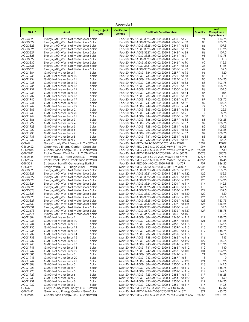|                                 | Appendix B                                                                       |                                    |                               |                                                                                                  |              |                                               |  |  |
|---------------------------------|----------------------------------------------------------------------------------|------------------------------------|-------------------------------|--------------------------------------------------------------------------------------------------|--------------|-----------------------------------------------|--|--|
| <b>NARID</b>                    | Asset                                                                            | <b>Fuel/Project</b><br><b>Type</b> | <b>Certificate</b><br>Vintage | <b>Certificate Serial Numbers</b>                                                                | Quantity     | <b>MO</b><br>Compliance<br><b>Eauivalency</b> |  |  |
| AGG3323                         | Evergy_MO_West Net Meter Solar Solar                                             |                                    |                               | Feb-20 NAR-AGG-3323-MO-02-2020-112339-1 to 91                                                    | 91           | 113.75                                        |  |  |
| AGG3324                         | Evergy_MO_West Net Meter Solar Solar                                             |                                    |                               | Feb-20 NAR-AGG-3324-MO-02-2020-112340-1 to 83                                                    | 83           | 103.75                                        |  |  |
| AGG3325                         | Evergy_MO_West Net Meter Solar Solar                                             |                                    |                               | Feb-20 NAR-AGG-3325-MO-02-2020-112341-1 to 86                                                    | 86           | 107.5                                         |  |  |
| AGG3326                         | Evergy MO West Net Meter Solar Solar                                             |                                    |                               | Feb-20 NAR-AGG-3326-MO-02-2020-112342-1 to 89                                                    | 89           | 111.25<br>107.5                               |  |  |
| AGG3327<br>AGG3328              | Evergy_MO_West Net Meter Solar Solar<br>Evergy_MO_West Net Meter Solar Solar     |                                    |                               | Feb-20 NAR-AGG-3327-MO-02-2020-112343-1 to 86<br>Feb-20 NAR-AGG-3328-MO-02-2020-112344-1 to 91   | 86<br>91     | 113.75                                        |  |  |
| AGG3329                         | Evergy_MO_West Net Meter Solar Solar                                             |                                    |                               | Feb-20 NAR-AGG-3329-MO-02-2020-112345-1 to 88                                                    | 88           | 110                                           |  |  |
| AGG3330                         | Evergy_MO_West Net Meter Solar Solar                                             |                                    |                               | Feb-20 NAR-AGG-3330-MO-02-2020-112346-1 to 90                                                    | 90           | 112.5                                         |  |  |
| AGG3331                         | Evergy_MO_West Net Meter Solar Solar                                             |                                    |                               | Feb-20 NAR-AGG-3331-MO-02-2020-112347-1 to 33                                                    | 33           | 41.25                                         |  |  |
| AGG3673                         | Evergy MO West Net Meter Solar Solar                                             |                                    |                               | Feb-20 NAR-AGG-3673-MO-02-2020-113835-1 to 42<br>Feb-20 NAR-AGG-1884-MO-02-2020-112287-1 to 96   | 42           | 52.5                                          |  |  |
| AGG1884<br>AGG1933              | GMO Net Meter Solar 1<br>GMO Net Meter Solar 10                                  | Solar<br>Solar                     |                               | Feb-20 NAR-AGG-1933-MO-02-2020-112296-1 to 88                                                    | 96<br>88     | 120<br>110                                    |  |  |
| AGG1934                         | GMO Net Meter Solar 11                                                           | Solar                              |                               | Feb-20 NAR-AGG-1934-MO-02-2020-112297-1 to 85                                                    | 85           | 106.25                                        |  |  |
| AGG1935                         | GMO Net Meter Solar 12                                                           | Solar                              |                               | Feb-20 NAR-AGG-1935-MO-02-2020-112298-1 to 83                                                    | 83           | 103.75                                        |  |  |
| AGG1936                         | GMO Net Meter Solar 13                                                           | Solar                              |                               | Feb-20 NAR-AGG-1936-MO-02-2020-112299-1 to 87                                                    | 87           | 108.75                                        |  |  |
| AGG1937                         | GMO Net Meter Solar 14                                                           | Solar                              |                               | Feb-20 NAR-AGG-1937-MO-02-2020-112300-1 to 86                                                    | 86           | 107.5                                         |  |  |
| AGG1938<br>AGG1939              | GMO Net Meter Solar 15<br>GMO Net Meter Solar 16                                 | Solar<br>Solar                     |                               | Feb-20 NAR-AGG-1938-MO-02-2020-112301-1 to 84<br>Feb-20 NAR-AGG-1939-MO-02-2020-112302-1 to 88   | 84<br>88     | 105<br>110                                    |  |  |
| AGG1940                         | GMO Net Meter Solar 17                                                           | Solar                              |                               | Feb-20 NAR-AGG-1940-MO-02-2020-112303-1 to 87                                                    | 87           | 108.75                                        |  |  |
| AGG1941                         | GMO Net Meter Solar 18                                                           | Solar                              |                               | Feb-20 NAR-AGG-1941-MO-02-2020-112304-1 to 82                                                    | 82           | 102.5                                         |  |  |
| AGG1942                         | GMO Net Meter Solar 19                                                           | Solar                              |                               | Feb-20 NAR-AGG-1942-MO-02-2020-112305-1 to 74                                                    | 74           | 92.5                                          |  |  |
| AGG1885                         | GMO Net Meter Solar 2                                                            | Solar                              |                               | Feb-20 NAR-AGG-1885-MO-02-2020-112288-1 to 18                                                    | 18           | 22.5                                          |  |  |
| AGG1943<br>AGG1944              | GMO Net Meter Solar 20                                                           | Solar                              |                               | Feb-20 NAR-AGG-1943-MO-02-2020-112306-1 to 7<br>Feb-20 NAR-AGG-1944-MO-02-2020-112307-1 to 88    | 7            | 8.75<br>110                                   |  |  |
| AGG1886                         | GMO Net Meter Solar 21<br>GMO Net Meter Solar 3                                  | Solar<br>Solar                     |                               | Feb-20 NAR-AGG-1886-MO-02-2020-112289-1 to 85                                                    | 88<br>85     | 106.25                                        |  |  |
| AGG1927                         | GMO Net Meter Solar 4                                                            | Solar                              |                               | Feb-20 NAR-AGG-1927-MO-02-2020-112290-1 to 87                                                    | 87           | 108.75                                        |  |  |
| AGG1928                         | GMO Net Meter Solar 5                                                            | Solar                              |                               | Feb-20 NAR-AGG-1928-MO-02-2020-112291-1 to 82                                                    | 82           | 102.5                                         |  |  |
| AGG1929                         | GMO Net Meter Solar 6                                                            | Solar                              |                               | Feb-20 NAR-AGG-1929-MO-02-2020-112292-1 to 85                                                    | 85           | 106.25                                        |  |  |
| AGG1930                         | GMO Net Meter Solar 7                                                            | Solar                              |                               | Feb-20 NAR-AGG-1930-MO-02-2020-112293-1 to 87                                                    | 87           | 108.75                                        |  |  |
| AGG1931<br>AGG1932              | GMO Net Meter Solar 8<br>GMO Net Meter Solar 9                                   | Solar                              |                               | Feb-20 NAR-AGG-1931-MO-02-2020-112294-1 to 85<br>Feb-20 NAR-AGG-1932-MO-02-2020-112295-1 to 82   | 85<br>82     | 106.25<br>102.5                               |  |  |
| GEN42                           | Gray County Wind Energy, LLC - C Wind                                            | Solar                              |                               | Feb-20 NAR-REC-42-KS-02-2020-96951-1 to 19707                                                    | 19707        | 19707                                         |  |  |
| GEN2462                         | Greenwood Energy Center - Gree Solar                                             |                                    |                               | Feb-20 NAR-REC-2462-MO-02-2020-96948-1 to 294                                                    | 294          | 367.5                                         |  |  |
| <b>GEN2486</b>                  | Osborn Wind Energy, LLC - Osborn Wind                                            |                                    |                               | Feb-20 NAR-REC-2486-MO-02-2020-96961-37958 to 632                                                | 25304        | 31630                                         |  |  |
| <b>GEN2981</b>                  | Prairie Queen Wind Farm LLC (GM Wind                                             |                                    |                               | Feb-20 NAR-REC-2981-KS-02-2020-97841-1 to 30078                                                  | 30078        | 30078                                         |  |  |
| <b>GEN2845</b>                  | Pratt Wind LLC - Pratt Wind LLC                                                  | Wind                               |                               | Feb-20 NAR-REC-2845-KS-02-2020-97592-1 to 47475                                                  | 47475        | 47475                                         |  |  |
| <b>GEN2567</b><br><b>GEN304</b> | Rock Creek - Rock Creek Wind Pro Wind<br>St. Joseph Landfill Generating Stat BLF |                                    |                               | Feb-20 NAR-REC-2567-MO-02-2020-97827-1 to 40756<br>Feb-20 NAR-REC-304-MO-02-2020-96949-1 to 709  | 40756<br>709 | 50945<br>886.25                               |  |  |
| <b>GEN339</b>                   | Ensign Wind, LLC - Ensign Wind                                                   | Wind                               |                               | Mar-20 NAR-REC-339-KS-03-2020-97788-1 to 37007                                                   | 37007        | 37007                                         |  |  |
| AGG3320                         | Evergy_MO_West Net Meter Solar Solar                                             |                                    |                               | Mar-20 NAR-AGG-3320-MO-03-2020-112397-1 to 123                                                   | 123          | 153.75                                        |  |  |
| AGG3321                         | Evergy_MO_West Net Meter Solar Solar                                             |                                    |                               | Mar-20 NAR-AGG-3321-MO-03-2020-112398-1 to 122                                                   | 122          | 152.5                                         |  |  |
| AGG3322                         | Evergy_MO_West Net Meter Solar Solar                                             |                                    |                               | Mar-20 NAR-AGG-3322-MO-03-2020-112399-1 to 126                                                   | 126          | 157.5<br>156.25                               |  |  |
| AGG3323<br>AGG3324              | Evergy_MO_West Net Meter Solar Solar<br>Evergy_MO_West Net Meter Solar Solar     |                                    |                               | Mar-20 NAR-AGG-3323-MO-03-2020-112400-1 to 125<br>Mar-20 NAR-AGG-3324-MO-03-2020-112401-1 to 114 | 125<br>114   | 142.5                                         |  |  |
| AGG3325                         | Evergy MO West Net Meter Solar Solar                                             |                                    |                               | Mar-20 NAR-AGG-3325-MO-03-2020-112402-1 to 118                                                   | 118          | 147.5                                         |  |  |
| AGG3326                         | Evergy_MO_West Net Meter Solar Solar                                             |                                    |                               | Mar-20 NAR-AGG-3326-MO-03-2020-112403-1 to 122                                                   | 122          | 152.5                                         |  |  |
| AGG3327                         | Evergy_MO_West Net Meter Solar Solar                                             |                                    |                               | Mar-20 NAR-AGG-3327-MO-03-2020-112404-1 to 120                                                   | 120          | 150                                           |  |  |
| AGG3328                         | Evergy MO West Net Meter Solar Solar                                             |                                    |                               | Mar-20 NAR-AGG-3328-MO-03-2020-112405-1 to 126                                                   | 126          | 157.5                                         |  |  |
| AGG3329<br>AGG3330              | Evergy MO West Net Meter Solar Solar<br>Evergy_MO_West Net Meter Solar Solar     |                                    |                               | Mar-20 NAR-AGG-3329-MO-03-2020-112406-1 to 123<br>Mar-20 NAR-AGG-3330-MO-03-2020-112407-1 to 125 | 123<br>125   | 153.75<br>156.25                              |  |  |
| AGG3331                         | Evergy_MO_West Net Meter Solar Solar                                             |                                    |                               | Mar-20 NAR-AGG-3331-MO-03-2020-112408-1 to 46                                                    | 46           | 57.5                                          |  |  |
| AGG3673                         | Evergy_MO_West Net Meter Solar Solar                                             |                                    |                               | Mar-20 NAR-AGG-3673-MO-03-2020-113836-1 to 127                                                   | 127          | 158.75                                        |  |  |
| AGG3674                         | Evergy_MO_West Net Meter Solar Solar                                             |                                    |                               | Mar-20 NAR-AGG-3674-MO-03-2020-113846-1 to 10                                                    | 10           | 12.5                                          |  |  |
| AGG1884                         | GMO Net Meter Solar 1                                                            | Solar                              |                               | Mar-20 NAR-AGG-1884-MO-03-2020-112348-1 to 119                                                   | 119          | 148.75                                        |  |  |
| AGG1933<br>AGG1934              | GMO Net Meter Solar 10<br>GMO Net Meter Solar 11                                 | Solar<br>Solar                     |                               | Mar-20 NAR-AGG-1933-MO-03-2020-112357-1 to 121<br>Mar-20 NAR-AGG-1934-MO-03-2020-112358-1 to 118 | 121<br>118   | 151.25<br>147.5                               |  |  |
| AGG1935                         | GMO Net Meter Solar 12                                                           | Solar                              |                               | Mar-20 NAR-AGG-1935-MO-03-2020-112359-1 to 115                                                   | 115          | 143.75                                        |  |  |
| AGG1936                         | GMO Net Meter Solar 13                                                           | Solar                              |                               | Mar-20 NAR-AGG-1936-MO-03-2020-112360-1 to 119                                                   | 119          | 148.75                                        |  |  |
| AGG1937                         | GMO Net Meter Solar 14                                                           | Solar                              |                               | Mar-20 NAR-AGG-1937-MO-03-2020-112361-1 to 118                                                   | 118          | 147.5                                         |  |  |
| AGG1938                         | GMO Net Meter Solar 15                                                           | Solar                              |                               | Mar-20 NAR-AGG-1938-MO-03-2020-112362-1 to 116                                                   | 116          | 145                                           |  |  |
| AGG1939<br>AGG1940              | GMO Net Meter Solar 16<br>GMO Net Meter Solar 17                                 | Solar<br>Solar                     |                               | Mar-20 NAR-AGG-1939-MO-03-2020-112363-1 to 122<br>Mar-20 NAR-AGG-1940-MO-03-2020-112364-1 to 121 | 122<br>121   | 152.5<br>151.25                               |  |  |
| AGG1941                         | GMO Net Meter Solar 18                                                           | Solar                              |                               | Mar-20 NAR-AGG-1941-MO-03-2020-112365-1 to 112                                                   | 112          | 140                                           |  |  |
| AGG1942                         | GMO Net Meter Solar 19                                                           | Solar                              |                               | Mar-20 NAR-AGG-1942-MO-03-2020-112366-1 to 101                                                   | 101          | 126.25                                        |  |  |
| AGG1885                         | GMO Net Meter Solar 2                                                            | Solar                              |                               | Mar-20 NAR-AGG-1885-MO-03-2020-112349-1 to 21                                                    | 21           | 26.25                                         |  |  |
| AGG1943                         | GMO Net Meter Solar 20                                                           | Solar                              |                               | Mar-20 NAR-AGG-1943-MO-03-2020-112367-1 to 8                                                     | 8            | 10                                            |  |  |
| AGG1944                         | GMO Net Meter Solar 21                                                           | Solar                              |                               | Mar-20 NAR-AGG-1944-MO-03-2020-112368-1 to 121                                                   | 121          | 151.25                                        |  |  |
| AGG1886<br>AGG1927              | GMO Net Meter Solar 3<br>GMO Net Meter Solar 4                                   | Solar<br>Solar                     |                               | Mar-20 NAR-AGG-1886-MO-03-2020-112350-1 to 118<br>Mar-20 NAR-AGG-1927-MO-03-2020-112351-1 to 119 | 118<br>119   | 147.5<br>148.75                               |  |  |
| AGG1928                         | GMO Net Meter Solar 5                                                            | Solar                              |                               | Mar-20 NAR-AGG-1928-MO-03-2020-112352-1 to 114                                                   | 114          | 142.5                                         |  |  |
| AGG1929                         | GMO Net Meter Solar 6                                                            | Solar                              |                               | Mar-20 NAR-AGG-1929-MO-03-2020-112353-1 to 117                                                   | 117          | 146.25                                        |  |  |
| AGG1930                         | GMO Net Meter Solar 7                                                            | Solar                              |                               | Mar-20 NAR-AGG-1930-MO-03-2020-112354-1 to 120                                                   | 120          | 150                                           |  |  |
| AGG1931                         | GMO Net Meter Solar 8                                                            | Solar                              |                               | Mar-20 NAR-AGG-1931-MO-03-2020-112355-1 to 117                                                   | 117          | 146.25                                        |  |  |
| AGG1932<br>GEN42                | GMO Net Meter Solar 9<br>Gray County Wind Energy, LLC - G Wind                   | Solar                              |                               | Mar-20 NAR-AGG-1932-MO-03-2020-112356-1 to 114<br>Mar-20 NAR-REC-42-KS-03-2020-97786-1 to 15032  | 114<br>15032 | 142.5<br>15032                                |  |  |
| <b>GEN2462</b>                  | Greenwood Energy Center - Gree Solar                                             |                                    |                               | Mar-20 NAR-REC-2462-MO-03-2020-97789-1 to 371                                                    | 371          | 463.75                                        |  |  |
| GEN2486                         | Osborn Wind Energy, LLC - Osborn Wind                                            |                                    |                               | Mar-20 NAR-REC-2486-MO-03-2020-97784-39388 to 656-                                               | 26257        | 32821.25                                      |  |  |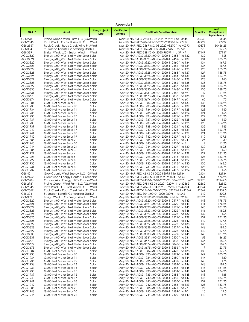| <b>Appendix B</b>  |                                                                              |                                    |                               |                                                                                                  |            |                                               |  |  |
|--------------------|------------------------------------------------------------------------------|------------------------------------|-------------------------------|--------------------------------------------------------------------------------------------------|------------|-----------------------------------------------|--|--|
| <b>NARID</b>       | Asset                                                                        | <b>Fuel/Project</b><br><b>Type</b> | <b>Certificate</b><br>Vintage | <b>Certificate Serial Numbers</b>                                                                | Quantity   | <b>MO</b><br>Compliance<br><b>Equivalency</b> |  |  |
| <b>GEN2981</b>     | Prairie Queen Wind Farm LLC (GM Wind                                         |                                    |                               | Mar-20 NAR-REC-2981-KS-03-2020-98289-1 to 33545                                                  | 33545      | 33545                                         |  |  |
| <b>GEN2845</b>     | Pratt Wind LLC - Pratt Wind LLC                                              | Wind                               |                               | Mar-20 NAR-REC-2845-KS-03-2020-98038-1 to 47927                                                  | 47927      | 47927                                         |  |  |
| <b>GEN2567</b>     | Rock Creek - Rock Creek Wind Pro Wind                                        |                                    |                               | Mar-20 NAR-REC-2567-MO-03-2020-98270-1 to 40373                                                  | 40373      | 50466.25                                      |  |  |
| <b>GEN304</b>      | St. Joseph Landfill Generating Stat BLF                                      |                                    |                               | Mar-20 NAR-REC-304-MO-03-2020-97787-1 to 778                                                     | 778        | 972.5                                         |  |  |
| <b>GEN339</b>      | Ensign Wind, LLC - Ensign Wind                                               | Wind                               |                               | Apr-20 NAR-REC-339-KS-04-2020-98097-1 to 37147                                                   | 37147      | 37147                                         |  |  |
| AGG3320<br>AGG3321 | Evergy_MO_West Net Meter Solar Solar<br>Evergy_MO_West Net Meter Solar Solar |                                    |                               | Apr-20 NAR-AGG-3320-MO-04-2020-112458-1 to 132<br>Apr-20 NAR-AGG-3321-MO-04-2020-112459-1 to 131 | 132<br>131 | 165<br>163.75                                 |  |  |
| AGG3322            | Evergy MO West Net Meter Solar Solar                                         |                                    |                               | Apr-20 NAR-AGG-3322-MO-04-2020-112460-1 to 134                                                   | 134        | 167.5                                         |  |  |
| AGG3323            | Evergy_MO_West Net Meter Solar Solar                                         |                                    |                               | Apr-20 NAR-AGG-3323-MO-04-2020-112461-1 to 134                                                   | 134        | 167.5                                         |  |  |
| AGG3324            | Evergy_MO_West Net Meter Solar Solar                                         |                                    |                               | Apr-20 NAR-AGG-3324-MO-04-2020-112462-1 to 123                                                   | 123        | 153.75                                        |  |  |
| AGG3325            | Evergy_MO_West Net Meter Solar Solar                                         |                                    |                               | Apr-20 NAR-AGG-3325-MO-04-2020-112463-1 to 127                                                   | 127        | 158.75                                        |  |  |
| AGG3326            | Evergy_MO_West Net Meter Solar Solar                                         |                                    |                               | Apr-20 NAR-AGG-3326-MO-04-2020-112464-1 to 131                                                   | 131        | 163.75                                        |  |  |
| AGG3327            | Evergy_MO_West Net Meter Solar Solar                                         |                                    |                               | Apr-20 NAR-AGG-3327-MO-04-2020-112465-1 to 128                                                   | 128        | 160                                           |  |  |
| AGG3328            | Evergy_MO_West Net Meter Solar Solar                                         |                                    |                               | Apr-20 NAR-AGG-3328-MO-04-2020-112466-1 to 135                                                   | 135        | 168.75                                        |  |  |
| AGG3329            | Evergy_MO_West Net Meter Solar Solar                                         |                                    |                               | Apr-20 NAR-AGG-3329-MO-04-2020-112467-1 to 131                                                   | 131        | 163.75                                        |  |  |
| AGG3330<br>AGG3331 | Evergy_MO_West Net Meter Solar Solar                                         |                                    |                               | Apr-20 NAR-AGG-3330-MO-04-2020-112468-1 to 135<br>Apr-20 NAR-AGG-3331-MO-04-2020-112469-1 to 49  | 135<br>49  | 168.75<br>61.25                               |  |  |
| AGG3673            | Evergy_MO_West Net Meter Solar Solar<br>Evergy_MO_West Net Meter Solar Solar |                                    |                               | Apr-20 NAR-AGG-3673-MO-04-2020-113837-1 to 135                                                   | 135        | 168.75                                        |  |  |
| AGG3674            | Evergy_MO_West Net Meter Solar Solar                                         |                                    |                               | Apr-20 NAR-AGG-3674-MO-04-2020-113847-1 to 60                                                    | 60         | 75                                            |  |  |
| AGG1884            | GMO Net Meter Solar 1                                                        | Solar                              |                               | Apr-20 NAR-AGG-1884-MO-04-2020-112409-1 to 133                                                   | 133        | 166.25                                        |  |  |
| AGG1933            | GMO Net Meter Solar 10                                                       | Solar                              |                               | Apr-20 NAR-AGG-1933-MO-04-2020-112418-1 to 131                                                   | 131        | 163.75                                        |  |  |
| AGG1934            | GMO Net Meter Solar 11                                                       | Solar                              |                               | Apr-20 NAR-AGG-1934-MO-04-2020-112419-1 to 128                                                   | 128        | 160                                           |  |  |
| AGG1935            | GMO Net Meter Solar 12                                                       | Solar                              |                               | Apr-20 NAR-AGG-1935-MO-04-2020-112420-1 to 124                                                   | 124        | 155                                           |  |  |
| AGG1936            | GMO Net Meter Solar 13                                                       | Solar                              |                               | Apr-20 NAR-AGG-1936-MO-04-2020-112421-1 to 129                                                   | 129        | 161.25                                        |  |  |
| AGG1937            | GMO Net Meter Solar 14                                                       | Solar                              |                               | Apr-20 NAR-AGG-1937-MO-04-2020-112422-1 to 128                                                   | 128        | 160                                           |  |  |
| AGG1938            | GMO Net Meter Solar 15                                                       | Solar                              |                               | Apr-20 NAR-AGG-1938-MO-04-2020-112423-1 to 125                                                   | 125        | 156.25                                        |  |  |
| AGG1939            | GMO Net Meter Solar 16                                                       | Solar                              |                               | Apr-20 NAR-AGG-1939-MO-04-2020-112424-1 to 132                                                   | 132        | 165                                           |  |  |
| AGG1940<br>AGG1941 | GMO Net Meter Solar 17<br>GMO Net Meter Solar 18                             | Solar                              |                               | Apr-20 NAR-AGG-1940-MO-04-2020-112425-1 to 131<br>Apr-20 NAR-AGG-1941-MO-04-2020-112426-1 to 121 | 131<br>121 | 163.75<br>151.25                              |  |  |
| AGG1942            | GMO Net Meter Solar 19                                                       | Solar<br>Solar                     |                               | Apr-20 NAR-AGG-1942-MO-04-2020-112427-1 to 110                                                   | 110        | 137.5                                         |  |  |
| AGG1885            | GMO Net Meter Solar 2                                                        | Solar                              |                               | Apr-20 NAR-AGG-1885-MO-04-2020-112410-1 to 24                                                    | 24         | 30                                            |  |  |
| AGG1943            | GMO Net Meter Solar 20                                                       | Solar                              |                               | Apr-20 NAR-AGG-1943-MO-04-2020-112428-1 to 9                                                     | 9          | 11.25                                         |  |  |
| AGG1944            | GMO Net Meter Solar 21                                                       | Solar                              |                               | Apr-20 NAR-AGG-1944-MO-04-2020-112429-1 to 130                                                   | 130        | 162.5                                         |  |  |
| AGG1886            | GMO Net Meter Solar 3                                                        | Solar                              |                               | Apr-20 NAR-AGG-1886-MO-04-2020-112411-1 to 128                                                   | 128        | 160                                           |  |  |
| AGG1927            | GMO Net Meter Solar 4                                                        | Solar                              |                               | Apr-20 NAR-AGG-1927-MO-04-2020-112412-1 to 129                                                   | 129        | 161.25                                        |  |  |
| AGG1928            | GMO Net Meter Solar 5                                                        | Solar                              |                               | Apr-20 NAR-AGG-1928-MO-04-2020-112413-1 to 123                                                   | 123        | 153.75                                        |  |  |
| AGG1929            | GMO Net Meter Solar 6                                                        | Solar                              |                               | Apr-20 NAR-AGG-1929-MO-04-2020-112414-1 to 127                                                   | 127        | 158.75                                        |  |  |
| AGG1930            | GMO Net Meter Solar 7                                                        | Solar                              |                               | Apr-20 NAR-AGG-1930-MO-04-2020-112415-1 to 130                                                   | 130        | 162.5                                         |  |  |
| AGG1931<br>AGG1932 | GMO Net Meter Solar 8<br>GMO Net Meter Solar 9                               | Solar<br>Solar                     |                               | Apr-20 NAR-AGG-1931-MO-04-2020-112416-1 to 127<br>Apr-20 NAR-AGG-1932-MO-04-2020-112417-1 to 124 | 127<br>124 | 158.75<br>155                                 |  |  |
| GEN42              | Gray County Wind Energy, LLC - C Wind                                        |                                    |                               | Apr-20 NAR-REC-42-KS-04-2020-98095-1 to 12134                                                    | 12134      | 12134                                         |  |  |
| GEN2462            | Greenwood Energy Center - Gree Solar                                         |                                    |                               | Apr-20 NAR-REC-2462-MO-04-2020-98094-1 to 461                                                    | 461        | 576.25                                        |  |  |
| GEN2486            | Osborn Wind Energy, LLC - Osborn Wind                                        |                                    |                               | Apr-20 NAR-REC-2486-MO-04-2020-98108-40757 to 679.                                               | 27170      | 33962.5                                       |  |  |
| <b>GEN2981</b>     | Prairie Queen Wind Farm LLC (GM Wind                                         |                                    |                               | Apr-20 NAR-REC-2981-KS-04-2020-102294-1 to 32562                                                 | 32562      | 32562                                         |  |  |
| <b>GEN2845</b>     | Pratt Wind LLC - Pratt Wind LLC                                              | Wind                               |                               | Apr-20 NAR-REC-2845-KS-04-2020-102226-1 to 49864                                                 | 49864      | 49864                                         |  |  |
| <b>GEN2567</b>     | Rock Creek - Rock Creek Wind Pro Wind                                        |                                    |                               | Apr-20 NAR-REC-2567-MO-04-2020-102275-1 to 42362                                                 | 42362      | 52952.5                                       |  |  |
| <b>GEN304</b>      | St. Joseph Landfill Generating Stat BLF                                      |                                    |                               | Apr-20 NAR-REC-304-MO-04-2020-98096-1 to 642                                                     | 642        | 802.5                                         |  |  |
| <b>GEN339</b>      | Ensign Wind, LLC - Ensign Wind                                               | Wind                               |                               | May-20 NAR-REC-339-KS-05-2020-102195-1 to 39596                                                  | 39596      | 39596                                         |  |  |
| AGG3320<br>AGG3321 | Evergy_MO_West Net Meter Solar Solar<br>Evergy_MO_West Net Meter Solar Solar |                                    |                               | May-20 NAR-AGG-3320-MO-05-2020-112519-1 to 143<br>May-20 NAR-AGG-3321-MO-05-2020-112520-1 to 141 | 143<br>141 | 178.75<br>176.25                              |  |  |
| AGG3322            | Evergy_MO_West Net Meter Solar Solar                                         |                                    |                               | May-20 NAR-AGG-3322-MO-05-2020-112521-1 to 145                                                   | 145        | 181.25                                        |  |  |
| AGG3323            | Evergy MO West Net Meter Solar Solar                                         |                                    |                               | May-20 NAR-AGG-3323-MO-05-2020-112522-1 to 146                                                   | 146        | 182.5                                         |  |  |
| AGG3324            | Evergy_MO_West Net Meter Solar Solar                                         |                                    |                               | May-20 NAR-AGG-3324-MO-05-2020-112523-1 to 132                                                   | 132        | 165                                           |  |  |
| AGG3325            | Evergy MO West Net Meter Solar Solar                                         |                                    |                               | May-20 NAR-AGG-3325-MO-05-2020-112524-1 to 137                                                   | 137        | 171.25                                        |  |  |
| AGG3326            | Evergy_MO_West Net Meter Solar Solar                                         |                                    |                               | May-20 NAR-AGG-3326-MO-05-2020-112525-1 to 142                                                   | 142        | 177.5                                         |  |  |
| AGG3327            | Evergy_MO_West Net Meter Solar Solar                                         |                                    |                               | May-20 NAR-AGG-3327-MO-05-2020-112526-1 to 138                                                   | 138        | 172.5                                         |  |  |
| AGG3328            | Evergy MO West Net Meter Solar Solar                                         |                                    |                               | May-20 NAR-AGG-3328-MO-05-2020-112527-1 to 146                                                   | 146        | 182.5                                         |  |  |
| AGG3329            | Evergy_MO_West Net Meter Solar Solar<br>Evergy MO West Net Meter Solar Solar |                                    |                               | May-20 NAR-AGG-3329-MO-05-2020-112528-1 to 142                                                   | 142        | 177.5                                         |  |  |
| AGG3330<br>AGG3331 | Evergy_MO_West Net Meter Solar Solar                                         |                                    |                               | May-20 NAR-AGG-3330-MO-05-2020-112529-1 to 145<br>May-20 NAR-AGG-3331-MO-05-2020-112530-1 to 53  | 145<br>53  | 181.25<br>66.25                               |  |  |
| AGG3673            | Evergy MO West Net Meter Solar Solar                                         |                                    |                               | May-20 NAR-AGG-3673-MO-05-2020-113838-1 to 146                                                   | 146        | 182.5                                         |  |  |
| AGG3674            | Evergy_MO_West Net Meter Solar Solar                                         |                                    |                               | May-20 NAR-AGG-3674-MO-05-2020-113848-1 to 146                                                   | 146        | 182.5                                         |  |  |
| AGG3675            | Evergy_MO_West Net Meter Solar Solar                                         |                                    |                               | May-20 NAR-AGG-3675-MO-05-2020-113856-1 to 19                                                    | 19         | 23.75                                         |  |  |
| AGG1884            | GMO Net Meter Solar 1                                                        | Solar                              |                               | May-20 NAR-AGG-1884-MO-05-2020-112470-1 to 138                                                   | 138        | 172.5                                         |  |  |
| AGG1933            | GMO Net Meter Solar 10                                                       | Solar                              |                               | May-20 NAR-AGG-1933-MO-05-2020-112479-1 to 147                                                   | 147        | 183.75                                        |  |  |
| AGG1934            | GMO Net Meter Solar 11                                                       | Solar                              |                               | May-20 NAR-AGG-1934-MO-05-2020-112480-1 to 144                                                   | 144        | 180                                           |  |  |
| AGG1935            | GMO Net Meter Solar 12                                                       | Solar                              |                               | May-20 NAR-AGG-1935-MO-05-2020-112481-1 to 140                                                   | 140        | 175                                           |  |  |
| AGG1936            | GMO Net Meter Solar 13                                                       | Solar                              |                               | May-20 NAR-AGG-1936-MO-05-2020-112482-1 to 146                                                   | 146        | 182.5                                         |  |  |
| AGG1937            | GMO Net Meter Solar 14                                                       | Solar                              |                               | May-20 NAR-AGG-1937-MO-05-2020-112483-1 to 145                                                   | 145        | 181.25                                        |  |  |
| AGG1938<br>AGG1939 | GMO Net Meter Solar 15<br>GMO Net Meter Solar 16                             | Solar<br>Solar                     |                               | May-20 NAR-AGG-1938-MO-05-2020-112484-1 to 141<br>May-20 NAR-AGG-1939-MO-05-2020-112485-1 to 148 | 4 <br>148  | 176.25<br>185                                 |  |  |
| AGG1940            | GMO Net Meter Solar 17                                                       | Solar                              |                               | May-20 NAR-AGG-1940-MO-05-2020-112486-1 to 147                                                   | 147        | 183.75                                        |  |  |
| AGG1941            | GMO Net Meter Solar 18                                                       | Solar                              |                               | May-20 NAR-AGG-1941-MO-05-2020-112487-1 to 137                                                   | 137        | 171.25                                        |  |  |
| AGG1942            | GMO Net Meter Solar 19                                                       | Solar                              |                               | May-20 NAR-AGG-1942-MO-05-2020-112488-1 to 123                                                   | 123        | 153.75                                        |  |  |
| AGG1885            | GMO Net Meter Solar 2                                                        | Solar                              |                               | May-20 NAR-AGG-1885-MO-05-2020-112471-1 to 27                                                    | 27         | 33.75                                         |  |  |
| AGG1943            | GMO Net Meter Solar 20                                                       | Solar                              |                               | May-20 NAR-AGG-1943-MO-05-2020-112489-1 to 10                                                    | 10         | 12.5                                          |  |  |
| AGG1944            | GMO Net Meter Solar 21                                                       | Solar                              |                               | May-20 NAR-AGG-1944-MO-05-2020-112490-1 to 140                                                   | 140        | 175                                           |  |  |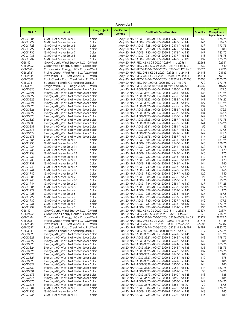| Appendix B                       |                                                                              |                                    |                               |                                                                                                      |                 |                                                      |  |  |
|----------------------------------|------------------------------------------------------------------------------|------------------------------------|-------------------------------|------------------------------------------------------------------------------------------------------|-----------------|------------------------------------------------------|--|--|
| <b>NARID</b>                     | Asset                                                                        | <b>Fuel/Project</b><br><b>Type</b> | <b>Certificate</b><br>Vintage | <b>Certificate Serial Numbers</b>                                                                    | Quantity        | <b>MO</b><br><b>Compliance</b><br><b>Equivalency</b> |  |  |
| AGG1886                          | GMO Net Meter Solar 3                                                        | Solar                              |                               | May-20 NAR-AGG-1886-MO-05-2020-112472-1 to 143                                                       | 143             | 178.75                                               |  |  |
| AGG1927                          | GMO Net Meter Solar 4                                                        | Solar                              |                               | May-20 NAR-AGG-1927-MO-05-2020-112473-1 to 146                                                       | 146             | 182.5                                                |  |  |
| AGG1928                          | GMO Net Meter Solar 5                                                        | Solar                              |                               | May-20 NAR-AGG-1928-MO-05-2020-112474-1 to 139                                                       | 139             | 173.75                                               |  |  |
| AGG1929                          | GMO Net Meter Solar 6                                                        | Solar                              |                               | May-20 NAR-AGG-1929-MO-05-2020-112475-1 to 144                                                       | 144             | 180                                                  |  |  |
| AGG1930<br>AGG1931               | GMO Net Meter Solar 7<br>GMO Net Meter Solar 8                               | Solar<br>Solar                     |                               | May-20 NAR-AGG-1930-MO-05-2020-112476-1 to 147<br>May-20 NAR-AGG-1931-MO-05-2020-112477-1 to 143     | 147<br>143      | 183.75<br>178.75                                     |  |  |
| AGG1932                          | GMO Net Meter Solar 9                                                        | Solar                              |                               | May-20 NAR-AGG-1932-MO-05-2020-112478-1 to 139                                                       | 139             | 173.75                                               |  |  |
| GEN42                            | Gray County Wind Energy, LLC - G Wind                                        |                                    |                               | May-20 NAR-REC-42-KS-05-2020-102197-1 to 22561                                                       | 22561           | 22561                                                |  |  |
| <b>GEN2462</b>                   | Greenwood Energy Center - Gree Solar                                         |                                    |                               | May-20 NAR-REC-2462-MO-05-2020-102194-1 to 432                                                       | 432             | 540                                                  |  |  |
| <b>GEN2486</b>                   | Osborn Wind Energy, LLC - Osborn Wind                                        |                                    |                               | May-20 NAR-REC-2486-MO-05-2020-102206-31196 to 519                                                   | 20796           | 25995                                                |  |  |
| <b>GEN2981</b>                   | Prairie Queen Wind Farm LLC (GM Wind                                         |                                    |                               | May-20 NAR-REC-2981-KS-05-2020-102966-1 to 24143                                                     | 24143           | 24143                                                |  |  |
| <b>GEN2845</b>                   | Pratt Wind LLC - Pratt Wind LLC                                              | Wind                               |                               | May-20 NAR-REC-2845-KS-05-2020-102786-1 to 45311                                                     | 45311           | 45311                                                |  |  |
| <b>GEN2567</b>                   | Rock Creek - Rock Creek Wind Pro Wind                                        |                                    |                               | May-20 NAR-REC-2567-MO-05-2020-102769-1 to 33603                                                     | 33603           | 42003.75                                             |  |  |
| <b>GEN304</b>                    | St. Joseph Landfill Generating Stat BLF                                      |                                    |                               | May-20 NAR-REC-304-MO-05-2020-102196-1 to 779                                                        | 779<br>48932    | 973.75                                               |  |  |
| <b>GEN339</b><br>AGG3320         | Ensign Wind, LLC - Ensign Wind<br>Evergy_MO_West Net Meter Solar Solar       | Wind                               |                               | Jun-20 NAR-REC-339-KS-06-2020-103219-1 to 48932<br>Jun-20 NAR-AGG-3320-MO-06-2020-112580-1 to 138    | 138             | 48932<br>172.5                                       |  |  |
| AGG3321                          | Evergy_MO_West Net Meter Solar Solar                                         |                                    |                               | Jun-20 NAR-AGG-3321-MO-06-2020-112581-1 to 137                                                       | 137             | 171.25                                               |  |  |
| AGG3322                          | Evergy_MO_West Net Meter Solar Solar                                         |                                    |                               | Jun-20 NAR-AGG-3322-MO-06-2020-112582-1 to 141                                                       | 4               | 176.25                                               |  |  |
| AGG3323                          | Evergy_MO_West Net Meter Solar Solar                                         |                                    |                               | Jun-20 NAR-AGG-3323-MO-06-2020-112583-1 to 141                                                       | 4               | 176.25                                               |  |  |
| AGG3324                          | Evergy MO West Net Meter Solar Solar                                         |                                    |                               | Jun-20 NAR-AGG-3324-MO-06-2020-112584-1 to 129                                                       | 129             | 161.25                                               |  |  |
| AGG3325                          | Evergy_MO_West Net Meter Solar Solar                                         |                                    |                               | Jun-20 NAR-AGG-3325-MO-06-2020-112585-1 to 134                                                       | 134             | 167.5                                                |  |  |
| AGG3326                          | Evergy_MO_West Net Meter Solar Solar                                         |                                    |                               | Jun-20 NAR-AGG-3326-MO-06-2020-112586-1 to 138                                                       | 138             | 172.5                                                |  |  |
| AGG3327                          | Evergy MO West Net Meter Solar Solar                                         |                                    |                               | Jun-20 NAR-AGG-3327-MO-06-2020-112587-1 to 134                                                       | 134             | 167.5                                                |  |  |
| AGG3328                          | Evergy_MO_West Net Meter Solar Solar                                         |                                    |                               | Jun-20 NAR-AGG-3328-MO-06-2020-112588-1 to 142                                                       | 142             | 177.5                                                |  |  |
| AGG3329<br>AGG3330               | Evergy MO West Net Meter Solar Solar                                         |                                    |                               | Jun-20 NAR-AGG-3329-MO-06-2020-112589-1 to 139<br>Jun-20 NAR-AGG-3330-MO-06-2020-112590-1 to 141     | 139<br> 4       | 173.75<br>176.25                                     |  |  |
| AGG3331                          | Evergy_MO_West Net Meter Solar Solar<br>Evergy MO West Net Meter Solar Solar |                                    |                               | Jun-20 NAR-AGG-3331-MO-06-2020-112591-1 to 52                                                        | 52              | 65                                                   |  |  |
| AGG3673                          | Evergy MO West Net Meter Solar Solar                                         |                                    |                               | Jun-20 NAR-AGG-3673-MO-06-2020-113839-1 to 142                                                       | 142             | 177.5                                                |  |  |
| AGG3674                          | Evergy_MO_West Net Meter Solar Solar                                         |                                    |                               | Jun-20 NAR-AGG-3674-MO-06-2020-113849-1 to 142                                                       | 142             | 177.5                                                |  |  |
| AGG3675                          | Evergy_MO_West Net Meter Solar Solar                                         |                                    |                               | Jun-20 NAR-AGG-3675-MO-06-2020-113857-1 to 114                                                       | 114             | 142.5                                                |  |  |
| AGG1884                          | GMO Net Meter Solar 1                                                        | Solar                              |                               | Jun-20 NAR-AGG-1884-MO-06-2020-112531-1 to 145                                                       | 145             | 181.25                                               |  |  |
| AGG1933                          | GMO Net Meter Solar 10                                                       | Solar                              |                               | Jun-20 NAR-AGG-1933-MO-06-2020-112540-1 to 143                                                       | 143             | 178.75                                               |  |  |
| AGG1934                          | GMO Net Meter Solar 11                                                       | Solar                              |                               | Jun-20 NAR-AGG-1934-MO-06-2020-112541-1 to 139                                                       | 139             | 173.75                                               |  |  |
| AGG1935                          | GMO Net Meter Solar 12                                                       | Solar                              |                               | Jun-20 NAR-AGG-1935-MO-06-2020-112542-1 to 136                                                       | 136             | 170                                                  |  |  |
| AGG1936                          | GMO Net Meter Solar 13                                                       | Solar                              |                               | Jun-20 NAR-AGG-1936-MO-06-2020-112543-1 to 140                                                       | 140             | 175                                                  |  |  |
| AGG1937<br>AGG1938               | GMO Net Meter Solar 14<br>GMO Net Meter Solar 15                             | Solar<br>Solar                     |                               | Jun-20 NAR-AGG-1937-MO-06-2020-112544-1 to 140<br>Jun-20 NAR-AGG-1938-MO-06-2020-112545-1 to 136     | 140<br>136      | 175<br>170                                           |  |  |
| AGG1939                          | GMO Net Meter Solar 16                                                       | Solar                              |                               | Jun-20 NAR-AGG-1939-MO-06-2020-112546-1 to 144                                                       | 144             | 180                                                  |  |  |
| AGG1940                          | GMO Net Meter Solar 17                                                       | Solar                              |                               | Jun-20 NAR-AGG-1940-MO-06-2020-112547-1 to 142                                                       | 142             | 177.5                                                |  |  |
| AGG1941                          | GMO Net Meter Solar 18                                                       | Solar                              |                               | Jun-20 NAR-AGG-1941-MO-06-2020-112548-1 to 132                                                       | 132             | 165                                                  |  |  |
| AGG1942                          | GMO Net Meter Solar 19                                                       | Solar                              |                               | Jun-20 NAR-AGG-1942-MO-06-2020-112549-1 to 120                                                       | 120             | 150                                                  |  |  |
| AGG1885                          | GMO Net Meter Solar 2                                                        | Solar                              |                               | Jun-20 NAR-AGG-1885-MO-06-2020-112532-1 to 27                                                        | 27              | 33.75                                                |  |  |
| AGG1943                          | GMO Net Meter Solar 20                                                       | Solar                              |                               | Jun-20 NAR-AGG-1943-MO-06-2020-112550-1 to 11                                                        | $\overline{11}$ | 13.75                                                |  |  |
| AGG1944                          | GMO Net Meter Solar 21                                                       | Solar                              |                               | Jun-20 NAR-AGG-1944-MO-06-2020-112551-1 to 137                                                       | 137             | 171.25                                               |  |  |
| AGG1886                          | GMO Net Meter Solar 3<br>GMO Net Meter Solar 4                               | Solar                              |                               | Jun-20 NAR-AGG-1886-MO-06-2020-112533-1 to 139                                                       | 139<br>140      | 173.75                                               |  |  |
| AGG1927<br>AGG1928               | GMO Net Meter Solar 5                                                        | Solar<br>Solar                     |                               | Jun-20 NAR-AGG-1927-MO-06-2020-112534-1 to 140<br>Jun-20 NAR-AGG-1928-MO-06-2020-112535-1 to 134     | 134             | 175<br>167.5                                         |  |  |
| AGG1929                          | GMO Net Meter Solar 6                                                        | Solar                              |                               | Jun-20 NAR-AGG-1929-MO-06-2020-112536-1 to 138                                                       | 138             | 172.5                                                |  |  |
| AGG1930                          | GMO Net Meter Solar 7                                                        | Solar                              |                               | Jun-20 NAR-AGG-1930-MO-06-2020-112537-1 to 142                                                       | 142             | 177.5                                                |  |  |
| AGG1931                          | GMO Net Meter Solar 8                                                        | Solar                              |                               | Jun-20 NAR-AGG-1931-MO-06-2020-112538-1 to 139                                                       | 139             | 173.75                                               |  |  |
| AGG1932                          | GMO Net Meter Solar 9                                                        | Solar                              |                               | Jun-20 NAR-AGG-1932-MO-06-2020-112539-1 to 135                                                       | 135             | 168.75                                               |  |  |
| GEN42                            | Gray County Wind Energy, LLC - G Wind                                        |                                    |                               | Jun-20 NAR-REC-42-KS-06-2020-103215-1 to 23874                                                       | 23874           | 23874                                                |  |  |
| GEN2462                          | Greenwood Energy Center - Gree Solar                                         |                                    |                               | Jun-20 NAR-REC-2462-MO-06-2020-103221-1 to 575                                                       | 575             | 718.75                                               |  |  |
| GEN2486                          | Osborn Wind Eneray, LLC - Osborn Wind                                        |                                    |                               | Jun-20 NAR-REC-2486-MO-06-2020-103166-33336 to 55.                                                   | 22222           | 27777.5                                              |  |  |
| <b>GEN2981</b><br><b>GEN2845</b> | Prairie Queen Wind Farm LLC (GM Wind<br>Pratt Wind LLC - Pratt Wind LLC      | Wind                               |                               | Jun-20 NAR-REC-2981-KS-06-2020-103503-1 to 31745<br>Jun-20 NAR-REC-2845-KS-06-2020-103301-1 to 65587 | 31745<br>65587  | 31745<br>65587                                       |  |  |
| <b>GEN2567</b>                   | Rock Creek - Rock Creek Wind Pro Wind                                        |                                    |                               | Jun-20 NAR-REC-2567-MO-06-2020-103281-1 to 36787                                                     | 36787           | 45983.75                                             |  |  |
| <b>GEN304</b>                    | St. Joseph Landfill Generating Stat BLF                                      |                                    |                               | Jun-20 NAR-REC-304-MO-06-2020-103217-1 to 619                                                        | 619             | 773.75                                               |  |  |
| AGG3320                          | Evergy MO West Net Meter Solar Solar                                         |                                    |                               | Jul-20 NAR-AGG-3320-MO-07-2020-112641-1 to 145                                                       | 145             | 181.25                                               |  |  |
| AGG3321                          | Evergy_MO_West Net Meter Solar Solar                                         |                                    |                               | Jul-20 NAR-AGG-3321-MO-07-2020-112642-1 to 143                                                       | 143             | 178.75                                               |  |  |
| AGG3322                          | Evergy MO West Net Meter Solar Solar                                         |                                    |                               | Jul-20 NAR-AGG-3322-MO-07-2020-112643-1 to 148                                                       | 148             | 185                                                  |  |  |
| AGG3323                          | Evergy_MO_West Net Meter Solar Solar                                         |                                    |                               | Jul-20 NAR-AGG-3323-MO-07-2020-112644-1 to 147                                                       | 147             | 183.75                                               |  |  |
| AGG3324                          | Evergy MO West Net Meter Solar Solar                                         |                                    |                               | Jul-20 NAR-AGG-3324-MO-07-2020-112645-1 to 135                                                       | 135             | 168.75                                               |  |  |
| AGG3325                          | Evergy_MO_West Net Meter Solar Solar                                         |                                    |                               | Jul-20 NAR-AGG-3325-MO-07-2020-112646-1 to 139                                                       | 139             | 173.75                                               |  |  |
| AGG3326<br>AGG3327               | Evergy_MO_West Net Meter Solar Solar<br>Evergy_MO_West Net Meter Solar Solar |                                    |                               | Jul-20 NAR-AGG-3326-MO-07-2020-112647-1 to 144<br>Jul-20 NAR-AGG-3327-MO-07-2020-112648-1 to 140     | 144<br>140      | 180<br>175                                           |  |  |
| AGG3328                          | Evergy_MO_West Net Meter Solar Solar                                         |                                    |                               | Jul-20 NAR-AGG-3328-MO-07-2020-112649-1 to 148                                                       | 148             | 185                                                  |  |  |
| AGG3329                          | Evergy_MO_West Net Meter Solar Solar                                         |                                    |                               | Jul-20 NAR-AGG-3329-MO-07-2020-112650-1 to 144                                                       | 144             | 180                                                  |  |  |
| AGG3330                          | Evergy_MO_West Net Meter Solar Solar                                         |                                    |                               | Jul-20 NAR-AGG-3330-MO-07-2020-112651-1 to 147                                                       | 147             | 183.75                                               |  |  |
| AGG3331                          | Evergy_MO_West Net Meter Solar Solar                                         |                                    |                               | Jul-20 NAR-AGG-3331-MO-07-2020-112652-1 to 53                                                        | 53              | 66.25                                                |  |  |
| AGG3673                          | Evergy_MO_West Net Meter Solar Solar                                         |                                    |                               | Jul-20 NAR-AGG-3673-MO-07-2020-113840-1 to 148                                                       | 148             | 185                                                  |  |  |
| AGG3674                          | Evergy_MO_West Net Meter Solar Solar                                         |                                    |                               | Jul-20 NAR-AGG-3674-MO-07-2020-113850-1 to 148                                                       | 148             | 185                                                  |  |  |
| AGG3675                          | Evergy_MO_West Net Meter Solar Solar                                         |                                    |                               | Jul-20 NAR-AGG-3675-MO-07-2020-113858-1 to 149                                                       | 149             | 186.25                                               |  |  |
| AGG3676                          | Evergy_MO_West Net Meter Solar Solar                                         |                                    |                               | Jul-20 NAR-AGG-3676-MO-07-2020-113864-1 to 70                                                        | 70              | 87.5                                                 |  |  |
| AGG1884<br>AGG1933               | GMO Net Meter Solar 1<br>GMO Net Meter Solar 10                              | Solar<br>Solar                     |                               | Jul-20 NAR-AGG-1884-MO-07-2020-112592-1 to 143<br>Jul-20 NAR-AGG-1933-MO-07-2020-112601-1 to 148     | 143<br>148      | 178.75<br>185                                        |  |  |
| AGG1934                          | GMO Net Meter Solar 11                                                       | Solar                              |                               | Jul-20 NAR-AGG-1934-MO-07-2020-112602-1 to 144                                                       | 144             | 180                                                  |  |  |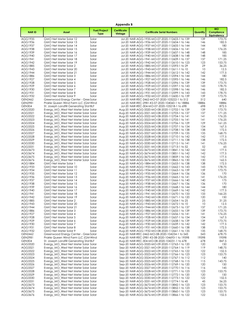| Appendix B         |                                                                              |                                    |                               |                                                                                                  |            |                                               |  |  |
|--------------------|------------------------------------------------------------------------------|------------------------------------|-------------------------------|--------------------------------------------------------------------------------------------------|------------|-----------------------------------------------|--|--|
| <b>NARID</b>       | Asset                                                                        | <b>Fuel/Project</b><br><b>Type</b> | <b>Certificate</b><br>Vintage | <b>Certificate Serial Numbers</b>                                                                | Quantity   | <b>MO</b><br>Compliance<br><b>Equivalency</b> |  |  |
| AGG1935            | GMO Net Meter Solar 12                                                       | Solar                              |                               | Jul-20 NAR-AGG-1935-MO-07-2020-112603-1 to 139                                                   | 139        | 173.75                                        |  |  |
| AGG1936            | GMO Net Meter Solar 13                                                       | Solar                              |                               | Jul-20 NAR-AGG-1936-MO-07-2020-112604-1 to 146                                                   | 146        | 182.5                                         |  |  |
| AGG1937<br>AGG1938 | GMO Net Meter Solar 14                                                       | Solar                              |                               | Jul-20 NAR-AGG-1937-MO-07-2020-112605-1 to 144<br>Jul-20 NAR-AGG-1938-MO-07-2020-112606-1 to 141 | 144        | 180                                           |  |  |
| AGG1939            | GMO Net Meter Solar 15<br>GMO Net Meter Solar 16                             | Solar<br>Solar                     |                               | Jul-20 NAR-AGG-1939-MO-07-2020-112607-1 to 148                                                   | 4 <br>148  | 176.25<br>185                                 |  |  |
| AGG1940            | GMO Net Meter Solar 17                                                       | Solar                              |                               | Jul-20 NAR-AGG-1940-MO-07-2020-112608-1 to 148                                                   | 148        | 185                                           |  |  |
| AGG1941            | GMO Net Meter Solar 18                                                       | Solar                              |                               | Jul-20 NAR-AGG-1941-MO-07-2020-112609-1 to 137                                                   | 137        | 171.25                                        |  |  |
| AGG1942            | GMO Net Meter Solar 19                                                       | Solar                              |                               | Jul-20 NAR-AGG-1942-MO-07-2020-112610-1 to 123                                                   | 123        | 153.75                                        |  |  |
| AGG1885            | GMO Net Meter Solar 2                                                        | Solar                              |                               | Jul-20 NAR-AGG-1885-MO-07-2020-112593-1 to 29                                                    | 29         | 36.25                                         |  |  |
| AGG1943<br>AGG1944 | GMO Net Meter Solar 20<br>GMO Net Meter Solar 21                             | Solar<br>Solar                     |                               | Jul-20 NAR-AGG-1943-MO-07-2020-112611-1 to 10<br>Jul-20 NAR-AGG-1944-MO-07-2020-112612-1 to 142  | 10<br>142  | 12.5<br>177.5                                 |  |  |
| AGG1886            | GMO Net Meter Solar 3                                                        | Solar                              |                               | Jul-20 NAR-AGG-1886-MO-07-2020-112594-1 to 144                                                   | 144        | 180                                           |  |  |
| AGG1927            | GMO Net Meter Solar 4                                                        | Solar                              |                               | Jul-20 NAR-AGG-1927-MO-07-2020-112595-1 to 146                                                   | 146        | 182.5                                         |  |  |
| AGG1928            | GMO Net Meter Solar 5                                                        | Solar                              |                               | Jul-20 NAR-AGG-1928-MO-07-2020-112596-1 to 139                                                   | 139        | 173.75                                        |  |  |
| AGG1929            | GMO Net Meter Solar 6                                                        | Solar                              |                               | Jul-20 NAR-AGG-1929-MO-07-2020-112597-1 to 143                                                   | 143        | 178.75                                        |  |  |
| AGG1930            | GMO Net Meter Solar 7                                                        | Solar                              |                               | Jul-20 NAR-AGG-1930-MO-07-2020-112598-1 to 146                                                   | 146        | 182.5                                         |  |  |
| AGG1931<br>AGG1932 | GMO Net Meter Solar 8<br>GMO Net Meter Solar 9                               | Solar<br>Solar                     |                               | Jul-20 NAR-AGG-1931-MO-07-2020-112599-1 to 143<br>Jul-20 NAR-AGG-1932-MO-07-2020-112600-1 to 139 | 143<br>139 | 178.75<br>173.75                              |  |  |
| GEN2462            | Greenwood Energy Center - Gree Solar                                         |                                    |                               | Jul-20 NAR-REC-2462-MO-07-2020-103222-1 to 512                                                   | 512        | 640                                           |  |  |
| <b>GEN2981</b>     | Prairie Queen Wind Farm LLC (GM Wind                                         |                                    |                               | Jul-20 NAR-REC-2981-KS-07-2020-104060-1 to 18886                                                 | 18886      | 18886                                         |  |  |
| <b>GEN304</b>      | St. Joseph Landfill Generating Stat BLF                                      |                                    |                               | Jul-20 NAR-REC-304-MO-07-2020-103218-1 to 698                                                    | 698        | 872.5                                         |  |  |
| AGG3320            | Evergy MO West Net Meter Solar Solar                                         |                                    |                               | Aug-20 NAR-AGG-3320-MO-08-2020-112702-1 to 139                                                   | 139        | 173.75                                        |  |  |
| AGG3321            | Evergy MO West Net Meter Solar Solar                                         |                                    |                               | Aug-20 NAR-AGG-3321-MO-08-2020-112703-1 to 137                                                   | 137        | 171.25                                        |  |  |
| AGG3322<br>AGG3323 | Evergy_MO_West Net Meter Solar Solar<br>Evergy MO West Net Meter Solar Solar |                                    |                               | Aug-20 NAR-AGG-3322-MO-08-2020-112704-1 to 141<br>Aug-20 NAR-AGG-3323-MO-08-2020-112705-1 to 141 | 4 <br> 4   | 176.25<br>176.25                              |  |  |
| AGG3324            | Evergy_MO_West Net Meter Solar Solar                                         |                                    |                               | Aug-20 NAR-AGG-3324-MO-08-2020-112706-1 to 129                                                   | 129        | 161.25                                        |  |  |
| AGG3325            | Evergy MO West Net Meter Solar Solar                                         |                                    |                               | Aug-20 NAR-AGG-3325-MO-08-2020-112707-1 to 134                                                   | 134        | 167.5                                         |  |  |
| AGG3326            | Evergy_MO_West Net Meter Solar Solar                                         |                                    |                               | Aug-20 NAR-AGG-3326-MO-08-2020-112708-1 to 138                                                   | 138        | 172.5                                         |  |  |
| AGG3327            | Evergy MO West Net Meter Solar Solar                                         |                                    |                               | Aug-20 NAR-AGG-3327-MO-08-2020-112709-1 to 135                                                   | 135        | 168.75                                        |  |  |
| AGG3328            | Evergy_MO_West Net Meter Solar Solar                                         |                                    |                               | Aug-20 NAR-AGG-3328-MO-08-2020-112710-1 to 142                                                   | 142        | 177.5                                         |  |  |
| AGG3329<br>AGG3330 | Evergy_MO_West Net Meter Solar Solar<br>Evergy_MO_West Net Meter Solar Solar |                                    |                               | Aug-20 NAR-AGG-3329-MO-08-2020-112711-1 to 138<br>Aug-20 NAR-AGG-3330-MO-08-2020-112712-1 to 141 | 138<br> 4  | 172.5<br>176.25                               |  |  |
| AGG3331            | Evergy_MO_West Net Meter Solar Solar                                         |                                    |                               | Aug-20 NAR-AGG-3331-MO-08-2020-112713-1 to 52                                                    | 52         | 65                                            |  |  |
| AGG3673            | Evergy_MO_West Net Meter Solar Solar                                         |                                    |                               | Aug-20 NAR-AGG-3673-MO-08-2020-113841-1 to 142                                                   | 142        | 177.5                                         |  |  |
| AGG3674            | Evergy_MO_West Net Meter Solar Solar                                         |                                    |                               | Aug-20 NAR-AGG-3674-MO-08-2020-113851-1 to 142                                                   | 142        | 177.5                                         |  |  |
| AGG3675            | Evergy_MO_West Net Meter Solar Solar                                         |                                    |                               | Aug-20 NAR-AGG-3675-MO-08-2020-113859-1 to 142                                                   | 142        | 177.5                                         |  |  |
| AGG3676            | Evergy_MO_West Net Meter Solar Solar                                         |                                    |                               | Aug-20 NAR-AGG-3676-MO-08-2020-113865-1 to 130                                                   | 130        | 162.5                                         |  |  |
| AGG1884<br>AGG1933 | GMO Net Meter Solar 1<br>GMO Net Meter Solar 10                              | Solar<br>Solar                     |                               | Aug-20 NAR-AGG-1884-MO-08-2020-112653-1 to 138<br>Aug-20 NAR-AGG-1933-MO-08-2020-112662-1 to 143 | 138<br>143 | 172.5<br>178.75                               |  |  |
| AGG1934            | GMO Net Meter Solar 11                                                       | Solar                              |                               | Aug-20 NAR-AGG-1934-MO-08-2020-112663-1 to 139                                                   | 139        | 173.75                                        |  |  |
| AGG1935            | GMO Net Meter Solar 12                                                       | Solar                              |                               | Aug-20 NAR-AGG-1935-MO-08-2020-112664-1 to 136                                                   | 136        | 170                                           |  |  |
| AGG1936            | GMO Net Meter Solar 13                                                       | Solar                              |                               | Aug-20 NAR-AGG-1936-MO-08-2020-112665-1 to 141                                                   | 4          | 176.25                                        |  |  |
| AGG1937            | GMO Net Meter Solar 14                                                       | Solar                              |                               | Aug-20 NAR-AGG-1937-MO-08-2020-112666-1 to 140                                                   | 140        | 175                                           |  |  |
| AGG1938<br>AGG1939 | GMO Net Meter Solar 15<br>GMO Net Meter Solar 16                             | Solar                              |                               | Aug-20 NAR-AGG-1938-MO-08-2020-112667-1 to 136                                                   | 136<br>144 | 170<br>180                                    |  |  |
| AGG1940            | GMO Net Meter Solar 17                                                       | Solar<br>Solar                     |                               | Aug-20 NAR-AGG-1939-MO-08-2020-112668-1 to 144<br>Aug-20 NAR-AGG-1940-MO-08-2020-112669-1 to 142 | 142        | 177.5                                         |  |  |
| AGG1941            | GMO Net Meter Solar 18                                                       | Solar                              |                               | Aug-20 NAR-AGG-1941-MO-08-2020-112670-1 to 133                                                   | 133        | 166.25                                        |  |  |
| AGG1942            | GMO Net Meter Solar 19                                                       | Solar                              |                               | Aug-20 NAR-AGG-1942-MO-08-2020-112671-1 to 120                                                   | 120        | 150                                           |  |  |
| AGG1885            | GMO Net Meter Solar 2                                                        | Solar                              |                               | Aug-20 NAR-AGG-1885-MO-08-2020-112654-1 to 25                                                    | 25         | 31.25                                         |  |  |
| AGG1943            | GMO Net Meter Solar 20                                                       | Solar                              |                               | Aug-20 NAR-AGG-1943-MO-08-2020-112672-1 to 10                                                    | 10         | 12.5                                          |  |  |
| AGG1944<br>AGG1886 | GMO Net Meter Solar 21<br>GMO Net Meter Solar 3                              | Solar<br>Solar                     |                               | Aug-20 NAR-AGG-1944-MO-08-2020-112673-1 to 137<br>Aug-20 NAR-AGG-1886-MO-08-2020-112655-1 to 139 | 137<br>139 | 171.25<br>173.75                              |  |  |
| AGG1927            | GMO Net Meter Solar 4                                                        | Solar                              |                               | Aug-20 NAR-AGG-1927-MO-08-2020-112656-1 to 141                                                   | 141        | 176.25                                        |  |  |
| AGG1928            | GMO Net Meter Solar 5                                                        | Solar                              |                               | Aug-20 NAR-AGG-1928-MO-08-2020-112657-1 to 134                                                   | 134        | 167.5                                         |  |  |
| AGG1929            | GMO Net Meter Solar 6                                                        | Solar                              |                               | Aug-20 NAR-AGG-1929-MO-08-2020-112658-1 to 139                                                   | 139        | 173.75                                        |  |  |
| AGG1930            | GMO Net Meter Solar 7                                                        | Solar                              |                               | Aug-20 NAR-AGG-1930-MO-08-2020-112659-1 to 142                                                   | 142        | 177.5                                         |  |  |
| AGG1931<br>AGG1932 | GMO Net Meter Solar 8<br>GMO Net Meter Solar 9                               | Solar<br>Solar                     |                               | Aug-20 NAR-AGG-1931-MO-08-2020-112660-1 to 138<br>Aug-20 NAR-AGG-1932-MO-08-2020-112661-1 to 135 | 138<br>135 | 172.5<br>168.75                               |  |  |
| GEN2462            | Greenwood Energy Center - Gree Solar                                         |                                    |                               | Aug-20 NAR-REC-2462-MO-08-2020-104234-1 to 543                                                   | 543        | 678.75                                        |  |  |
| <b>GEN2981</b>     | Prairie Queen Wind Farm LLC (GM Wind                                         |                                    |                               | Aug-20 NAR-REC-2981-KS-08-2020-104693-1 to 19598                                                 | 19598      | 19598                                         |  |  |
| <b>GEN304</b>      | St. Joseph Landfill Generating Stat BLF                                      |                                    |                               | Aug-20 NAR-REC-304-MO-08-2020-104231-1 to 678                                                    | 678        | 847.5                                         |  |  |
| AGG3320            | Evergy_MO_West Net Meter Solar Solar                                         |                                    |                               | Sep-20 NAR-AGG-3320-MO-09-2020-112763-1 to 120                                                   | 120        | 150                                           |  |  |
| AGG3321            | Evergy MO West Net Meter Solar Solar<br>Evergy MO West Net Meter Solar Solar |                                    |                               | Sep-20 NAR-AGG-3321-MO-09-2020-112764-1 to 119                                                   | 119        | 148.75                                        |  |  |
| AGG3322<br>AGG3323 | Evergy MO West Net Meter Solar Solar                                         |                                    |                               | Sep-20 NAR-AGG-3322-MO-09-2020-112765-1 to 122<br>Sep-20 NAR-AGG-3323-MO-09-2020-112766-1 to 123 | 122<br>123 | 152.5<br>153.75                               |  |  |
| AGG3324            | Evergy_MO_West Net Meter Solar Solar                                         |                                    |                               | Sep-20 NAR-AGG-3324-MO-09-2020-112767-1 to 112                                                   | 112        | 140                                           |  |  |
| AGG3325            | Evergy_MO_West Net Meter Solar Solar                                         |                                    |                               | Sep-20 NAR-AGG-3325-MO-09-2020-112768-1 to 115                                                   | 115        | 143.75                                        |  |  |
| AGG3326            | Evergy_MO_West Net Meter Solar Solar                                         |                                    |                               | Sep-20 NAR-AGG-3326-MO-09-2020-112769-1 to 120                                                   | 120        | 150                                           |  |  |
| AGG3327            | Evergy_MO_West Net Meter Solar Solar                                         |                                    |                               | Sep-20 NAR-AGG-3327-MO-09-2020-112770-1 to 116                                                   | 116        | 145                                           |  |  |
| AGG3328            | Evergy_MO_West Net Meter Solar Solar                                         |                                    |                               | Sep-20 NAR-AGG-3328-MO-09-2020-112771-1 to 123                                                   | 123        | 153.75                                        |  |  |
| AGG3329<br>AGG3330 | Evergy_MO_West Net Meter Solar Solar<br>Evergy_MO_West Net Meter Solar Solar |                                    |                               | Sep-20 NAR-AGG-3329-MO-09-2020-112772-1 to 120<br>Sep-20 NAR-AGG-3330-MO-09-2020-112773-1 to 122 | 120<br>122 | 150<br>152.5                                  |  |  |
| AGG3331            | Evergy_MO_West Net Meter Solar Solar                                         |                                    |                               | Sep-20 NAR-AGG-3331-MO-09-2020-112774-1 to 45                                                    | 45         | 56.25                                         |  |  |
| AGG3673            | Evergy_MO_West Net Meter Solar Solar                                         |                                    |                               | Sep-20 NAR-AGG-3673-MO-09-2020-113842-1 to 123                                                   | 123        | 153.75                                        |  |  |
| AGG3674            | Evergy_MO_West Net Meter Solar Solar                                         |                                    |                               | Sep-20 NAR-AGG-3674-MO-09-2020-113852-1 to 123                                                   | 123        | 153.75                                        |  |  |
| AGG3675            | Evergy_MO_West Net Meter Solar Solar                                         |                                    |                               | Sep-20 NAR-AGG-3675-MO-09-2020-113860-1 to 123                                                   | 123        | 153.75                                        |  |  |
| AGG3676            | Evergy_MO_West Net Meter Solar Solar                                         |                                    |                               | Sep-20 NAR-AGG-3676-MO-09-2020-113866-1 to 122                                                   | 122        | 152.5                                         |  |  |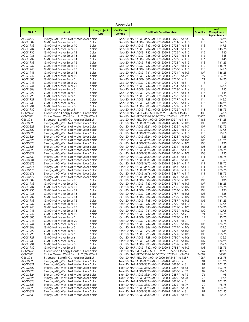|                           | Appendix B                                                                      |                                    |                               |                                                                                                  |               |                                                      |  |  |  |
|---------------------------|---------------------------------------------------------------------------------|------------------------------------|-------------------------------|--------------------------------------------------------------------------------------------------|---------------|------------------------------------------------------|--|--|--|
| <b>NARID</b>              | Asset                                                                           | <b>Fuel/Project</b><br><b>Type</b> | <b>Certificate</b><br>Vintage | <b>Certificate Serial Numbers</b>                                                                | Quantity      | <b>MO</b><br><b>Compliance</b><br><b>Equivalency</b> |  |  |  |
| AGG3677                   | Evergy_MO_West Net Meter Solar Solar                                            |                                    |                               | Sep-20 NAR-AGG-3677-MO-09-2020-113870-1 to 53                                                    | 53            | 66.25                                                |  |  |  |
| AGG1884                   | GMO Net Meter Solar 1                                                           | Solar                              |                               | Sep-20 NAR-AGG-1884-MO-09-2020-112714-1 to 118                                                   | 118           | 147.5                                                |  |  |  |
| AGG1933                   | GMO Net Meter Solar 10                                                          | Solar                              |                               | Sep-20 NAR-AGG-1933-MO-09-2020-112723-1 to 118                                                   | 118           | 147.5                                                |  |  |  |
| AGG1934                   | GMO Net Meter Solar 11                                                          | Solar                              |                               | Sep-20 NAR-AGG-1934-MO-09-2020-112724-1 to 115                                                   | 115           | 143.75                                               |  |  |  |
| AGG1935<br>AGG1936        | GMO Net Meter Solar 12<br>GMO Net Meter Solar 13                                | Solar<br>Solar                     |                               | Sep-20 NAR-AGG-1935-MO-09-2020-112725-1 to 112<br>Sep-20 NAR-AGG-1936-MO-09-2020-112726-1 to 116 | 112<br>116    | 140<br>145                                           |  |  |  |
| AGG1937                   | GMO Net Meter Solar 14                                                          | Solar                              |                               | Sep-20 NAR-AGG-1937-MO-09-2020-112727-1 to 116                                                   | 116           | 145                                                  |  |  |  |
| AGG1938                   | GMO Net Meter Solar 15                                                          | Solar                              |                               | Sep-20 NAR-AGG-1938-MO-09-2020-112728-1 to 113                                                   | 113           | 141.25                                               |  |  |  |
| AGG1939                   | GMO Net Meter Solar 16                                                          | Solar                              |                               | Sep-20 NAR-AGG-1939-MO-09-2020-112729-1 to 119                                                   | 119           | 148.75                                               |  |  |  |
| AGG1940                   | GMO Net Meter Solar 17                                                          | Solar                              |                               | Sep-20 NAR-AGG-1940-MO-09-2020-112730-1 to 118                                                   | 118           | 147.5                                                |  |  |  |
| AGG1941                   | GMO Net Meter Solar 18                                                          | Solar                              |                               | Sep-20 NAR-AGG-1941-MO-09-2020-112731-1 to 109                                                   | 109           | 136.25                                               |  |  |  |
| AGG1942                   | GMO Net Meter Solar 19                                                          | Solar                              |                               | Sep-20 NAR-AGG-1942-MO-09-2020-112732-1 to 99                                                    | 99            | 123.75                                               |  |  |  |
| AGG1885<br>AGG1943        | GMO Net Meter Solar 2<br>GMO Net Meter Solar 20                                 | Solar<br>Solar                     |                               | Sep-20 NAR-AGG-1885-MO-09-2020-112715-1 to 21<br>Sep-20 NAR-AGG-1943-MO-09-2020-112733-1 to 8    | 21<br>8       | 26.25<br>10                                          |  |  |  |
| AGG1944                   | GMO Net Meter Solar 21                                                          | Solar                              |                               | Sep-20 NAR-AGG-1944-MO-09-2020-112734-1 to 118                                                   | 118           | 147.5                                                |  |  |  |
| AGG1886                   | GMO Net Meter Solar 3                                                           | Solar                              |                               | Sep-20 NAR-AGG-1886-MO-09-2020-112716-1 to 116                                                   | 116           | 145                                                  |  |  |  |
| AGG1927                   | GMO Net Meter Solar 4                                                           | Solar                              |                               | Sep-20 NAR-AGG-1927-MO-09-2020-112717-1 to 116                                                   | 116           | 145                                                  |  |  |  |
| AGG1928                   | GMO Net Meter Solar 5                                                           | Solar                              |                               | Sep-20 NAR-AGG-1928-MO-09-2020-112718-1 to 111                                                   | 111           | 138.75                                               |  |  |  |
| AGG1929                   | GMO Net Meter Solar 6                                                           | Solar                              |                               | Sep-20 NAR-AGG-1929-MO-09-2020-112719-1 to 114                                                   | 114           | 142.5                                                |  |  |  |
| AGG1930                   | GMO Net Meter Solar 7                                                           | Solar                              |                               | Sep-20 NAR-AGG-1930-MO-09-2020-112720-1 to 117                                                   | 117           | 146.25                                               |  |  |  |
| AGG1931                   | GMO Net Meter Solar 8                                                           | Solar                              |                               | Sep-20 NAR-AGG-1931-MO-09-2020-112721-1 to 115                                                   | 115           | 143.75                                               |  |  |  |
| AGG1932<br><b>GEN2462</b> | GMO Net Meter Solar 9<br>Greenwood Energy Center - Gree Solar                   | Solar                              |                               | Sep-20 NAR-AGG-1932-MO-09-2020-112722-1 to 111<br>Sep-20 NAR-REC-2462-MO-09-2020-104235-1 to 438 | 111<br>438    | 138.75<br>547.5                                      |  |  |  |
| <b>GEN2981</b>            | Prairie Queen Wind Farm LLC (GM Wind                                            |                                    |                               | Sep-20 NAR-REC-2981-KS-09-2020-107400-1 to 23296                                                 | 23296         | 23296                                                |  |  |  |
| <b>GEN304</b>             | St. Joseph Landfill Generating Stat BLF                                         |                                    |                               | Sep-20 NAR-REC-304-MO-09-2020-104402-1 to 1161                                                   | 1161          | 1451.25                                              |  |  |  |
| AGG3320                   | Evergy_MO_West Net Meter Solar Solar                                            |                                    |                               | Oct-20 NAR-AGG-3320-MO-10-2020-112824-1 to 108                                                   | 108           | 135                                                  |  |  |  |
| AGG3321                   | Evergy_MO_West Net Meter Solar Solar                                            |                                    |                               | Oct-20 NAR-AGG-3321-MO-10-2020-112825-1 to 107                                                   | 107           | 133.75                                               |  |  |  |
| AGG3322                   | Evergy_MO_West Net Meter Solar Solar                                            |                                    |                               | Oct-20 NAR-AGG-3322-MO-10-2020-112826-1 to 110                                                   | 110           | 137.5                                                |  |  |  |
| AGG3323                   | Evergy MO West Net Meter Solar Solar                                            |                                    |                               | Oct-20 NAR-AGG-3323-MO-10-2020-112827-1 to 110                                                   | 110           | 137.5                                                |  |  |  |
| AGG3324                   | Evergy_MO_West Net Meter Solar Solar                                            |                                    |                               | Oct-20 NAR-AGG-3324-MO-10-2020-112828-1 to 100                                                   | 100           | 125                                                  |  |  |  |
| AGG3325<br>AGG3326        | Evergy_MO_West Net Meter Solar Solar<br>Evergy_MO_West Net Meter Solar Solar    |                                    |                               | Oct-20 NAR-AGG-3325-MO-10-2020-112829-1 to 105<br>Oct-20 NAR-AGG-3326-MO-10-2020-112830-1 to 108 | 105<br>108    | 131.25<br>135                                        |  |  |  |
| AGG3327                   | Evergy_MO_West Net Meter Solar Solar                                            |                                    |                               | Oct-20 NAR-AGG-3327-MO-10-2020-112831-1 to 105                                                   | 105           | 131.25                                               |  |  |  |
| AGG3328                   | Evergy_MO_West Net Meter Solar Solar                                            |                                    |                               | Oct-20 NAR-AGG-3328-MO-10-2020-112832-1 to 111                                                   | 111           | 138.75                                               |  |  |  |
| AGG3329                   | Evergy_MO_West Net Meter Solar Solar                                            |                                    |                               | Oct-20 NAR-AGG-3329-MO-10-2020-112833-1 to 108                                                   | 108           | 135                                                  |  |  |  |
| AGG3330                   | Evergy_MO_West Net Meter Solar Solar                                            |                                    |                               | Oct-20 NAR-AGG-3330-MO-10-2020-112834-1 to 111                                                   | 111           | 138.75                                               |  |  |  |
| AGG3331                   | Evergy_MO_West Net Meter Solar Solar                                            |                                    |                               | Oct-20 NAR-AGG-3331-MO-10-2020-112835-1 to 40                                                    | 40            | 50                                                   |  |  |  |
| AGG3673                   | Evergy_MO_West Net Meter Solar Solar                                            |                                    |                               | Oct-20 NAR-AGG-3673-MO-10-2020-113843-1 to 111                                                   | 111           | 138.75                                               |  |  |  |
| AGG3674                   | Evergy_MO_West Net Meter Solar Solar                                            |                                    |                               | Oct-20 NAR-AGG-3674-MO-10-2020-113853-1 to 111                                                   | 111           | 138.75<br>138.75                                     |  |  |  |
| AGG3675<br>AGG3676        | Evergy_MO_West Net Meter Solar Solar<br>Evergy_MO_West Net Meter Solar Solar    |                                    |                               | Oct-20 NAR-AGG-3675-MO-10-2020-113861-1 to 111<br>Oct-20 NAR-AGG-3676-MO-10-2020-113867-1 to 111 | 111<br>111    | 138.75                                               |  |  |  |
| AGG3677                   | Evergy_MO_West Net Meter Solar Solar                                            |                                    |                               | Oct-20 NAR-AGG-3677-MO-10-2020-113871-1 to 70                                                    | 70            | 87.5                                                 |  |  |  |
| AGG1884                   | GMO Net Meter Solar 1                                                           | Solar                              |                               | Oct-20 NAR-AGG-1884-MO-10-2020-112775-1 to 108                                                   | 108           | 135                                                  |  |  |  |
| AGG1933                   | GMO Net Meter Solar 10                                                          | Solar                              |                               | Oct-20 NAR-AGG-1933-MO-10-2020-112784-1 to 109                                                   | 109           | 136.25                                               |  |  |  |
| AGG1934                   | GMO Net Meter Solar 11                                                          | Solar                              |                               | Oct-20 NAR-AGG-1934-MO-10-2020-112785-1 to 107                                                   | 107           | 133.75                                               |  |  |  |
| AGG1935                   | GMO Net Meter Solar 12                                                          | Solar                              |                               | Oct-20 NAR-AGG-1935-MO-10-2020-112786-1 to 104                                                   | 104           | 130                                                  |  |  |  |
| AGG1936                   | GMO Net Meter Solar 13                                                          | Solar                              |                               | Oct-20 NAR-AGG-1936-MO-10-2020-112787-1 to 108                                                   | 108           | 135                                                  |  |  |  |
| AGG1937<br>AGG1938        | GMO Net Meter Solar 14<br>GMO Net Meter Solar 15                                | Solar<br>Solar                     |                               | Oct-20 NAR-AGG-1937-MO-10-2020-112788-1 to 107<br>Oct-20 NAR-AGG-1938-MO-10-2020-112789-1 to 105 | 107<br>105    | 133.75<br>131.25                                     |  |  |  |
| AGG1939                   | GMO Net Meter Solar 16                                                          | Solar                              |                               | Oct-20 NAR-AGG-1939-MO-10-2020-112790-1 to 110                                                   | 110           | 137.5                                                |  |  |  |
| AGG1940                   | GMO Net Meter Solar 17                                                          | Solar                              |                               | Oct-20 NAR-AGG-1940-MO-10-2020-112791-1 to 109                                                   | 109           | 136.25                                               |  |  |  |
| AGG1941                   | GMO Net Meter Solar 18                                                          | Solar                              |                               | Oct-20 NAR-AGG-1941-MO-10-2020-112792-1 to 102                                                   | 102           | 127.5                                                |  |  |  |
| AGG1942                   | GMO Net Meter Solar 19                                                          | Solar                              |                               | Oct-20 NAR-AGG-1942-MO-10-2020-112793-1 to 91                                                    | 91            | 113.75                                               |  |  |  |
| AGG1885                   | GMO Net Meter Solar 2                                                           | Solar                              |                               | Oct-20 NAR-AGG-1885-MO-10-2020-112776-1 to 19                                                    | 19            | 23.75                                                |  |  |  |
| AGG1943                   | GMO Net Meter Solar 20                                                          | Solar                              |                               | Oct-20 NAR-AGG-1943-MO-10-2020-112794-1 to 7                                                     | 7             | 8.75                                                 |  |  |  |
| AGG1944                   | GMO Net Meter Solar 21                                                          | Solar                              |                               | Oct-20 NAR-AGG-1944-MO-10-2020-112795-1 to 107                                                   | 107           | 133.75                                               |  |  |  |
| AGG1886<br>AGG1927        | GMO Net Meter Solar 3<br>GMO Net Meter Solar 4                                  | Solar<br>Solar                     |                               | Oct-20 NAR-AGG-1886-MO-10-2020-112777-1 to 106<br>Oct-20 NAR-AGG-1927-MO-10-2020-112778-1 to 108 | 106<br>108    | 132.5<br>135                                         |  |  |  |
| AGG1928                   | GMO Net Meter Solar 5                                                           | Solar                              |                               | Oct-20 NAR-AGG-1928-MO-10-2020-112779-1 to 103                                                   | 103           | 128.75                                               |  |  |  |
| AGG1929                   | GMO Net Meter Solar 6                                                           | Solar                              |                               | Oct-20 NAR-AGG-1929-MO-10-2020-112780-1 to 106                                                   | 106           | 132.5                                                |  |  |  |
| AGG1930                   | GMO Net Meter Solar 7                                                           | Solar                              |                               | Oct-20 NAR-AGG-1930-MO-10-2020-112781-1 to 109                                                   | 109           | 136.25                                               |  |  |  |
| AGG1931                   | GMO Net Meter Solar 8                                                           | Solar                              |                               | Oct-20 NAR-AGG-1931-MO-10-2020-112782-1 to 106                                                   | 106           | 132.5                                                |  |  |  |
| AGG1932                   | GMO Net Meter Solar 9                                                           | Solar                              |                               | Oct-20 NAR-AGG-1932-MO-10-2020-112783-1 to 103                                                   | 103           | 128.75                                               |  |  |  |
| <b>GEN2462</b>            | Greenwood Energy Center - Gree Solar                                            |                                    |                               | Oct-20 NAR-REC-2462-MO-10-2020-107477-1 to 342                                                   | 342           | 427.5                                                |  |  |  |
| GEN2981                   | Prairie Queen Wind Farm LLC (GM Wind                                            |                                    |                               | Oct-20 NAR-REC-2981-KS-10-2020-107890-1 to 34082                                                 | 34082<br>1287 | 34082<br>1608.75                                     |  |  |  |
| <b>GEN304</b><br>AGG3320  | St. Joseph Landfill Generating Stat BLF<br>Evergy_MO_West Net Meter Solar Solar |                                    |                               | Oct-20 NAR-REC-304-MO-10-2020-107548-1 to 1287<br>Nov-20 NAR-AGG-3320-MO-11-2020-112885-1 to 81  | 81            | 101.25                                               |  |  |  |
| AGG3321                   | Evergy_MO_West Net Meter Solar Solar                                            |                                    |                               | Nov-20 NAR-AGG-3321-MO-11-2020-112886-1 to 81                                                    | 81            | 101.25                                               |  |  |  |
| AGG3322                   | Evergy_MO_West Net Meter Solar Solar                                            |                                    |                               | Nov-20 NAR-AGG-3322-MO-11-2020-112887-1 to 83                                                    | 83            | 103.75                                               |  |  |  |
| AGG3323                   | Evergy_MO_West Net Meter Solar Solar                                            |                                    |                               | Nov-20 NAR-AGG-3323-MO-11-2020-112888-1 to 82                                                    | 82            | 102.5                                                |  |  |  |
| AGG3324                   | Evergy_MO_West Net Meter Solar Solar                                            |                                    |                               | Nov-20 NAR-AGG-3324-MO-11-2020-112889-1 to 76                                                    | 76            | 95                                                   |  |  |  |
| AGG3325                   | Evergy_MO_West Net Meter Solar Solar                                            |                                    |                               | Nov-20 NAR-AGG-3325-MO-11-2020-112890-1 to 78                                                    | 78            | 97.5                                                 |  |  |  |
| AGG3326                   | Evergy_MO_West Net Meter Solar Solar                                            |                                    |                               | Nov-20 NAR-AGG-3326-MO-11-2020-112891-1 to 81                                                    | 81            | 101.25                                               |  |  |  |
| AGG3327<br>AGG3328        | Evergy_MO_West Net Meter Solar Solar                                            |                                    |                               | Nov-20 NAR-AGG-3327-MO-11-2020-112892-1 to 79<br>Nov-20 NAR-AGG-3328-MO-11-2020-112893-1 to 83   | 79<br>83      | 98.75<br>103.75                                      |  |  |  |
| AGG3329                   | Evergy_MO_West Net Meter Solar Solar<br>Evergy_MO_West Net Meter Solar Solar    |                                    |                               | Nov-20 NAR-AGG-3329-MO-11-2020-112894-1 to 81                                                    | 81            | 101.25                                               |  |  |  |
| AGG3330                   | Evergy_MO_West Net Meter Solar Solar                                            |                                    |                               | Nov-20 NAR-AGG-3330-MO-11-2020-112895-1 to 82                                                    | 82            | 102.5                                                |  |  |  |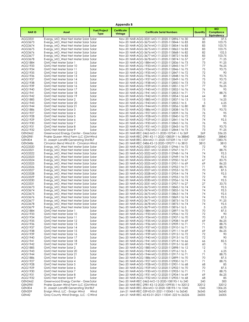|                                 | Appendix B                                                                      |                                    |                               |                                                                                                    |               |                                                      |  |  |
|---------------------------------|---------------------------------------------------------------------------------|------------------------------------|-------------------------------|----------------------------------------------------------------------------------------------------|---------------|------------------------------------------------------|--|--|
| <b>NARID</b>                    | Asset                                                                           | <b>Fuel/Project</b><br><b>Type</b> | <b>Certificate</b><br>Vintage | <b>Certificate Serial Numbers</b>                                                                  | Quantity      | <b>MO</b><br><b>Compliance</b><br><b>Equivalency</b> |  |  |
| AGG3331                         | Evergy_MO_West Net Meter Solar Solar                                            |                                    |                               | Nov-20 NAR-AGG-3331-MO-11-2020-112896-1 to 30                                                      | 30            | 37.5                                                 |  |  |
| AGG3673                         | Evergy_MO_West Net Meter Solar Solar                                            |                                    |                               | Nov-20 NAR-AGG-3673-MO-11-2020-113844-1 to 83                                                      | 83            | 103.75                                               |  |  |
| AGG3674                         | Evergy_MO_West Net Meter Solar Solar                                            |                                    |                               | Nov-20 NAR-AGG-3674-MO-11-2020-113854-1 to 83                                                      | 83            | 103.75                                               |  |  |
| AGG3675                         | Evergy MO West Net Meter Solar Solar                                            |                                    |                               | Nov-20 NAR-AGG-3675-MO-11-2020-113862-1 to 83                                                      | 83            | 103.75                                               |  |  |
| AGG3676                         | Evergy_MO_West Net Meter Solar Solar                                            |                                    |                               | Nov-20 NAR-AGG-3676-MO-11-2020-113868-1 to 82                                                      | 82            | 102.5                                                |  |  |
| AGG3677                         | Evergy_MO_West Net Meter Solar Solar                                            |                                    |                               | Nov-20 NAR-AGG-3677-MO-11-2020-113872-1 to 83                                                      | 83            | 103.75                                               |  |  |
| AGG3678                         | Evergy_MO_West Net Meter Solar Solar                                            |                                    |                               | Nov-20 NAR-AGG-3678-MO-11-2020-113874-1 to 57                                                      | 57            | 71.25                                                |  |  |
| AGG1884<br>AGG1933              | GMO Net Meter Solar 1                                                           | Solar                              |                               | Nov-20 NAR-AGG-1884-MO-11-2020-112836-1 to 73                                                      | 73            | 91.25                                                |  |  |
| AGG1934                         | GMO Net Meter Solar 10<br>GMO Net Meter Solar 11                                | Solar<br>Solar                     |                               | Nov-20 NAR-AGG-1933-MO-11-2020-112845-1 to 77<br>Nov-20 NAR-AGG-1934-MO-11-2020-112846-1 to 75     | 77<br>75      | 96.25<br>93.75                                       |  |  |
| AGG1935                         | GMO Net Meter Solar 12                                                          | Solar                              |                               | Nov-20 NAR-AGG-1935-MO-11-2020-112847-1 to 72                                                      | 72            | 90                                                   |  |  |
| AGG1936                         | GMO Net Meter Solar 13                                                          | Solar                              |                               | Nov-20 NAR-AGG-1936-MO-11-2020-112848-1 to 75                                                      | 75            | 93.75                                                |  |  |
| AGG1937                         | GMO Net Meter Solar 14                                                          | Solar                              |                               | Nov-20 NAR-AGG-1937-MO-11-2020-112849-1 to 75                                                      | 75            | 93.75                                                |  |  |
| AGG1938                         | GMO Net Meter Solar 15                                                          | Solar                              |                               | Nov-20 NAR-AGG-1938-MO-11-2020-112850-1 to 73                                                      | 73            | 91.25                                                |  |  |
| AGG1939                         | GMO Net Meter Solar 16                                                          | Solar                              |                               | Nov-20 NAR-AGG-1939-MO-11-2020-112851-1 to 77                                                      | 77            | 96.25                                                |  |  |
| AGG1940                         | GMO Net Meter Solar 17                                                          | Solar                              |                               | Nov-20 NAR-AGG-1940-MO-11-2020-112852-1 to 76                                                      | 76            | 95                                                   |  |  |
| AGG1941                         | GMO Net Meter Solar 18                                                          | Solar                              |                               | Nov-20 NAR-AGG-1941-MO-11-2020-112853-1 to 71                                                      | 71            | 88.75                                                |  |  |
| AGG1942                         | GMO Net Meter Solar 19                                                          | Solar                              |                               | Nov-20 NAR-AGG-1942-MO-11-2020-112854-1 to 64                                                      | 64            | 80                                                   |  |  |
| AGG1885                         | GMO Net Meter Solar 2                                                           | Solar                              |                               | Nov-20 NAR-AGG-1885-MO-11-2020-112837-1 to 13                                                      | 13            | 16.25                                                |  |  |
| AGG1943                         | GMO Net Meter Solar 20                                                          | Solar                              |                               | Nov-20 NAR-AGG-1943-MO-11-2020-112855-1 to 5                                                       | 5             | 6.25                                                 |  |  |
| AGG1944                         | GMO Net Meter Solar 21                                                          | Solar                              |                               | Nov-20 NAR-AGG-1944-MO-11-2020-112856-1 to 80                                                      | 80            | 100                                                  |  |  |
| AGG1886                         | GMO Net Meter Solar 3                                                           | Solar                              |                               | Nov-20 NAR-AGG-1886-MO-11-2020-112838-1 to 75                                                      | 75            | 93.75                                                |  |  |
| AGG1927<br>AGG1928              | GMO Net Meter Solar 4<br>GMO Net Meter Solar 5                                  | Solar<br>Solar                     |                               | Nov-20 NAR-AGG-1927-MO-11-2020-112839-1 to 76                                                      | 76<br>72      | 95<br>90                                             |  |  |
| AGG1929                         | GMO Net Meter Solar 6                                                           | Solar                              |                               | Nov-20 NAR-AGG-1928-MO-11-2020-112840-1 to 72<br>Nov-20 NAR-AGG-1929-MO-11-2020-112841-1 to 74     | 74            | 92.5                                                 |  |  |
| AGG1930                         | GMO Net Meter Solar 7                                                           | Solar                              |                               | Nov-20 NAR-AGG-1930-MO-11-2020-112842-1 to 76                                                      | 76            | 95                                                   |  |  |
| AGG1931                         | GMO Net Meter Solar 8                                                           | Solar                              |                               | Nov-20 NAR-AGG-1931-MO-11-2020-112843-1 to 75                                                      | 75            | 93.75                                                |  |  |
| AGG1932                         | GMO Net Meter Solar 9                                                           | Solar                              |                               | Nov-20 NAR-AGG-1932-MO-11-2020-112844-1 to 73                                                      | 73            | 91.25                                                |  |  |
| GEN2462                         | Greenwood Energy Center - Gree Solar                                            |                                    |                               | Nov-20 NAR-REC-2462-MO-11-2020-107541-1 to 269                                                     | 269           | 336.25                                               |  |  |
| <b>GEN2981</b>                  | Prairie Queen Wind Farm LLC (GM Wind                                            |                                    |                               | Nov-20 NAR-REC-2981-KS-11-2020-108559-1 to 38840                                                   | 38840         | 38840                                                |  |  |
| <b>GEN304</b>                   | St. Joseph Landfill Generating Stat BLF                                         |                                    |                               | Nov-20 NAR-REC-304-MO-11-2020-107539-1 to 1107                                                     | 1107          | 1383.75                                              |  |  |
| GEN3486                         | Cimarron Bend Wind III - Cimarron Wind                                          |                                    |                               | Dec-20 NAR-REC-3486-KS-12-2020-109277-1 to 3810                                                    | 3810          | 3810                                                 |  |  |
| AGG3320                         | Evergy_MO_West Net Meter Solar Solar                                            |                                    |                               | Dec-20 NAR-AGG-3320-MO-12-2020-112946-1 to 72                                                      | 72            | 90                                                   |  |  |
| AGG3321                         | Evergy_MO_West Net Meter Solar Solar                                            |                                    |                               | Dec-20 NAR-AGG-3321-MO-12-2020-112947-1 to 71                                                      | 71            | 88.75                                                |  |  |
| AGG3322                         | Evergy_MO_West Net Meter Solar Solar                                            |                                    |                               | Dec-20 NAR-AGG-3322-MO-12-2020-112948-1 to 74                                                      | 74            | 92.5                                                 |  |  |
| AGG3323<br>AGG3324              | Evergy_MO_West Net Meter Solar Solar                                            |                                    |                               | Dec-20 NAR-AGG-3323-MO-12-2020-112949-1 to 74                                                      | 74<br>67      | 92.5<br>83.75                                        |  |  |
| AGG3325                         | Evergy_MO_West Net Meter Solar Solar<br>Evergy_MO_West Net Meter Solar Solar    |                                    |                               | Dec-20 NAR-AGG-3324-MO-12-2020-112950-1 to 67<br>Dec-20 NAR-AGG-3325-MO-12-2020-112951-1 to 69     | 69            | 86.25                                                |  |  |
| AGG3326                         | Evergy_MO_West Net Meter Solar Solar                                            |                                    |                               | Dec-20 NAR-AGG-3326-MO-12-2020-112952-1 to 71                                                      | 71            | 88.75                                                |  |  |
| AGG3327                         | Evergy_MO_West Net Meter Solar Solar                                            |                                    |                               | Dec-20 NAR-AGG-3327-MO-12-2020-112953-1 to 70                                                      | 70            | 87.5                                                 |  |  |
| AGG3328                         | Evergy_MO_West Net Meter Solar Solar                                            |                                    |                               | Dec-20 NAR-AGG-3328-MO-12-2020-112954-1 to 74                                                      | 74            | 92.5                                                 |  |  |
| AGG3329                         | Evergy_MO_West Net Meter Solar Solar                                            |                                    |                               | Dec-20 NAR-AGG-3329-MO-12-2020-112955-1 to 72                                                      | 72            | 90                                                   |  |  |
| AGG3330                         | Evergy_MO_West Net Meter Solar Solar                                            |                                    |                               | Dec-20 NAR-AGG-3330-MO-12-2020-112956-1 to 74                                                      | 74            | 92.5                                                 |  |  |
| AGG3331                         | Evergy_MO_West Net Meter Solar Solar                                            |                                    |                               | Dec-20 NAR-AGG-3331-MO-12-2020-112957-1 to 27                                                      | 27            | 33.75                                                |  |  |
| AGG3673                         | Evergy MO West Net Meter Solar Solar                                            |                                    |                               | Dec-20 NAR-AGG-3673-MO-12-2020-113845-1 to 74                                                      | 74            | 92.5                                                 |  |  |
| AGG3674                         | Evergy MO West Net Meter Solar Solar                                            |                                    |                               | Dec-20 NAR-AGG-3674-MO-12-2020-113855-1 to 74                                                      | 74            | 92.5                                                 |  |  |
| AGG3675                         | Evergy_MO_West Net Meter Solar Solar                                            |                                    |                               | Dec-20 NAR-AGG-3675-MO-12-2020-113863-1 to 74                                                      | 74            | 92.5                                                 |  |  |
| AGG3676<br>AGG3677              | Evergy_MO_West Net Meter Solar Solar                                            |                                    |                               | Dec-20 NAR-AGG-3676-MO-12-2020-113869-1 to 74<br>Dec-20 NAR-AGG-3677-MO-12-2020-113873-1 to 73     | 74<br>73      | 92.5<br>91.25                                        |  |  |
| AGG3678                         | Evergy_MO_West Net Meter Solar Solar<br>Evergy_MO_West Net Meter Solar Solar    |                                    |                               | Dec-20 NAR-AGG-3678-MO-12-2020-113875-1 to 74                                                      | 74            | 92.5                                                 |  |  |
| AGG3679                         | Evergy MO West Net Meter Solar Solar                                            |                                    |                               | Dec-20 NAR-AGG-3679-MO-12-2020-113876-1 to 5                                                       | 5             | 6.25                                                 |  |  |
| AGG1884                         | GMO Net Meter Solar 1                                                           | Solar                              |                               | Dec-20 NAR-AGG-1884-MO-12-2020-112897-1 to 70                                                      | 70            | 87.5                                                 |  |  |
| AGG1933                         | GMO Net Meter Solar 10                                                          | Solar                              |                               | Dec-20 NAR-AGG-1933-MO-12-2020-112906-1 to 72                                                      | 72            | 90                                                   |  |  |
| AGG1934                         | GMO Net Meter Solar 11                                                          | Solar                              |                               | Dec-20 NAR-AGG-1934-MO-12-2020-112907-1 to 70                                                      | 70            | 87.5                                                 |  |  |
| AGG1935                         | GMO Net Meter Solar 12                                                          | Solar                              |                               | Dec-20 NAR-AGG-1935-MO-12-2020-112908-1 to 69                                                      | 69            | 86.25                                                |  |  |
| AGG1936                         | GMO Net Meter Solar 13                                                          | Solar                              |                               | Dec-20 NAR-AGG-1936-MO-12-2020-112909-1 to 71                                                      | 71            | 88.75                                                |  |  |
| AGG1937                         | GMO Net Meter Solar 14                                                          | Solar                              |                               | Dec-20 NAR-AGG-1937-MO-12-2020-112910-1 to 71                                                      | 71            | 88.75                                                |  |  |
| AGG1938                         | GMO Net Meter Solar 15                                                          | Solar                              |                               | Dec-20 NAR-AGG-1938-MO-12-2020-112911-1 to 69                                                      | 69            | 86.25                                                |  |  |
| AGG1939                         | GMO Net Meter Solar 16                                                          | Solar                              |                               | Dec-20 NAR-AGG-1939-MO-12-2020-112912-1 to 72                                                      | 72            | 90                                                   |  |  |
| AGG1940                         | GMO Net Meter Solar 17                                                          | Solar                              |                               | Dec-20 NAR-AGG-1940-MO-12-2020-112913-1 to 72                                                      | 72            | 90                                                   |  |  |
| AGG1941<br>AGG1942              | GMO Net Meter Solar 18                                                          | Solar                              |                               | Dec-20 NAR-AGG-1941-MO-12-2020-112914-1 to 66<br>Dec-20 NAR-AGG-1942-MO-12-2020-112915-1 to 60     | 66<br>60      | 82.5<br>75                                           |  |  |
| AGG1885                         | GMO Net Meter Solar 19<br>GMO Net Meter Solar 2                                 | Solar<br>Solar                     |                               | Dec-20 NAR-AGG-1885-MO-12-2020-112898-1 to 12                                                      | 12            | 15                                                   |  |  |
| AGG1943                         | GMO Net Meter Solar 20                                                          | Solar                              |                               | Dec-20 NAR-AGG-1943-MO-12-2020-112916-1 to 5                                                       | 5             | 6.25                                                 |  |  |
| AGG1944                         | GMO Net Meter Solar 21                                                          | Solar                              |                               | Dec-20 NAR-AGG-1944-MO-12-2020-112917-1 to 71                                                      | 71            | 88.75                                                |  |  |
| AGG1886                         | GMO Net Meter Solar 3                                                           | Solar                              |                               | Dec-20 NAR-AGG-1886-MO-12-2020-112899-1 to 70                                                      | 70            | 87.5                                                 |  |  |
| AGG1927                         | GMO Net Meter Solar 4                                                           | Solar                              |                               | Dec-20 NAR-AGG-1927-MO-12-2020-112900-1 to 71                                                      | 71            | 88.75                                                |  |  |
| AGG1928                         | GMO Net Meter Solar 5                                                           | Solar                              |                               | Dec-20 NAR-AGG-1928-MO-12-2020-112901-1 to 68                                                      | 68            | 85                                                   |  |  |
| AGG1929                         | GMO Net Meter Solar 6                                                           | Solar                              |                               | Dec-20 NAR-AGG-1929-MO-12-2020-112902-1 to 70                                                      | 70            | 87.5                                                 |  |  |
| AGG1930                         | GMO Net Meter Solar 7                                                           | Solar                              |                               | Dec-20 NAR-AGG-1930-MO-12-2020-112903-1 to 71                                                      | 71            | 88.75                                                |  |  |
| AGG1931                         | GMO Net Meter Solar 8                                                           | Solar                              |                               | Dec-20 NAR-AGG-1931-MO-12-2020-112904-1 to 69                                                      | 69            | 86.25                                                |  |  |
| AGG1932                         | GMO Net Meter Solar 9                                                           | Solar                              |                               | Dec-20 NAR-AGG-1932-MO-12-2020-112905-1 to 68                                                      | 68            | 85                                                   |  |  |
| <b>GEN2462</b>                  | Greenwood Energy Center - Gree Solar                                            |                                    |                               | Dec-20 NAR-REC-2462-MO-12-2020-108195-1 to 240                                                     | 240           | 300                                                  |  |  |
| <b>GEN2981</b><br><b>GEN304</b> | Prairie Queen Wind Farm LLC (GM Wind<br>St. Joseph Landfill Generating Stat BLF |                                    |                               | Dec-20 NAR-REC-2981-KS-12-2020-109935-1 to 32012<br>Dec-20 NAR-REC-304-MO-12-2020-108193-1 to 1045 | 32012<br>1045 | 32012<br>1306.25                                     |  |  |
| <b>GEN339</b>                   | Ensign Wind, LLC - Ensign Wind                                                  | Wind                               |                               | Jan-21 NAR-REC-339-KS-01-2021-110043-1 to 36545                                                    | 36545         | 36545                                                |  |  |
| GEN42                           | Gray County Wind Energy, LLC - G Wind                                           |                                    |                               | Jan-21 NAR-REC-42-KS-01-2021-110041-222 to 26226                                                   | 26005         | 26005                                                |  |  |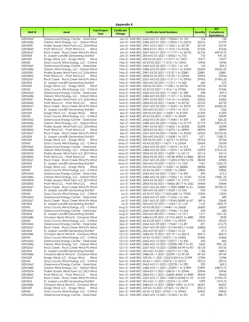| <b>Appendix B</b>                |                                                                                  |                                    |                               |                                                                                                         |                |                                                      |  |  |
|----------------------------------|----------------------------------------------------------------------------------|------------------------------------|-------------------------------|---------------------------------------------------------------------------------------------------------|----------------|------------------------------------------------------|--|--|
| <b>NARID</b>                     | Asset                                                                            | <b>Fuel/Project</b><br><b>Type</b> | <b>Certificate</b><br>Vintage | <b>Certificate Serial Numbers</b>                                                                       | Quantity       | <b>MO</b><br><b>Compliance</b><br><b>Equivalency</b> |  |  |
| GEN2462                          | Greenwood Energy Center - Gree Solar                                             |                                    |                               | Jan-21 NAR-REC-2462-MO-01-2021-110044-1 to 104                                                          | 104            | 130                                                  |  |  |
| GEN2486                          | Osborn Wind Energy, LLC - Osborn Wind                                            |                                    |                               | Jan-21 NAR-REC-2486-MO-01-2021-110055-1 to 25576                                                        | 25576          | 31970                                                |  |  |
| <b>GEN2981</b><br><b>GEN2845</b> | Prairie Queen Wind Farm LLC (GM Wind                                             |                                    |                               | Jan-21 NAR-REC-2981-KS-01-2021-111262-1 to 32159<br>Jan-21 NAR-REC-2845-KS-01-2021-111010-1 to 47636    | 32159<br>47636 | 32159<br>47636                                       |  |  |
| <b>GEN2567</b>                   | Pratt Wind LLC - Pratt Wind LLC<br>Rock Creek - Rock Creek Wind Pro Wind         | Wind                               |                               | Jan-21 NAR-REC-2567-MO-01-2021-111177-1 to 36735                                                        | 36735          | 45918.75                                             |  |  |
| <b>GEN304</b>                    | St. Joseph Landfill Generating Stat BLF                                          |                                    |                               | Jan-21 NAR-REC-304-MO-01-2021-110042-1 to 753                                                           | 753            | 941.25                                               |  |  |
| <b>GEN339</b>                    | Ensign Wind, LLC - Ensign Wind                                                   | Wind                               |                               | Feb-21 NAR-REC-339-KS-02-2021-111319-1 to 19477                                                         | 19477          | 19477                                                |  |  |
| GEN42                            | Gray County Wind Energy, LLC - G Wind                                            |                                    |                               | Feb-21 NAR-REC-42-KS-02-2021-111315-1 to 12943                                                          | 12943          | 12943                                                |  |  |
| GEN2462<br>GEN2486               | Greenwood Energy Center - Gree Solar<br>Osborn Wind Energy, LLC - Osborn Wind    |                                    |                               | Feb-21 NAR-REC-2462-MO-02-2021-111321-1 to 162<br>Feb-21 NAR-REC-2486-MO-02-2021-111312-1 to 20429      | 162<br>20429   | 202.5<br>25536.25                                    |  |  |
| <b>GEN2981</b>                   | Prairie Queen Wind Farm LLC (GM Wind                                             |                                    |                               | Feb-21 NAR-REC-2981-KS-02-2021-113137-1 to 22881                                                        | 22881          | 22881                                                |  |  |
| <b>GEN2845</b>                   | Pratt Wind LLC - Pratt Wind LLC                                                  | Wind                               |                               | Feb-21 NAR-REC-2845-KS-02-2021-113135-1 to 32964                                                        | 32964          | 32964                                                |  |  |
| <b>GEN2567</b>                   | Rock Creek - Rock Creek Wind Pro Wind                                            |                                    |                               | Feb-21 NAR-REC-2567-MO-02-2021-113117-1 to 29965                                                        | 29965          | 37456.25                                             |  |  |
| <b>GEN304</b>                    | St. Joseph Landfill Generating Stat BLF                                          |                                    |                               | Feb-21 NAR-REC-304-MO-02-2021-111317-1 to 460                                                           | 460            | 575                                                  |  |  |
| <b>GEN339</b><br>GEN42           | Ensign Wind, LLC - Ensign Wind<br>Gray County Wind Energy, LLC - C Wind          | Wind                               |                               | Mar-21 NAR-REC-339-KS-03-2021-111320-1 to 45733<br>Mar-21 NAR-REC-42-KS-03-2021-111316-1 to 37346       | 45733<br>37346 | 45733<br>37346                                       |  |  |
| GEN2462                          | Greenwood Energy Center - Gree Solar                                             |                                    |                               | Mar-21 NAR-REC-2462-MO-03-2021-111322-1 to 398                                                          | 398            | 497.5                                                |  |  |
| GEN2486                          | Osborn Wind Energy, LLC - Osborn Wind                                            |                                    |                               | Mar-21 NAR-REC-2486-MO-03-2021-111311-1 to 33556                                                        | 33556          | 41945                                                |  |  |
| <b>GEN2981</b>                   | Prairie Queen Wind Farm LLC (GM Wind                                             |                                    |                               | Mar-21 NAR-REC-2981-KS-03-2021-114114-1 to 43506                                                        | 43506          | 43506                                                |  |  |
| <b>GEN2845</b><br><b>GEN2567</b> | Pratt Wind LLC - Pratt Wind LLC                                                  | Wind                               |                               | Mar-21 NAR-REC-2845-KS-03-2021-113634-1 to 60732                                                        | 60732<br>50741 | 60732<br>63426.25                                    |  |  |
| <b>GEN304</b>                    | Rock Creek - Rock Creek Wind Pro Wind<br>St. Joseph Landfill Generating Stat BLF |                                    |                               | Mar-21 NAR-REC-2567-MO-03-2021-113650-1 to 50741<br>Mar-21 NAR-REC-304-MO-03-2021-111318-1 to 1012      | 1012           | 1265                                                 |  |  |
| <b>GEN339</b>                    | Ensign Wind, LLC - Ensign Wind                                                   | Wind                               |                               | Apr-21 NAR-REC-339-KS-04-2021-113439-1 to 41209                                                         | 41209          | 41209                                                |  |  |
| GEN42                            | Gray County Wind Energy, LLC - G Wind                                            |                                    |                               | Apr-21 NAR-REC-42-KS-04-2021-113437-1 to 33549                                                          | 33549          | 33549                                                |  |  |
| GEN2462                          | Greenwood Energy Center - Gree Solar                                             |                                    |                               | Apr-21 NAR-REC-2462-MO-04-2021-113440-1 to 509                                                          | 509            | 636.25                                               |  |  |
| GEN2486<br><b>GEN2981</b>        | Osborn Wind Energy, LLC - Osborn Wind<br>Prairie Queen Wind Farm LLC (GM Wind    |                                    |                               | Apr-21 NAR-REC-2486-MO-04-2021-113436-1 to 27179<br>Apr-21 NAR-REC-2981-KS-04-2021-114652-1 to 35298    | 27179<br>35298 | 33973.75<br>35298                                    |  |  |
| <b>GEN2845</b>                   | Pratt Wind LLC - Pratt Wind LLC                                                  | Wind                               |                               | Apr-21 NAR-REC-2845-KS-04-2021-114375-1 to 58994                                                        | 58994          | 58994                                                |  |  |
| <b>GEN2567</b>                   | Rock Creek - Rock Creek Wind Pro Wind                                            |                                    |                               | Apr-21 NAR-REC-2567-MO-04-2021-114632-1 to 42525                                                        | 42525          | 53156.25                                             |  |  |
| <b>GEN304</b>                    | St. Joseph Landfill Generating Stat BLF                                          |                                    |                               | Apr-21 NAR-REC-304-MO-04-2021-113438-1 to 1071                                                          | 1071           | 1338.75                                              |  |  |
| <b>GEN339</b>                    | Ensign Wind, LLC - Ensign Wind                                                   | Wind                               |                               | May-21 NAR-REC-339-KS-05-2021-114273-1 to 39764                                                         | 39764          | 39764                                                |  |  |
| GEN42<br>GEN2462                 | Gray County Wind Energy, LLC - C Wind<br>Greenwood Energy Center - Gree Solar    |                                    |                               | May-21 NAR-REC-42-KS-05-2021-114271-1 to 32434<br>May-21 NAR-REC-2462-MO-05-2021-114274-1 to 415        | 32434<br>415   | 32434<br>518.75                                      |  |  |
| GEN2486                          | Osborn Wind Energy, LLC - Osborn Wind                                            |                                    |                               | May-21 NAR-REC-2486-MO-05-2021-114270-1 to 22093                                                        | 22093          | 27616.25                                             |  |  |
| <b>GEN3004</b>                   | Prairie Queen Wind Farm LLC (KCI Wind                                            |                                    |                               | May-21 NAR-REC-3004-KS-05-2021-116029-1 to 24115                                                        | 24115          | 24115                                                |  |  |
| <b>GEN2845</b>                   | Pratt Wind LLC - Pratt Wind LLC                                                  | Wind                               |                               | May-21 NAR-REC-2845-KS-05-2021-118748-39900 to 8866                                                     | 48769          | 48769                                                |  |  |
| <b>GEN2567</b>                   | Rock Creek - Rock Creek Wind Pro Wind                                            |                                    |                               | May-21 NAR-REC-2567-MO-05-2021-115494-57332 to 95.                                                      | 38240          | 47800                                                |  |  |
| <b>GEN304</b><br><b>GEN339</b>   | St. Joseph Landfill Generating Stat BLF<br>Ensign Wind, LLC - Ensign Wind        | Wind                               |                               | May-21 NAR-REC-304-MO-05-2021-114272-1 to 1067<br>Jun-21 NAR-REC-339-KS-06-2021-115330-1 to 28084       | 1067<br>28084  | 1333.75<br>28084                                     |  |  |
| GEN42                            | Gray County Wind Energy, LLC - C Wind                                            |                                    |                               | Jun-21 NAR-REC-42-KS-06-2021-115328-1 to 22852                                                          | 22852          | 22852                                                |  |  |
| GEN2462                          | Greenwood Energy Center - Gree Solar                                             |                                    |                               | Jun-21 NAR-REC-2462-MO-06-2021-115331-1 to 490                                                          | 490            | 612.5                                                |  |  |
| GEN2486                          | Osborn Wind Energy, LLC - Osborn Wind                                            |                                    |                               | Jun-21 NAR-REC-2486-MO-06-2021-115342-1 to 15745                                                        | 15745          | 19681.25                                             |  |  |
| <b>GEN3004</b><br><b>GEN2845</b> | Prairie Queen Wind Farm LLC (KCI Wind<br>Pratt Wind LLC - Pratt Wind LLC         | Wind                               |                               | Jun-21 NAR-REC-3004-KS-06-2021-118459-1 to 17273<br>Jun-21 NAR-REC-2845-KS-06-2021-118456-28177 to 6262 | 17273<br>34444 | 17273<br>34444                                       |  |  |
| <b>GEN2567</b>                   | Rock Creek - Rock Creek Wind Pro Wind                                            |                                    |                               | Jun-21 NAR-REC-2567-MO-06-2021-117850-36889 to 61.                                                      | 24583          | 30728.75                                             |  |  |
| <b>GEN304</b>                    | St. Joseph Landfill Generating Stat BLF                                          |                                    |                               | Jun-21 NAR-REC-304-MO-06-2021-115329-1 to 924                                                           | 924            | 1155                                                 |  |  |
| GEN42                            | Gray County Wind Energy, LLC - C Wind                                            |                                    |                               | Jul-21 NAR-REC-42-KS-07-2021-117653-6681 to 19033                                                       | 12353          | 12353                                                |  |  |
| <b>GEN2462</b><br><b>GEN2567</b> | Greenwood Energy Center - Gree Solar<br>Rock Creek - Rock Creek Wind Pro Wind    |                                    |                               | Jul-21 NAR-REC-2462-MO-07-2021-117656-1 to 544<br>Jul-21 NAR-REC-2567-MO-07-2021-119045-28390 to 47.    | 544<br>18916   | 680<br>23645                                         |  |  |
| <b>GEN304</b>                    | St. Joseph Landfill Generating Stat BLF                                          |                                    |                               | Jul-21 NAR-REC-304-MO-07-2021-117654-1 to 1147                                                          | 1147           | 1433.75                                              |  |  |
| GEN42                            | Gray County Wind Energy, LLC - C Wind                                            |                                    |                               | Aug-21 NAR-REC-42-KS-08-2021-119440-1 to 26600                                                          | 26600          | 26600                                                |  |  |
| GEN2462                          | Greenwood Energy Center - Gree Solar                                             |                                    |                               | Aug-21 NAR-REC-2462-MO-08-2021-119446-1 to 544                                                          | 544            | 680                                                  |  |  |
| <b>GEN304</b>                    | St. Joseph Landfill Generating Stat BLF                                          |                                    |                               | Aug-21 NAR-REC-304-MO-08-2021-119442-1 to 1217                                                          | 1217           | 1521.25                                              |  |  |
| GEN3486<br>GEN42                 | Cimarron Bend Wind III - Cimarron Wind<br>Gray County Wind Energy, LLC - G Wind  |                                    |                               | Sep-21 NAR-REC-3486-KS-09-2021-121776-44921 to 4885<br>Sep-21 NAR-REC-42-KS-09-2021-119441-1 to 29370   | 3939<br>29370  | 3939<br>29370                                        |  |  |
| <b>GEN2462</b>                   | Greenwood Energy Center - Gree Solar                                             |                                    |                               | Sep-21 NAR-REC-2462-MO-09-2021-119447-1 to 491                                                          | 491            | 613.75                                               |  |  |
| <b>GEN2567</b>                   | Rock Creek - Rock Creek Wind Pro Wind                                            |                                    |                               | Sep-21 NAR-REC-2567-MO-09-2021-121744-49217 to 820                                                      | 32808          | 41010                                                |  |  |
| <b>GEN304</b>                    | St. Joseph Landfill Generating Stat BLF                                          |                                    |                               | Sep-21 NAR-REC-304-MO-09-2021-119443-1 to 22                                                            | 22             | 27.5                                                 |  |  |
| GEN3486                          | Cimarron Bend Wind III - Cimarron Wind                                           |                                    |                               | Oct-21 NAR-REC-3486-KS-10-2021-123119-1 to 40613                                                        | 40613          | 40613                                                |  |  |
| GEN42<br><b>GEN2462</b>          | Gray County Wind Energy, LLC - G Wind<br>Greenwood Energy Center - Gree Solar    |                                    |                               | Oct-21 NAR-REC-42-KS-10-2021-122271-1 to 25406<br>Oct-21 NAR-REC-2462-MO-10-2021-122277-1 to 320        | 25406<br>320   | 25406<br>400                                         |  |  |
| GEN2486                          | Osborn Wind Energy, LLC - Osborn Wind                                            |                                    |                               | Oct-21 NAR-REC-2486-MO-10-2021-122298-18917 to 25                                                       | 6265           | 7831.25                                              |  |  |
| <b>GEN2567</b>                   | Rock Creek - Rock Creek Wind Pro Wind                                            |                                    |                               | Oct-21 NAR-REC-2567-MO-10-2021-123088-54199 to 90.                                                      | 36124          | 45155                                                |  |  |
| <b>GEN304</b>                    | St. Joseph Landfill Generating Stat BLF                                          |                                    |                               | Oct-21 NAR-REC-304-MO-10-2021-122273-1 to 1186                                                          | 1186           | 1482.5                                               |  |  |
| GEN3486<br><b>GEN339</b>         | Cimarron Bend Wind III - Cimarron Wind                                           | Wind                               |                               | Nov-21 NAR-REC-3486-KS-11-2021-126359-1 to 39169                                                        | 39169<br>12784 | 39169<br>12784                                       |  |  |
| GEN42                            | Ensign Wind, LLC - Ensign Wind<br>Gray County Wind Energy, LLC - G Wind          |                                    |                               | Nov-21 NAR-REC-339-KS-11-2021-122276-8316 to 21099<br>Nov-21 NAR-REC-42-KS-11-2021-122272-1 to 29210    | 29210          | 29210                                                |  |  |
| GEN2462                          | Greenwood Energy Center - Gree Solar                                             |                                    |                               | Nov-21 NAR-REC-2462-MO-11-2021-122278-1 to 290                                                          | 290            | 362.5                                                |  |  |
| GEN2486                          | Osborn Wind Energy, LLC - Osborn Wind                                            |                                    |                               | Nov-21 NAR-REC-2486-MO-11-2021-122299-1 to 27899                                                        | 27899          | 34873.75                                             |  |  |
| <b>GEN3004</b>                   | Prairie Queen Wind Farm LLC (KCI Wind                                            |                                    |                               | Nov-21 NAR-REC-3004-KS-11-2021-128676-1 to 33946                                                        | 33946          | 33946                                                |  |  |
| <b>GEN2845</b>                   | Pratt Wind LLC - Pratt Wind LLC                                                  | Wind                               |                               | Nov-21 NAR-REC-2845-KS-11-2021-126820-40447 to 8989                                                     | 49453          | 49453                                                |  |  |
| <b>GEN2567</b><br><b>GEN304</b>  | Rock Creek - Rock Creek Wind Pro Wind<br>St. Joseph Landfill Generating Stat BLF |                                    |                               | Nov-21 NAR-REC-2567-MO-11-2021-126810-62348 to 10.<br>Nov-21 NAR-REC-304-MO-11-2021-122274-1 to 1099    | 41555<br>1099  | 51943.75<br>1373.75                                  |  |  |
| GEN3486                          | Cimarron Bend Wind III - Cimarron Wind                                           |                                    |                               | Dec-21 NAR-REC-3486-KS-12-2021-128587-10831 to 5718                                                     | 46357          | 46357                                                |  |  |
| <b>GEN339</b>                    | Ensign Wind, LLC - Ensign Wind                                                   | Wind                               |                               | Dec-21 NAR-REC-339-KS-12-2021-127423-1 to 29613                                                         | 29613          | 29613                                                |  |  |
| GEN42                            | Gray County Wind Energy, LLC - G Wind                                            |                                    |                               | Dec-21 NAR-REC-42-KS-12-2021-127421-1 to 33962                                                          | 33962          | 33962                                                |  |  |
| GEN2462                          | Greenwood Energy Center - Gree Solar                                             |                                    |                               | Dec-21 NAR-REC-2462-MO-12-2021-127424-1 to 231                                                          | 231            | 288.75                                               |  |  |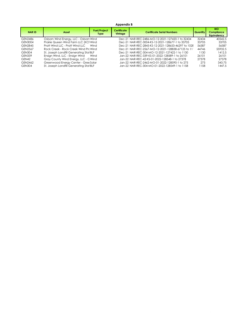#### **Appendix B**

| <b>NARID</b>   | Asset                                   | <b>Fuel/Project</b><br><b>Type</b> | Certificate<br>Vintage | <b>Certificate Serial Numbers</b>                   | Quantity | <b>MO</b><br>Compliance<br>Eauivalency |
|----------------|-----------------------------------------|------------------------------------|------------------------|-----------------------------------------------------|----------|----------------------------------------|
| GEN2486        | Osborn Wind Energy, LLC - Osborn Wind   |                                    |                        | Dec-21 NAR-REC-2486-MO-12-2021-127420-1 to 32434    | 32434    | 40542.5                                |
| <b>GEN3004</b> | Prairie Queen Wind Farm LLC (KCI Wind   |                                    |                        | Dec-21 NAR-REC-3004-KS-12-2021-128677-1 to 33705    | 33705    | 33705                                  |
| GEN2845        | Pratt Wind LLC - Pratt Wind LLC         | Wind                               |                        | Dec-21 NAR-REC-2845-KS-12-2021-128653-46297 to 1028 | 56587    | 56587                                  |
| <b>GEN2567</b> | Rock Creek - Rock Creek Wind Pro Wind   |                                    |                        | Dec-21 NAR-REC-2567-MO-12-2021-128838-67125 to 11   | 44746    | 55932.5                                |
| <b>GEN304</b>  | St. Joseph Landfill Generating Stat BLF |                                    |                        | Dec-21 NAR-REC-304-MO-12-2021-127422-1 to 1130      | 1130     | 1412.5                                 |
| <b>GEN339</b>  | Ensign Wind, LLC - Ensign Wind Wind     |                                    |                        | Jan-22 NAR-REC-339-KS-01-2022-128589-1 to 26101     | 26101    | 26101                                  |
| GEN42          | Gray County Wind Energy, LLC - C Wind   |                                    |                        | Jan-22 NAR-REC-42-KS-01-2022-128548-1 to 27378      | 27378    | 27378                                  |
| GEN2462        | Greenwood Energy Center - Gree Solar    |                                    |                        | Jan-22 NAR-REC-2462-MO-01-2022-128590-1 to 275      | 275      | 343.75                                 |
| <b>GEN304</b>  | St. Joseph Landfill Generating Stat BLF |                                    |                        | Jan-22 NAR-REC-304-MO-01-2022-128549-1 to 1158      | 1158     | 1447.5                                 |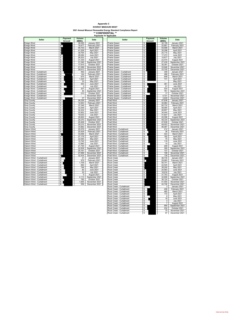#### **EVERGY MISSOURI WEST Appendix C**

**2021 Annual Missouri Renewable Energy Standard Compliance Report \*\* CONFIDENTIAL \*\* Payments as Applicable**

| <b>Seller</b>                     | Payment                 | Volume           | <b>Date</b>                   | <b>Seller</b>                                        | Payment                       | Volume           | Date                            |
|-----------------------------------|-------------------------|------------------|-------------------------------|------------------------------------------------------|-------------------------------|------------------|---------------------------------|
|                                   | Amount                  | (MWh)            |                               |                                                      | Amount                        | (MWh)            |                                 |
| <b>Ensign Wind</b>                |                         | 36,545           | January 2021                  | Prairie Queen                                        | \$                            | 32,159           | January 2021                    |
| <b>Ensign Wind</b>                | \$                      | 19,477           | February 2021                 | Prairie Queen                                        | \$                            | 22,881           | February 2021                   |
| <b>Ensign Wind</b>                |                         | 45,733           | March 2021                    | Prairie Queen                                        | \$                            | 43,506           | March 2021                      |
| Ensign Wind                       | 696                     | 41,209           | April 2021                    | Prairie Queen                                        | \$                            | 35,298           | April 2021                      |
| Ensign Wind                       |                         | 39,764           | May 2021                      | Prairie Queen                                        | \$                            | 24,115           | May 2021                        |
| Ensign Wind                       | \$                      | 28,084           | June 2021                     | Prairie Queen                                        | \$                            | 17,273           | June 2021                       |
| Ensign Wind                       | \$                      | 26,203           | <b>July 2021</b>              | Prairie Queen                                        | \$                            | 10,677           | <b>July 2021</b>                |
| Ensign Wind                       | $\overline{\mathsf{s}}$ | 31,330           | August 2021                   | Prairie Queen                                        | \$                            | 23,474           | August 2021                     |
| Ensign Wind                       | \$<br>\$                | 31,546           | September 2021                | Prairie Queen                                        | \$                            | 27,439           | September 2021                  |
| <b>Ensign Wind</b><br>Ensign Wind | $\overline{\mathbb{s}}$ | 17,915<br>21,099 | October 2021<br>November 2021 | Prairie Queen<br>Prairie Queen                       | \$<br>$\overline{\mathbb{s}}$ | 30,391<br>33,946 | October 2021<br>November 2021   |
| Ensign Wind                       | \$                      | 29,613           | December 2021                 | Prairie Queen                                        | S.                            | 33,705           | December 2021                   |
| Ensign Wind - Curtailment         | \$                      | 492              | January 2021                  | Prairie Queen - Curtailment                          | \$                            | 349              | January 2021                    |
| Ensign Wind - Curtailment         | s                       | 144              | February 2021                 | Prairie Queen - Curtailment                          | s                             | 488              | February 2021                   |
| Ensign Wind - Curtailment         | s                       | 675              | March 2021                    | Prairie Queen - Curtailment                          | \$                            | 648              | March 2021                      |
| Ensign Wind - Curtailment         | \$                      | 1,323            | April 2021                    | Prairie Queen - Curtailment                          | \$                            | 731              | April 2021                      |
| Ensign Wind - Curtailment         | s                       | 33               | <b>May 2021</b>               | Prairie Queen - Curtailment                          | \$                            |                  | May 2021                        |
| Ensign Wind - Curtailment         | $\overline{\mathsf{s}}$ | 443              | <b>June 2021</b>              | Prairie Queen - Curtailment                          | \$                            | 361              | June 2021                       |
| Ensign Wind - Curtailment         | S                       | 3                | <b>July 2021</b>              | Prairie Queen - Curtailment                          | S                             | 51               | <b>July 2021</b>                |
| Ensign Wind - Curtailment         | s                       | 207              | August 2021                   | Prairie Queen - Curtailment                          | s                             | 524              | August 2021                     |
| Ensign Wind - Curtailment         | s                       | 45               | September 2021                | Prairie Queen - Curtailment                          | \$                            | 761              | September 2021                  |
| Ensign Wind - Curtailment         | S                       | 210              | October 2021                  | Prairie Queen - Curtailment                          | \$                            | 17               | October 2021                    |
| Ensign Wind - Curtailment         | \$                      | ٠                | November 2021                 | Prairie Queen - Curtailment                          | \$                            | 4,721            | November 2021                   |
| Ensign Wind - Curtailment         | s                       | $\overline{37}$  | December 2021                 | Prairie Queen - Curtailment                          | \$                            | 3,649            | December 2021                   |
| <b>Gray County</b>                | \$                      | 26,226           | January 2021                  | <b>Pratt Wind</b>                                    | \$                            | 47,636           | January 2021                    |
| <b>Gray County</b>                | \$                      | 12,943           | February 2021                 | <b>Pratt Wind</b>                                    | \$                            | 32,964           | February 2021                   |
| <b>Gray County</b>                | $\overline{\mathsf{s}}$ | 37,346           | March 2021                    | <b>Pratt Wind</b>                                    | \$                            | 60,732           | March 2021                      |
| <b>Gray County</b>                | \$                      | 33,549           | April 2021                    | Pratt Wind                                           | \$                            | 58,994           | April 2021                      |
| Gray County                       | \$                      | 32,434           | May 2021                      | <b>Pratt Wind</b>                                    | \$                            | 48,807           | May 2021                        |
| <b>Gray County</b>                | $\overline{\mathbb{S}}$ | 22,852           | <b>June 2021</b>              | <b>Pratt Wind</b>                                    | $\overline{\mathbb{S}}$       | 34,444           | <b>June 2021</b>                |
| Gray County                       | \$                      | 19,033           | <b>July 2021</b>              | Pratt Wind                                           | \$                            | 31,647           | <b>July 2021</b>                |
| <b>Gray County</b>                | \$                      | 26,600           | August 2021                   | <b>Pratt Wind</b>                                    | \$                            | 45,096           | August 2021                     |
| <b>Gray County</b>                | $\overline{\mathbb{s}}$ | 29,370           | September 2021                | <b>Pratt Wind</b>                                    | s.                            | 48,334           | September 2021                  |
| <b>Gray County</b>                | $\overline{\mathbb{s}}$ | 25,406           | October 2021                  | <b>Pratt Wind</b>                                    | \$                            | 47,638           | October 2021                    |
| Gray County                       | s                       | 29,210           | November 2021                 | Pratt Wind                                           | \$                            | 49,453           | November 2021                   |
| <b>Gray County</b>                | \$                      | 33,962           | December 2021                 | <b>Pratt Wind</b>                                    | \$                            | 56,587           | December 2021                   |
| Osborn Wind                       | \$                      | 25,576           | January 2021                  | Pratt Wind - Curtailment                             | \$                            | 212              | January 2021                    |
| Osborn Wind                       | s                       | 20,429           | February 2021                 | Pratt Wind - Curtailment                             | \$                            | 36               | February 2021                   |
| Osborn Wind                       |                         | 33,556           | March 2021                    | Pratt Wind - Curtailment                             | \$                            | 423              | March 2021                      |
| Osborn Wind<br><b>Osborn Wind</b> | \$<br>\$                | 27,179<br>22,093 | April 2021<br>May 2021        | Pratt Wind - Curtailment<br>Pratt Wind - Curtailment | \$<br>\$                      | 182<br>75        | April 2021<br>May 2021          |
| Osborn Wind                       | \$                      | 15,745           | June 2021                     | Pratt Wind - Curtailment                             | \$                            | 119              | June 2021                       |
| Osborn Wind                       | \$                      | 12,960           | <b>July 2021</b>              | Pratt Wind - Curtailment                             | \$                            | 14               | <b>July 2021</b>                |
| Osborn Wind                       | \$                      | 21,730           | August 2021                   | Pratt Wind - Curtailment                             | \$                            | 209              | August 2021                     |
| <b>Osborn Wind</b>                | $\overline{\mathbb{s}}$ | 22,839           | September 2021                | Pratt Wind - Curtailment                             | s                             | 309              | September 2021                  |
| Osborn Wind                       | s                       | 25.181           | October 2021                  | Pratt Wind - Curtailment                             | s                             | 137              | October 2021                    |
| Osborn Wind                       | \$                      | 27,899           | November 2021                 | Pratt Wind - Curtailment                             | S                             | 108              | November 2021                   |
| Osborn Wind                       |                         | 32,434           | December 2021                 | Pratt Wind - Curtailment                             | s                             | 138              | December 2021                   |
| Osborn Wind - Curtailment         | s                       | 31               | January 2021                  | <b>Rock Creek</b>                                    |                               | 36,735           | January 2021                    |
| Osborn Wind - Curtailment         | \$                      | 979              | February 2021                 | <b>Rock Creek</b>                                    | \$                            | 29,965           | February 2021                   |
| Osborn Wind - Curtailment         | \$                      | 1,709            | March 2021                    | Rock Creek                                           |                               | 50,741           | March 2021                      |
| Osborn Wind - Curtailment         | \$                      | 890              | April 2021                    | <b>Rock Creek</b>                                    |                               | 42,525           | April 2021                      |
| Osborn Wind - Curtailment         | \$                      | 748              | May 2021                      | <b>Rock Creek</b>                                    |                               | 38,240           | May 2021                        |
| Osborn Wind - Curtailment         | s                       | 82               | <b>June 2021</b>              | <b>Rock Creek</b>                                    | \$                            | 24,583           | <b>June 2021</b>                |
| Osborn Wind - Curtailment         | s                       | 32               | <b>July 2021</b>              | <b>Rock Creek</b>                                    | \$                            | 18,916           | <b>July 2021</b>                |
| Osborn Wind - Curtailment         | \$                      | 5                | August 2021                   | <b>Rock Creek</b>                                    | \$                            | 31,753           | August 2021                     |
| Osborn Wind - Curtailment         | \$                      | 2,113            | September 2021                | <b>Rock Creek</b>                                    | \$                            | 32,808           | September 2021                  |
| Osborn Wind - Curtailment         | \$                      | 785              | October 2021                  | <b>Rock Creek</b>                                    |                               | 36,124           | October 2021                    |
| Osborn Wind - Curtailment         | \$                      | 1,655            | November 2021                 | Rock Creek                                           | \$                            | 41,555           | November 2021                   |
| Osborn Wind - Curtailment         | $\overline{\mathbf{s}}$ | 559              | December 2021                 | <b>Rock Creek</b>                                    |                               | 44,746           | December 2021                   |
|                                   |                         |                  |                               | Rock Creek - Curtailment                             | \$                            | 3                | January 2021                    |
|                                   |                         |                  |                               | Rock Creek - Curtailment                             | \$                            | 246              | February 2021                   |
|                                   |                         |                  |                               | Rock Creek - Curtailment                             | \$                            | 465              | March 2021                      |
|                                   |                         |                  |                               | Rock Creek - Curtailment                             | \$                            | 172              | April 2021                      |
|                                   |                         |                  |                               | Rock Creek - Curtailment<br>Rock Creek - Curtailment | \$                            | 8                | May 2021<br><b>June 2021</b>    |
|                                   |                         |                  |                               |                                                      | \$                            | 18               |                                 |
|                                   |                         |                  |                               | Rock Creek - Curtailment<br>Rock Creek - Curtailment | \$<br>\$                      | 4<br>7           | <b>July 2021</b><br>August 2021 |
|                                   |                         |                  |                               | Rock Creek - Curtailment                             | \$                            | 950              | September 2021                  |
|                                   |                         |                  |                               | Rock Creek - Curtailment                             | \$                            | 232              | October 2021                    |
|                                   |                         |                  |                               | Rock Creek - Curtailment                             | \$                            | 75               | November 2021                   |
|                                   |                         |                  |                               | Rock Creek - Curtailment                             | S                             | 97               | December 2021                   |